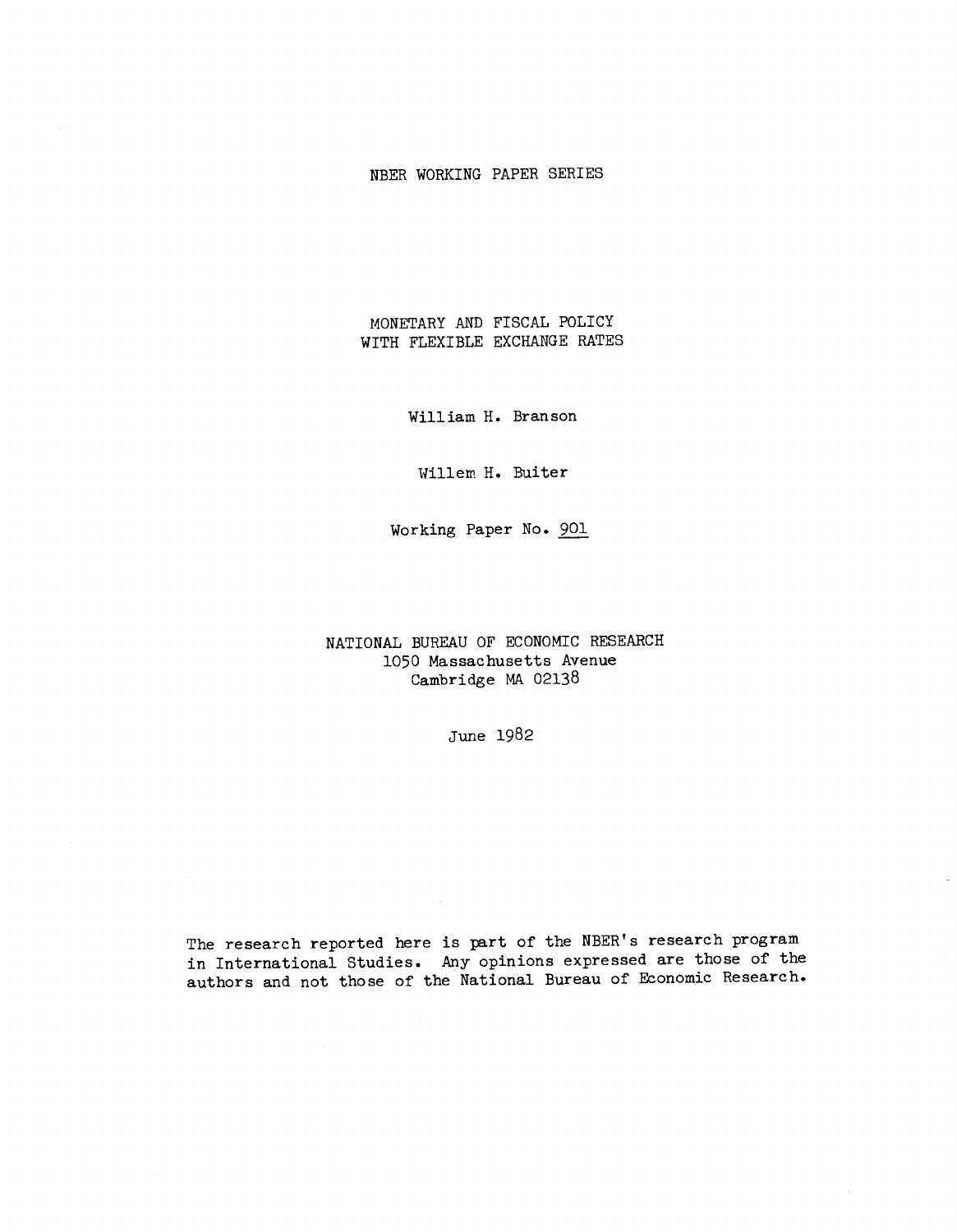## NBER WORKING PAPER SERIES

MONETARY AND FISCAL POLICY WITH FLEXIBLE EXCHANGE RATES

William H. Branson

Willem H. Buiter

Working Paper No. 901

NATIONAL BUREAU OF ECONOMIC RESEARCH 1050 Massachusetts Avenue Cambridge MA 02138

June 1982

The research reported here is part of the NBER's research program in International Studies. Any opinions expressed are those of the authors and not those of the National Bureau of Economic Research.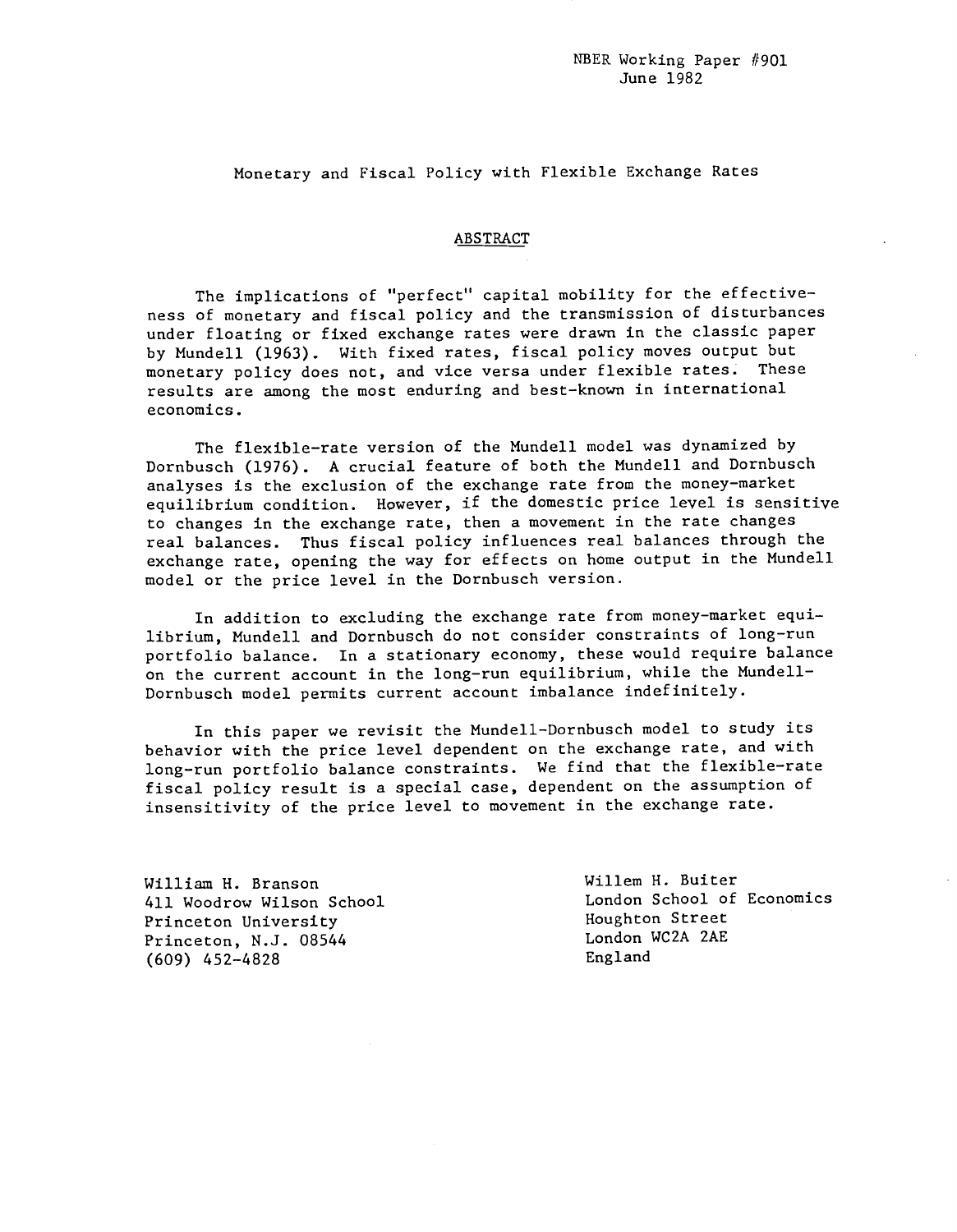## Monetary and Fiscal Policy with Flexible Exchange Rates

#### ABSTRACT

The implications of "perfect" capital mobility for the effectiveness of monetary and fiscal policy and the transmission of disturbances under floating or fixed exchange rates were drawn in the classic paper by Mundell (1963). With fixed rates, fiscal policy moves output but monetary policy does not, and vice versa under flexible rates. These results are among the most enduring and best—known in international economics.

The flexible—rate version of the Mundell model was dynamized by Dornbusch (1976). A crucial feature of both the Mundell and Dornbusch analyses is the exclusion of the exchange rate from the money—market equilibrium condition. However, if the domestic price level is sensitive to changes in the exchange rate, then a movement in the rate changes real balances. Thus fiscal policy influences real balances through the exchange rate, opening the way for effects on home output in the Mundell model or the price level in the Dornbusch version.

In addition to excluding the exchange rate from money-market equilibrium, Mundell and Dornbusch do not consider constraints of long—run portfolio balance. In a stationary economy, these would require balance on the current account in the long-run equilibrium, while the Mundell-Dornbusch model permits current account imbalance indefinitely.

In this paper we revisit the Mundell—Dornbusch model to study its behavior with the price level dependent on the exchange rate, and with long—run portfolio balance constraints. We find that the flexible—rate fiscal policy result is a special case, dependent on the assumption of insensitivity of the price level to movement in the exchange rate.

411 Woodrow Wilson School London School of Economics Princeton University Houghton Street Princeton, N.J. 08544 London Ward London W<br>1609) 452-4828 London Ward Ward Bugland  $(609)$  452-4828

William H. Branson<br>211 Woodrow Wilson School Millem H. Buiter<br>211 Woodrow Wilson School Millem Millem H. London School of Economics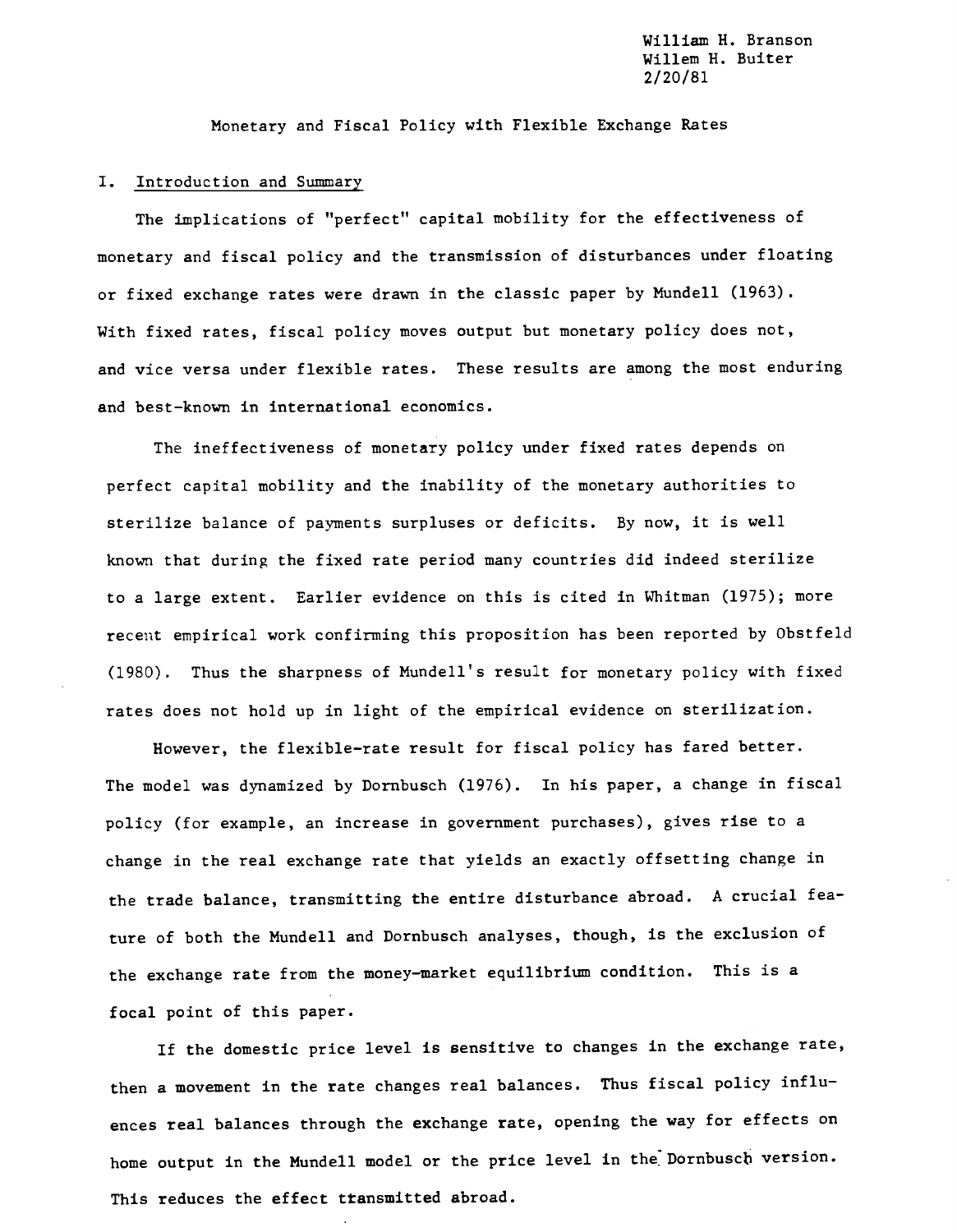Monetary and Fiscal Policy with Flexible Exchange Rates

### I. Introduction and Summary

The implications of "perfect" capital mobility for the effectiveness of monetary and fiscal policy and the transmission of disturbances under floating or fixed exchange rates were drawn in the classic paper by Mundell (1963). With fixed rates, fiscal policy moves output but monetary policy does not, and vice versa under flexible rates. These results are among the most enduring and best—known in international economics.

The ineffectiveness of monetary policy under fixed rates depends on perfect capital mobility and the inability of the monetary authorities to sterilize balance of payments surpluses or deficits. By now, it is well known that during the fixed rate period many countries did indeed sterilize to a large extent. Earlier evidence on this is cited In Whitman (1975); more recent empirical work confirming this proposition has been reported by Obstfeld (1980). Thus the sharpness of Mundell's result for monetary policy with fixed rates does not hold up in light of the empirical evidence on sterilization.

However, the flexible—rate result for fiscal policy has fared better. The model was dynamized by Dornbusch (1976). In his paper, a change in fiscal policy (for example, an increase in government purchases), gives rise to a change in the real exchange rate that yields an exactly offsetting change in the trade balance, transmitting the entire disturbance abroad. A crucial feature of both the Mundell and Dornbusch analyses, though, is the exclusion of the exchange rate from the money—market equilibrium condition. This is a focal point of this paper.

If the domestic price level is sensitive to changes in the exchange rate, then a movement in the rate changes real balances. Thus fiscal policy influences real balances through the exchange rate, opening the way for effects on home output in the Mundell model or the price level in the Dornbusch version. This reduces the effect transmitted abroad.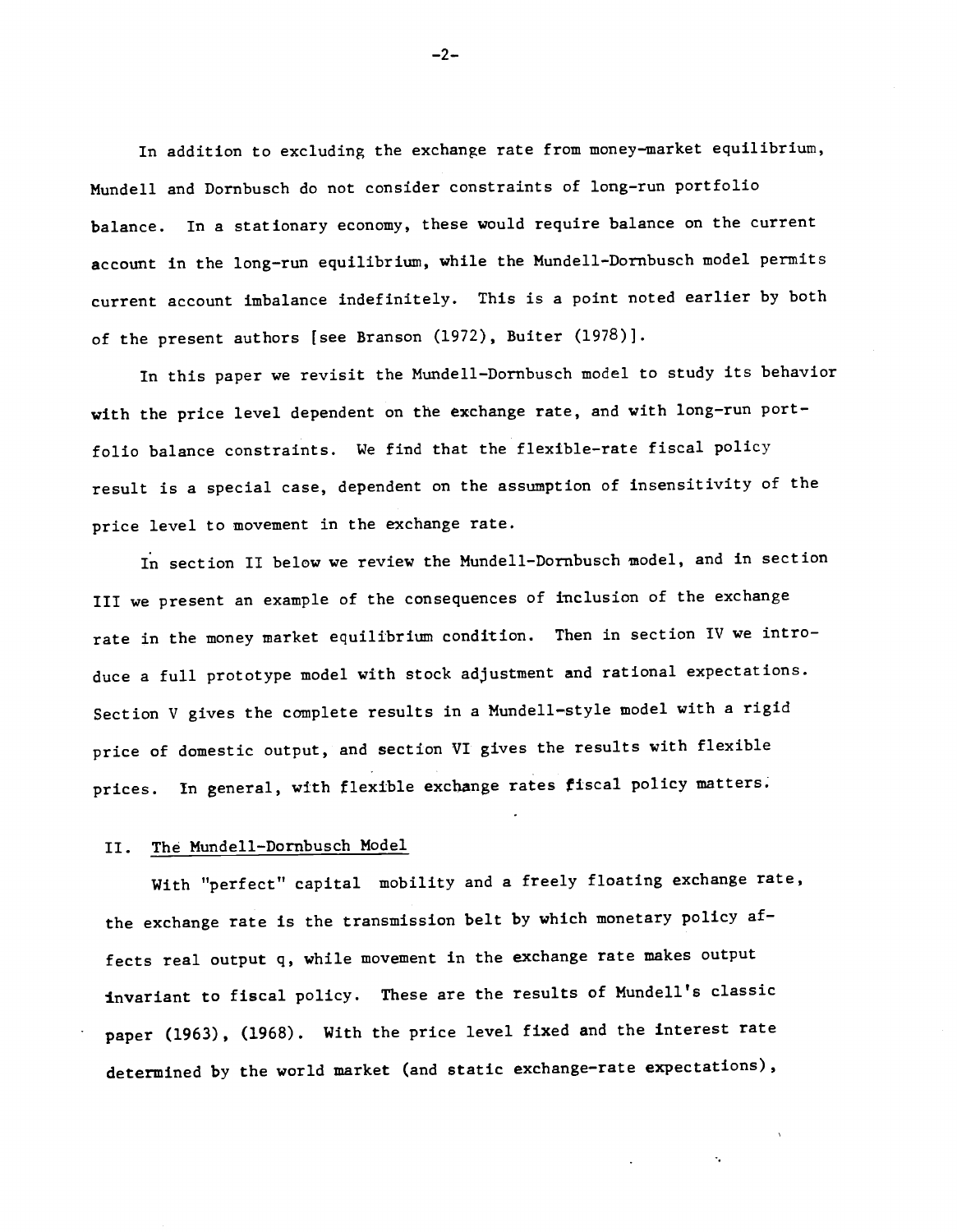In addition to excluding the exchange rate from money—market equilibrium, Mundell and Dornbusch do not consider constraints of long—run portfolio balance. In a stationary economy, these would require balance on the current account in the long—run equilibrium, while the Mundell-Dornbusch model permits current account imbalance indefinitely. This is a point noted earlier by both of the present authors [see Branson (1972), Buiter (1978)].

In this paper we revisit the Mundell—Dornbusch model to study its behavior with the price level dependent on the exchange rate, and with long-run portfolio balance constraints. We find that the flexible—rate fiscal policy result is a special case, dependent on the assumption of insensitivity of the price level to movement in the exchange rate.

In section II below we review the Mundell—Dornbusch model, and in section III we present an example of the consequences of inclusion of the exchange rate in the money market equilibrium condition. Then in section IV we introduce a full prototype model with stock adjustment and rational expectations. Section V gives the complete results in a Mundell—style model with a rigid price of domestic output, and section VI gives the results with flexible prices. In general, with flexible exchange rates fiscal policy matters.

### II. The Mundell—Dornbusch Model

With "perfect" capital mobility and a freely floating exchange rate, the exchange rate is the transmission belt by which monetary policy affects real output q, while movement in the exchange rate makes output invariant to fiscal policy. These are the results of Mundell's classic paper (1963), (1968). With the price level fixed and the interest rate determined by the world market (and static exchange—rate expectations),

 $-2-$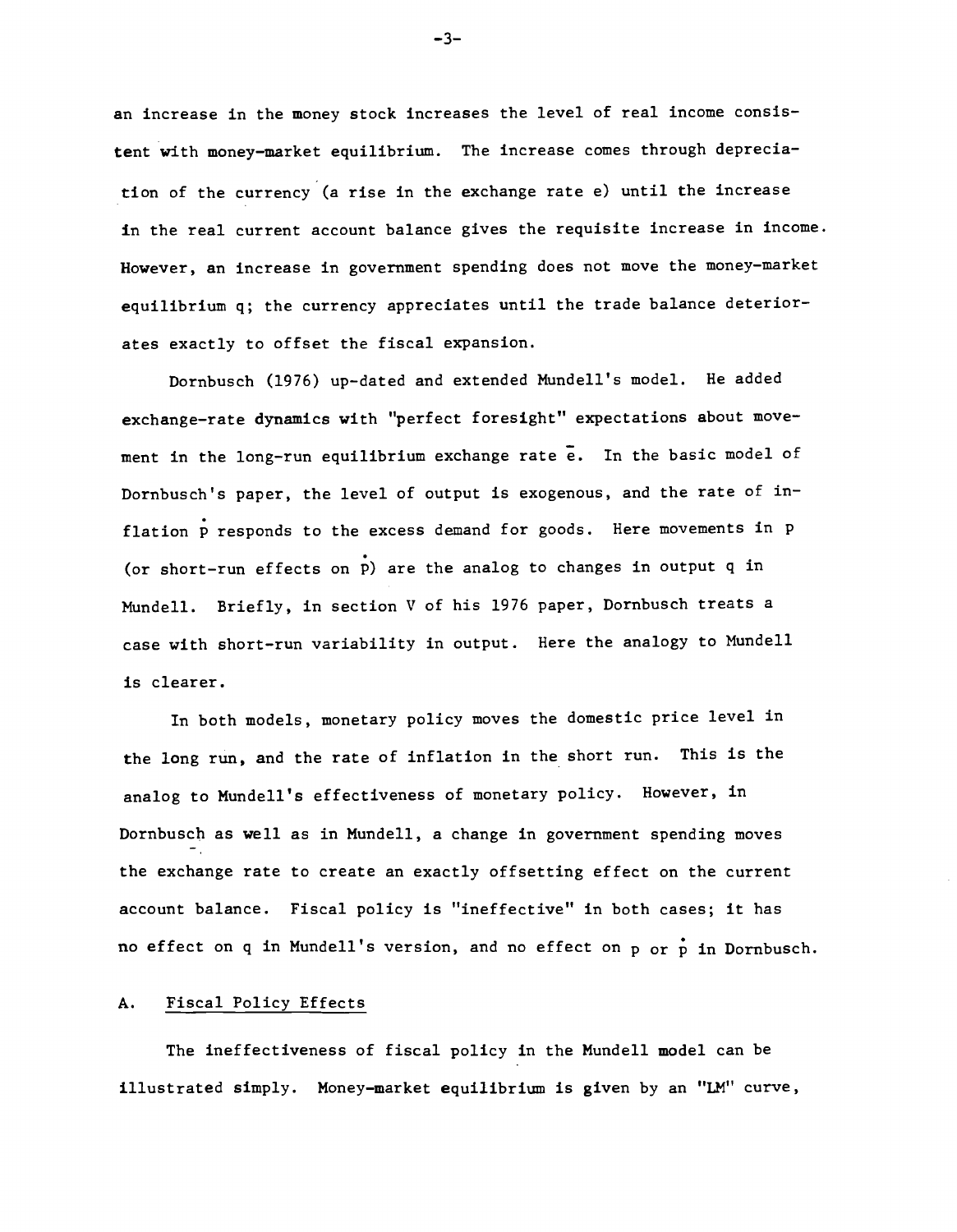an increase in the money stock increases the level of real income consistent with money—market equilibrium. The increase comes through depreciation of the currency (a rise in the exchange rate e) until the increase in the real current account balance gives the requisite increase in income. However, an increase in government spending does not move the money—market equilibrium q; the currency appreciates until the trade balance deteriorates exactly to offset the fiscal expansion.

Dornbusch (1976) up—dated and extended Mundell's model. He added exchange—rate dynamics with "perfect foresight" expectations about movement in the long-run equilibrium exchange rate e. In the basic model of Dornbusch's paper, the level of output is exogenous, and the rate of inflation p responds to the excess demand for goods. Here movements in p (or short—run effects on p) are the analog to changes in output q in Mundell. Briefly, in section V of his 1976 paper, Dornbusch treats a case with short—run variability in output. Here the analogy to Mundell is clearer.

In both models, monetary policy moves the domestic price level in the long run, and the rate of inflation in the short run. This is the analog to Mundell's effectiveness of monetary policy. However, in Dornbusch as well as in Mundell, a change in government spending moves the exchange rate to create an exactly offsetting effect on the current account balance. Fiscal policy is "ineffective" in both cases; it has no effect on q in Mundell's version, and no effect on  $p$  or  $p$  in Dornbusch.

## A. Fiscal Policy Effects

The ineffectiveness of fiscal policy in the Mundell model can be illustrated simply. Money—market equilibrium is given by an "LW' curve,

—3—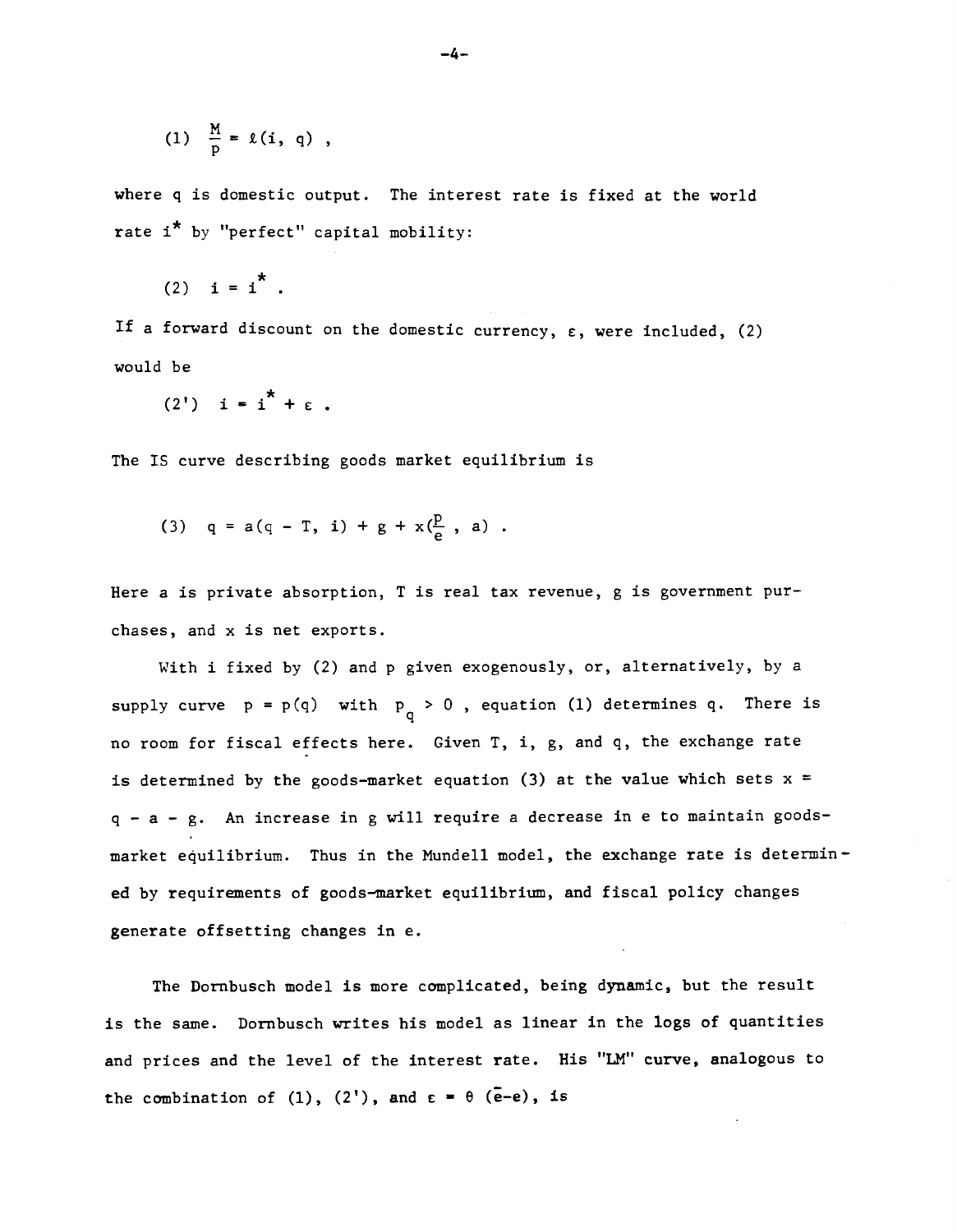$$
(1) \quad \frac{M}{p} = \ell(i, q) \quad ,
$$

where q is domestic output. The interest rate is fixed at the world rate  $i^*$  by "perfect" capital mobility:

$$
(2) i = i^*.
$$

If a forward discount on the domestic currency, c, were included, (2) would be

$$
(2')\quad i = i^* + \varepsilon.
$$

The IS curve describing goods market equilibrium is

(3) 
$$
q = a(q - T, i) + g + x(\frac{p}{q}, a)
$$
.

Here a is private absorption, T is real tax revenue, g is government purchases, and x is net exports.

With i fixed by (2) and p given exogenously, or, alternatively, by a supply curve  $p = p(q)$  with  $p_q > 0$ , equation (1) determines q. There is no room for fiscal effects here. Given T, 1, g, and q, the exchange rate is determined by the goods-market equation (3) at the value which sets  $x =$ q — a — g. An increase in g will require a decrease in e to maintain goods market equilibrium. Thus in the Mundell model, the exchange rate is determined by requirements of goods—market equilibrium, and fiscal policy changes generate offsetting changes in e.

The Dornbusch model is more complicated, being dynamic, but the result is the same. Dornbusch writes his model as linear in the logs of quantities and prices and the level of the interest rate. His "LM" curve, analogous to the combination of (1), (2'), and  $\varepsilon = \theta$  (e-e), is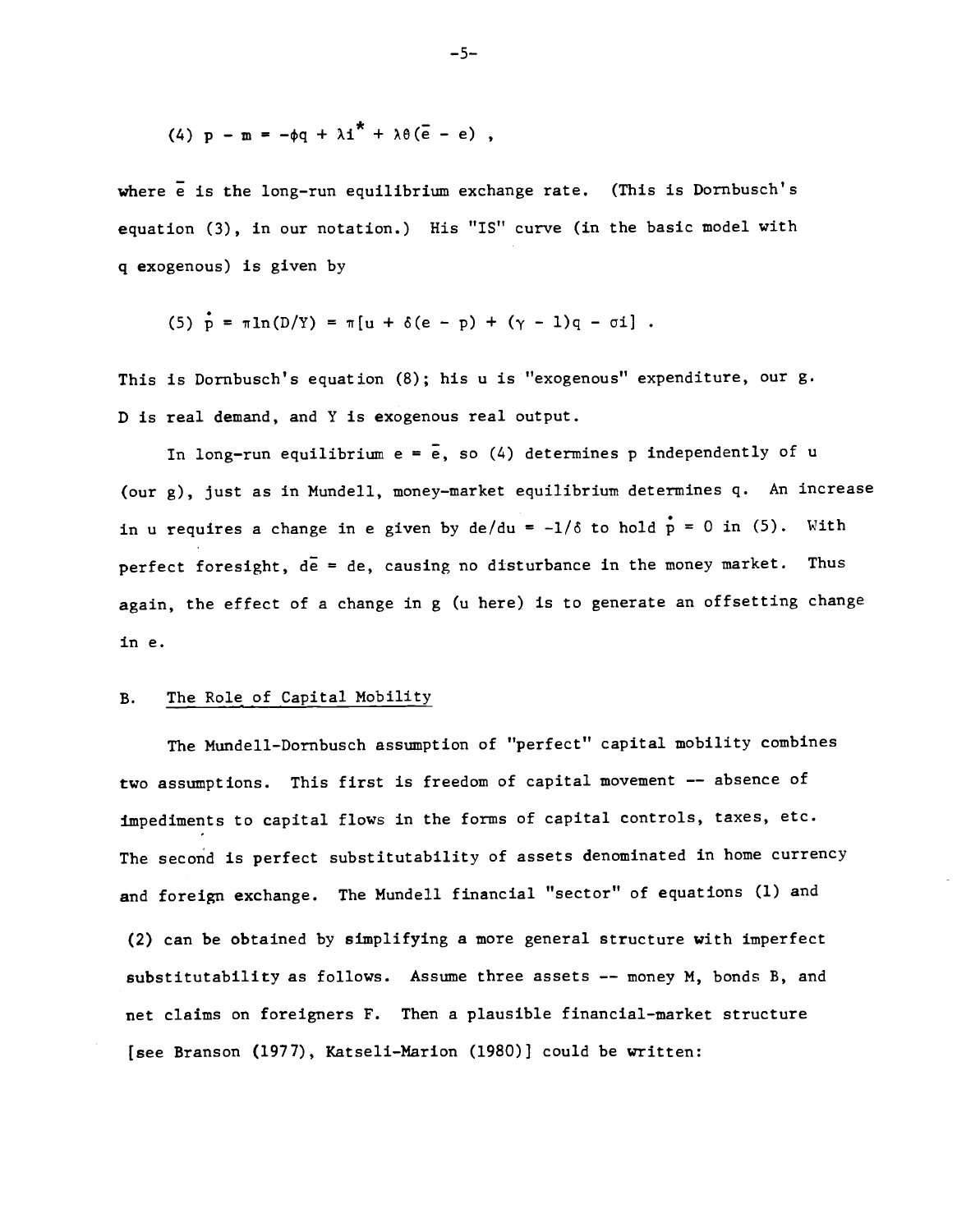(4) 
$$
p - m = -\phi q + \lambda i^* + \lambda \theta (\bar{e} - e)
$$
,

where e is the long-run equilibrium exchange rate. (This is Dornbusch's equation (3), in our notation.) His "IS" curve (in the basic model with q exogenous) is given by

(5) 
$$
\dot{p} = \pi \ln(D/Y) = \pi [u + \delta(e - p) + (\gamma - 1)q - \sigma i]
$$
.

This is Dornbusch's equation (8); his u is "exogenous" expenditure, our g. D is real demand, and Y is exogenous real output.

In long-run equilibrium  $e = \bar{e}$ , so (4) determines p independently of u (our g), just as in Mundell, money—market equilibrium determines q. An increase in u requires a change in e given by de/du =  $-1/\delta$  to hold  $\dot{p} = 0$  in (5). With perfect foresight,  $d\overline{e} = de$ , causing no disturbance in the money market. Thus again, the effect of a change in g (u here) is to generate an offsetting change in e.

## B. The Role of Capital Mobility

The Mundell—Dornbusch assumption of "perfect" capital mobility combines two assumptions. This first is freedom of capital movement —— absence of impediments to capital flows in the forms of capital controls, taxes, etc. The second is perfect substitutability of assets denominated in home currency and foreign exchange. The Mundell financial "sector" of equations (1) and (2) can be obtained by simplifying a more general structure with imperfect substitutability as follows. Assume three assets -- money M, bonds B, and net claims on foreigners F. Then a plausible financial—market structure [see Branson (1977), Katseli—Narion (1980)] could be written: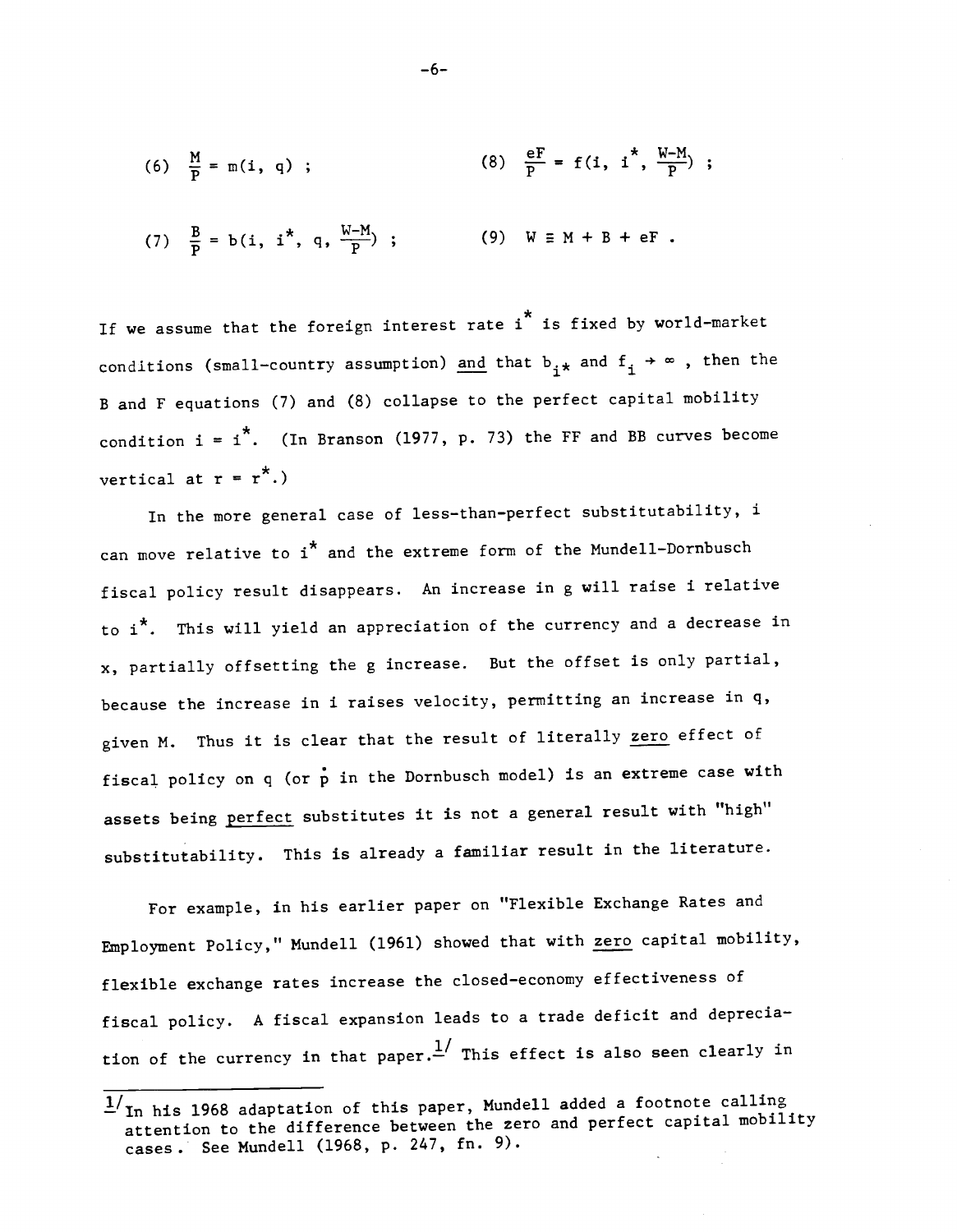(6) 
$$
\frac{M}{P} = m(i, q)
$$
 ;   
 (8)  $\frac{eF}{P} = f(i, i^*, \frac{W-M}{P})$  ;

(7) 
$$
\frac{B}{P} = b(i, i^*, q, \frac{W-M}{P})
$$
; (9)  $W \equiv M + B + eF$ .

\* If we assume that the foreign interest rate i is fixed by world—market conditions (small-country assumption) and that  $b_{i*}$  and  $f_i \rightarrow \infty$ , then the B and F equations (7) and (8) collapse to the perfect capital mobility condition  $i = i^*$ . (In Branson (1977, p. 73) the FF and BB curves become vertical at  $r = r^*$ .)

In the more general case of less-than-perfect substitutability, i can move relative to i<sup>\*</sup> and the extreme form of the Mundell-Dornbusch fiscal policy result disappears. An increase in g will raise i relative to i<sup>\*</sup>. This will yield an appreciation of the currency and a decrease in x, partially offsetting the g increase. But the offset is only partial, because the increase in i raises velocity, permitting an increase in q, given M. Thus it is clear that the result of literally zero effect of fiscal policy on q (or  $\stackrel{\bullet}{p}$  in the Dornbusch model) is an extreme case with assets being perfect substitutes it is not a general result with "high" substitutability. This is already a familiar result in the literature.

For example, in his earlier paper on "Flexible Exchange Rates and Employment Policy," Mundell (1961) showed that with zero capital mobility, flexible exchange rates increase the closed—economy effectiveness of fiscal policy. A fiscal expansion leads to a trade deficit and depreciation of the currency in that paper. $\frac{1}{1}$  This effect is also seen clearly in

 $\frac{1}{n}$  his 1968 adaptation of this paper, Mundell added a footnote calling attention to the difference between the zero and perfect capital mobility cases. See Mundell (1968, p. 247, fn. 9).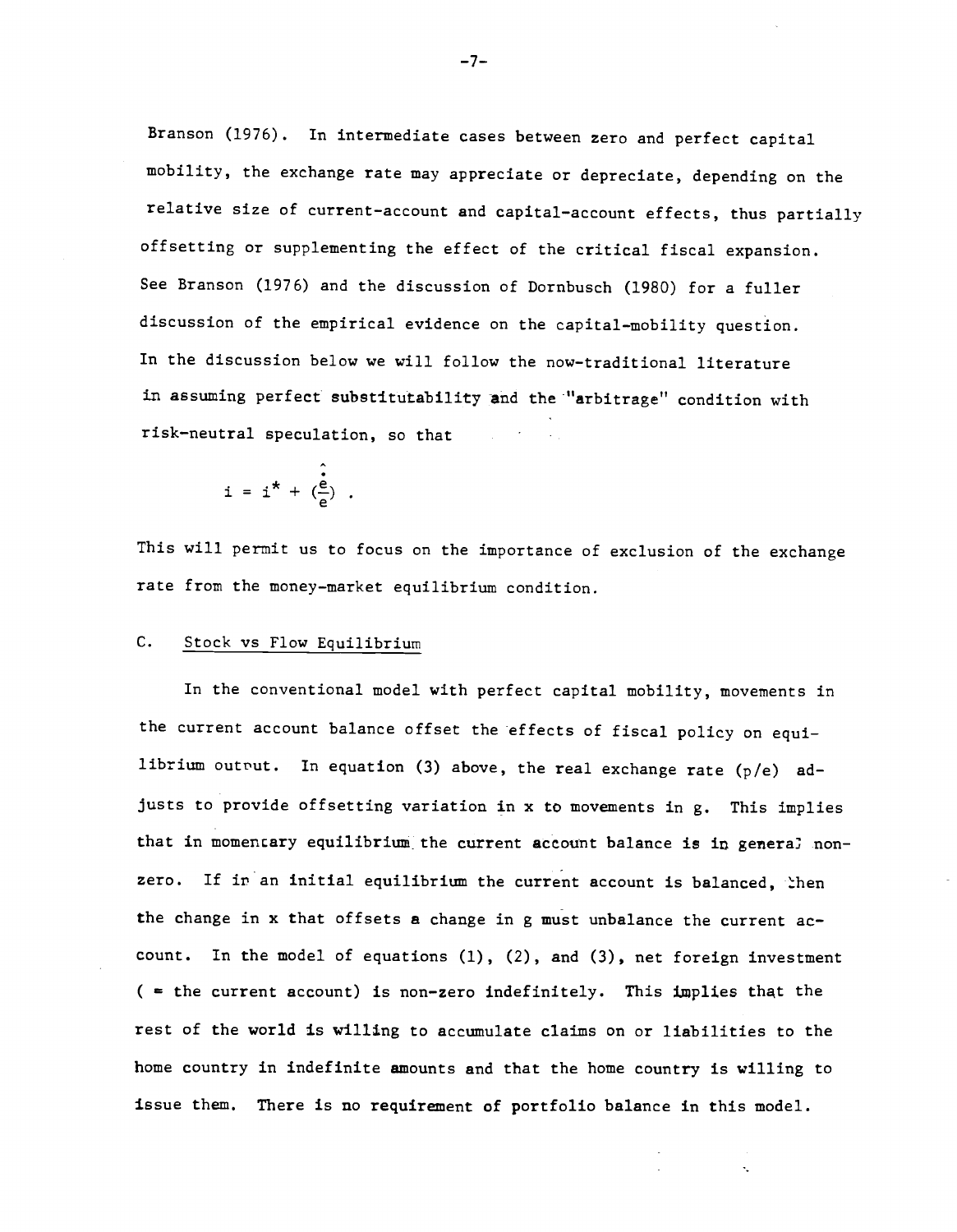Branson (1976). In intermediate cases between zero and perfect capital mobility, the exchange rate may appreciate or depreciate, depending on the relative size of current—account and capital—account effects, thus partially offsetting or supplementing the effect of the critical fiscal expansion. See Branson (1976) and the discussion of Dornbusch (1980) for a fuller discussion of the empirical evidence on the capital—mobility question. In the discussion below we will follow the now—traditional literature in assuming perfect substitutability and the "arbitrage" condition with risk-neutral speculation, so that<br>  $i = i^* + (\frac{e}{e})$ .

$$
i = i^* + (\frac{\dot{e}}{e}) .
$$

This will permit us to focus on the importance of exclusion of the exchange rate from the money—market equilibrium condition.

## C. Stock vs Flow Equilibrium

In the conventional model with perfect capital mobility, movements in the current account balance offset the effects of fiscal policy on equilibrium output. In equation (3) above, the real exchange rate (p/e) adjusts to provide offsetting variation in x to movements in g. This implies that in momentary equilibrium the current account balance is in general nonzero. If in an initial equilibrium the current account is balanced. Then the change in x that offsets a change in g must unbalance the current account. In the model of equations (1), (2), and (3), net foreign investment  $($  = the current account) is non-zero indefinitely. This implies that the rest of the world is willing to accumulate claims on or liabilities to the home country in indefinite amounts and that the home country is willing to issue them. There is no requirement of portfolio balance in this model.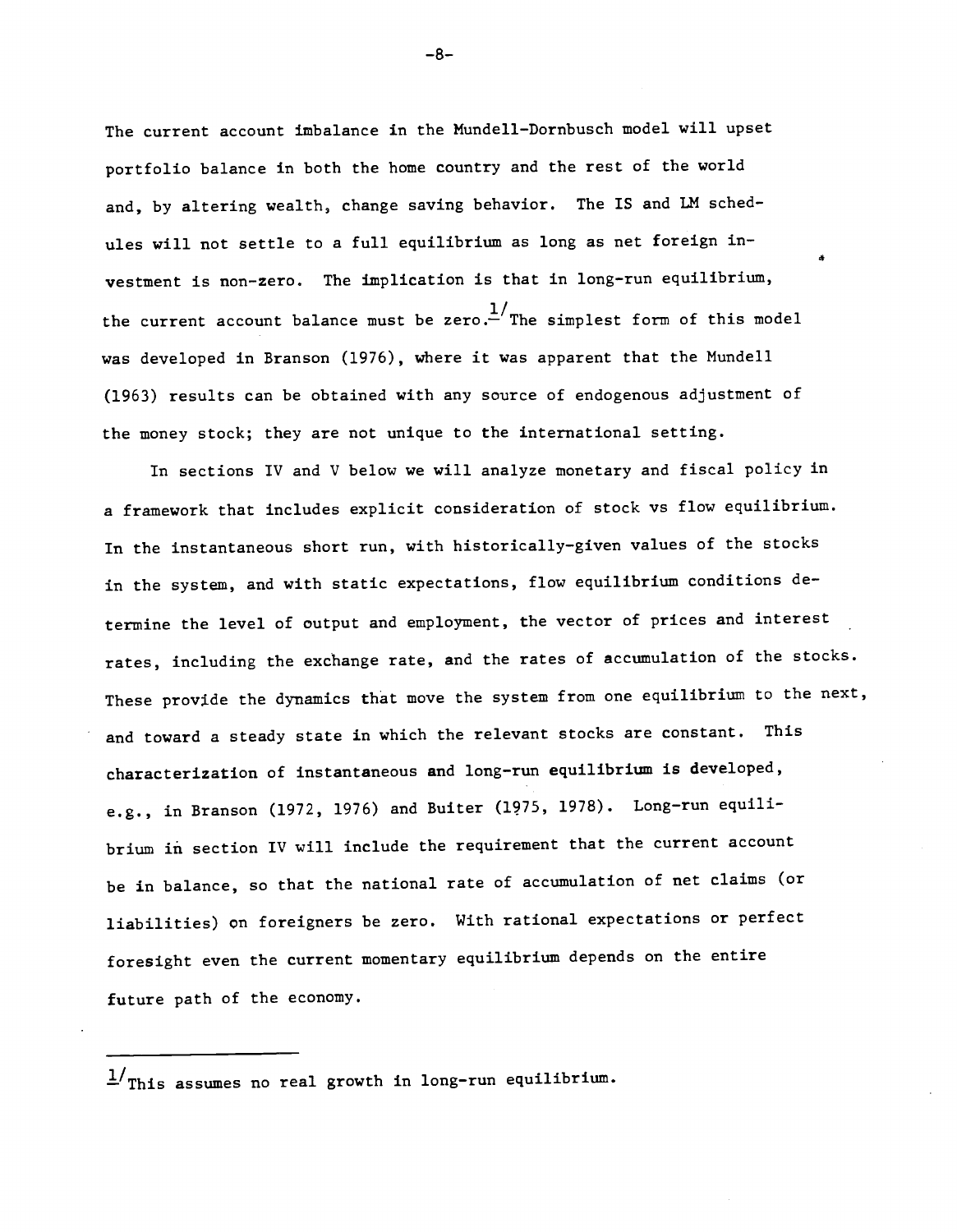The current account imbalance in the Mundell—Dornbusch model will upset portfolio balance in both the home country and the rest of the world and, by altering wealth, change saving behavior. The IS and LM schedules will not settle to a full equilibrium as long as net foreign investment is non—zero. The implication is that in long—run equilibrium, the current account balance must be zero. $\frac{1}{1}$  The simplest form of this model was developed in Branson (1976), where it was apparent that the Nundell (1963) results can be obtained with any source of endogenous adjustment of the money stock; they are not unique to the international setting.

 $\frac{1}{2}$ 

In sections IV and V below we will analyze monetary and fiscal policy in a framework that includes explicit consideration of stock vs flow equilibrium. In the instantaneous short run, with historically—given values of the stocks in the system, and with static expectations, flow equilibrium conditions determine the level of output and employment, the vector of prices and interest rates, including the exchange rate, and the rates of accumulation of the stocks. These provide the dynamics that move the system from one equilibrium to the next, and toward a steady state in which the relevant stocks are constant. This characterization of instantaneous and long—run equilibrium is developed, e.g., in Branson (1972, 1976) and Buiter (1975, 1978). Long—run equilibrium in section IV will include the requirement that the current account be in balance, so that the national rate of accumulation of net claims (or liabilities) on foreigners be zero. With rational expectations or perfect foresight even the current momentary equilibrium depends on the entire future path of the economy.

 $\frac{1}{T}$ This assumes no real growth in long-run equilibrium.

—8—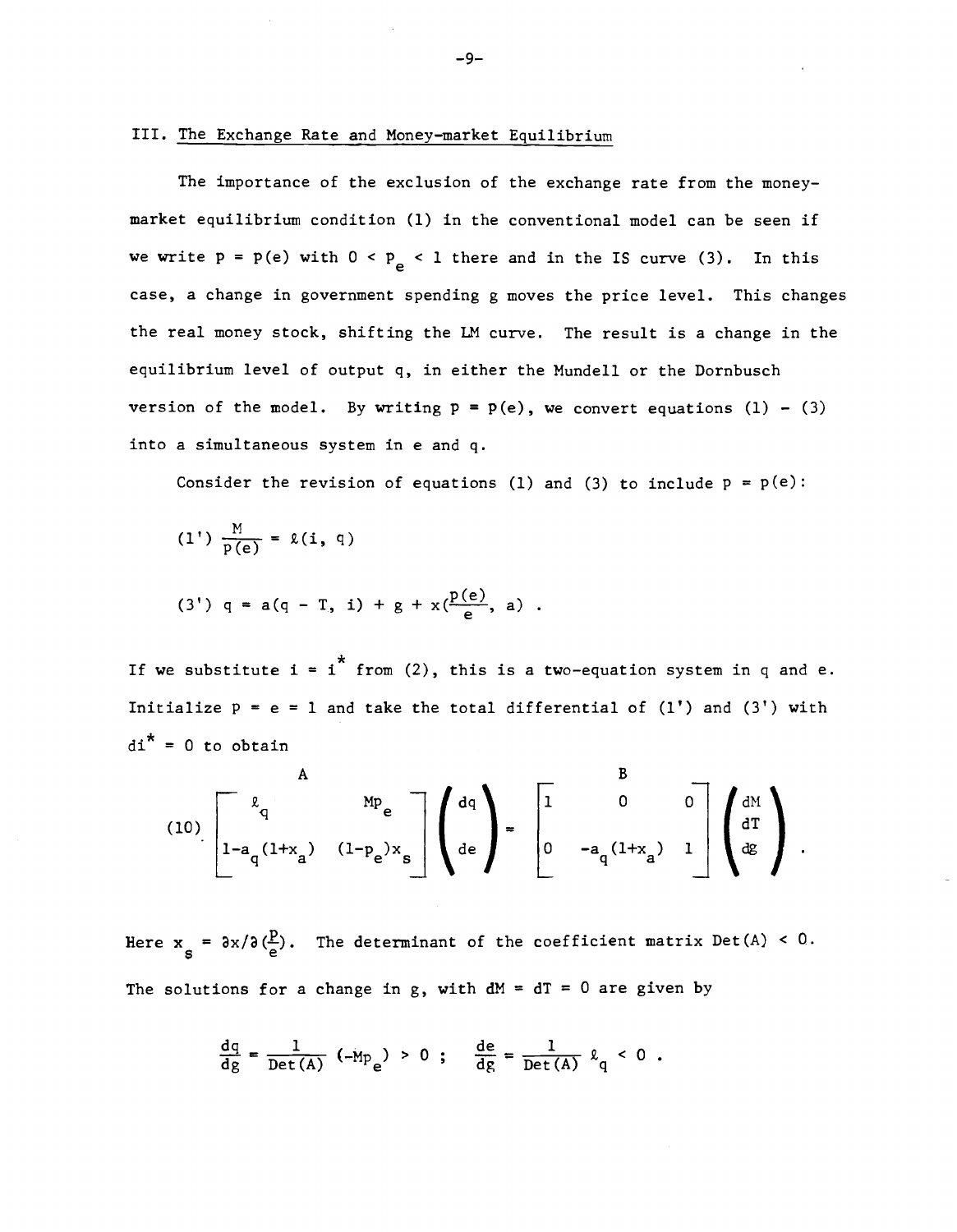## III. The Exchange Rate and Money—market Equilibrium

The importance of the exclusion of the exchange rate from the moneymarket equilibrium condition (1) in the conventional model can be seen if we write  $p = p(e)$  with  $0 < p<sub>e</sub> < 1$  there and in the IS curve (3). In this case, a change in government spending g moves the price level. This changes the real money stock, shifting the LM curve. The result is a change in the equilibrium level of output q, in either the Mundell or the Dornbusch version of the model. By writing  $p = p(e)$ , we convert equations (1) - (3) into a simultaneous system in e and q.

Consider the revision of equations (1) and (3) to include  $p = p(e)$ :

(1') 
$$
\frac{M}{p(e)} = \ell(i, q)
$$
  
(3')  $q = a(q - T, i) + g + x(\frac{p(e)}{e}, a)$ .

If we substitute  $i = i^*$  from (2), this is a two-equation system in q and e. Initialize  $p = e = 1$  and take the total differential of (1') and (3') with  $di^* = 0$  to obtain

(10) 
$$
\begin{bmatrix} \ell_q & Mp_e \\ 1-a_q(1+x_a) & (1-p_e)x_s \end{bmatrix} \begin{bmatrix} dq \\ de \end{bmatrix} = \begin{bmatrix} 1 & 0 & 0 \\ 0 & -a_q(1+x_a) & 1 \end{bmatrix} \begin{bmatrix} dM \\ dT \\ dg \end{bmatrix}.
$$

Here  $x_g = \frac{\partial x}{\partial \left(\frac{p}{e}\right)}$ . The determinant of the coefficient matrix Det(A) < 0. The solutions for a change in g, with  $dM = dT = 0$  are given by<br>  $\frac{dq}{dg} = \frac{1}{Det(A)} (-Mp_e) > 0$ ;  $\frac{de}{dg} = \frac{1}{Det(A)} \ell_q < 0$ .

$$
\frac{dq}{dg} = \frac{1}{Det(A)} (-Mp_e) > 0 ; \quad \frac{de}{dg} = \frac{1}{Det(A)} \ell_q < 0 .
$$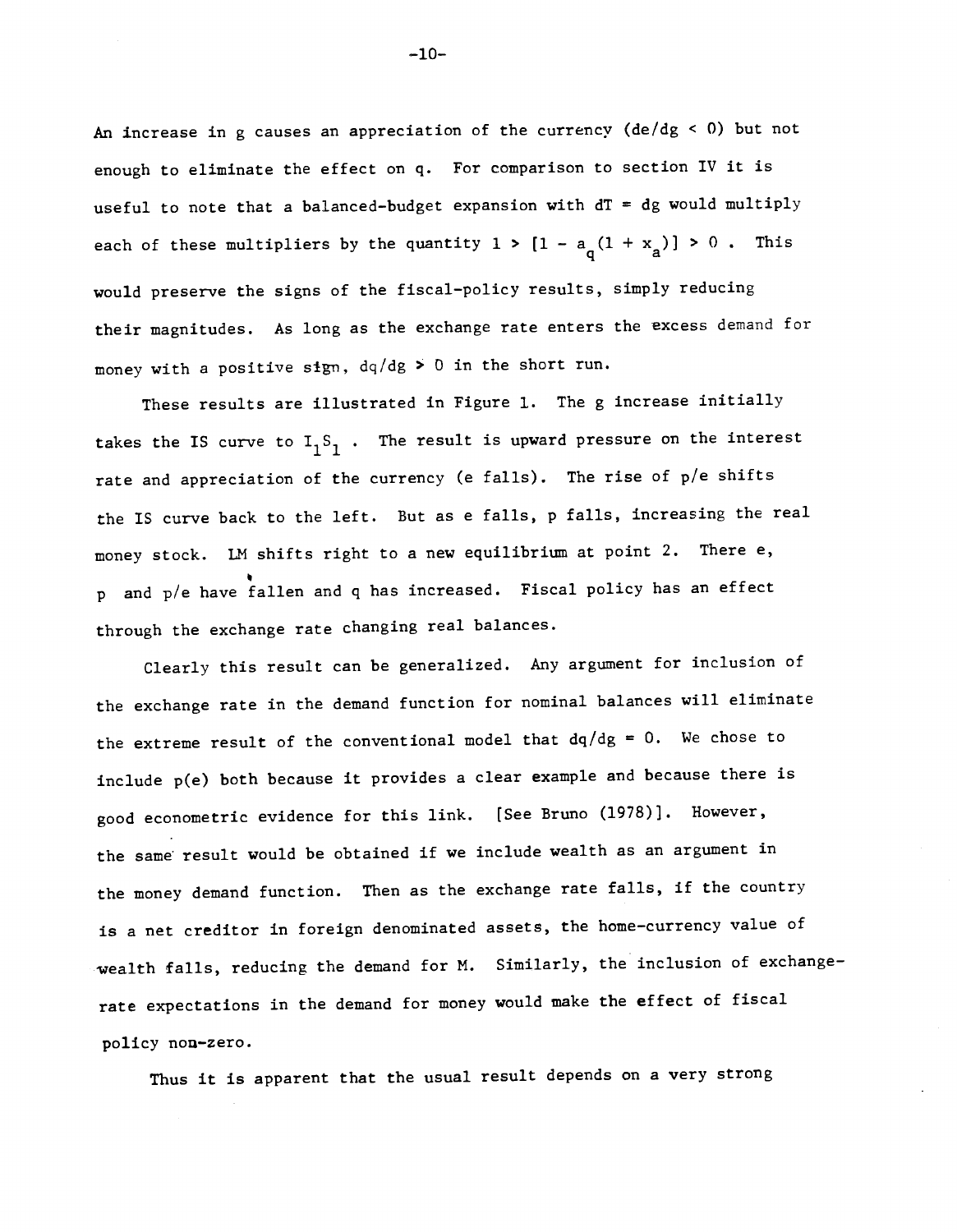An increase in g causes an appreciation of the currency (de/dg < 0) but not enough to eliminate the effect on q. For comparison to section IV it is useful to note that a balanced—budget expansion with dT = dg would multiply each of these multipliers by the quantity  $1 > [1 - a_{\alpha}(1 + x_{a})] > 0$ . This would preserve the signs of the fiscal—policy results, simply reducing their magnitudes. As long as the exchange rate enters the excess demand for money with a positive sign, dq/dg > 0 in the short run.

These results are illustrated in Figure 1. The g increase initially takes the IS curve to  $I_1S_1$ . The result is upward pressure on the interest rate and appreciation of the currency (e falls). The rise of p/e shifts the IS curve back to the left. But as e falls, p falls, increasing the real money stock. LM shifts right to a new equilibrium at point 2. There e, p and p/e have fallen and q has increased. Fiscal policy has an effect through the exchange rate changing real balances.

Clearly this result can be generalized. Any argument for inclusion of the exchange rate in the demand function for nominal balances will eliminate the extreme result of the conventional model that  $dq/dg = 0$ . We chose to include p(e) both because it provides a clear example and because there is good econometric evidence for this link. [See Bruno (1978)]. However, the same result would be obtained if we include wealth as an argument in the money demand function. Then as the exchange rate falls, if the country is a net creditor in foreign denominated assets, the home—currency value of wealth falls, reducing the demand for M. Similarly, the inclusion of exchangerate expectations in the demand for money would make the effect of fiscal policy non—zero.

Thus it is apparent that the usual result depends on a very strong

—10—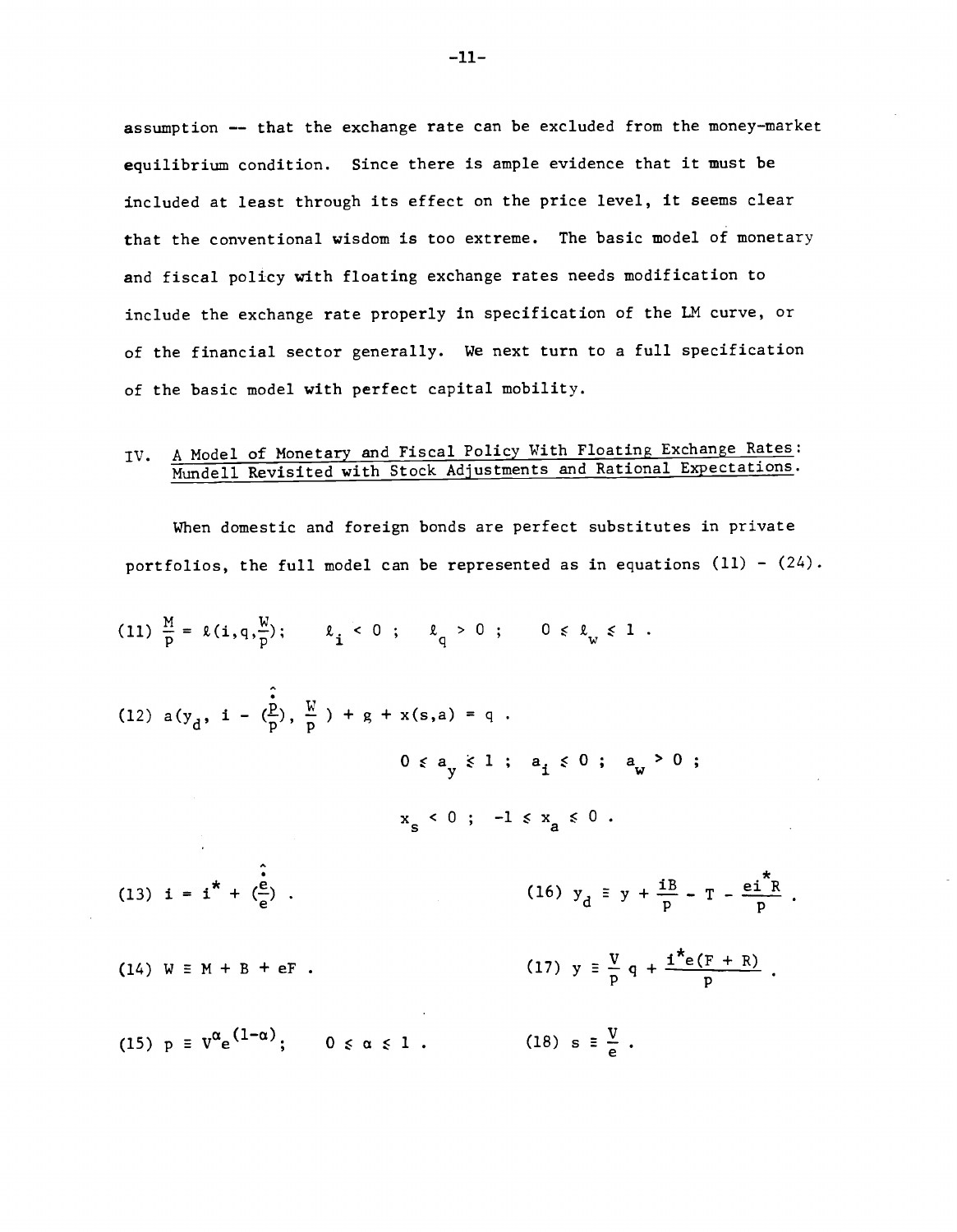assumption —— that the exchange rate can be excluded from the money—market equilibrium condition. Since there is ample evidence that it must be included at least through its effect on the price level, it seems clear that the conventional wisdom is too extreme. The basic model of monetary and fiscal policy with floating exchange rates needs modification to include the exchange rate properly in specification of the LN curve, or of the financial sector generally. We next turn to a full specification of the basic model with perfect capital mobility.

## IV. A Model of Monetary and Fiscal Policy With Floating Exchange Rates: Mundell Revisited with Stock Adjustments and Rational Expectations.

When domestic and foreign bonds are perfect substitutes in private portfolios, the full model can be represented as in equations  $(11) - (24)$ .

(11) 
$$
\frac{M}{p} = \ell(i, q, \frac{W}{p});
$$
  $\ell_i < 0 ;$   $\ell_q > 0 ;$   $0 \le \ell_w \le 1 .$ 

(12) 
$$
a(y_d, i - \langle \frac{p}{p} \rangle, \frac{w}{p}) + g + x(s, a) = q
$$
.  
  
 $0 \le a_y \le 1; a_i \le 0; a_w > 0;$   
  
 $x_s < 0; -1 \le x_a \le 0.$ 

- (13)  $i = i^* + (e^i)$ .<br>(16)  $y_d = y + \frac{iB}{p} T \frac{ei^*R}{p}$ .
- (14)  $W \equiv M + B + eF$ .<br>(17)  $y \equiv \frac{V}{R} q + \frac{i^*e(F + R)}{R}$ .  $p \rightarrow p$

(15)  $p \equiv V^{\alpha}e^{(1-\alpha)}$ ;  $0 \le \alpha \le 1$ . (18)  $s \equiv \frac{V}{e}$ .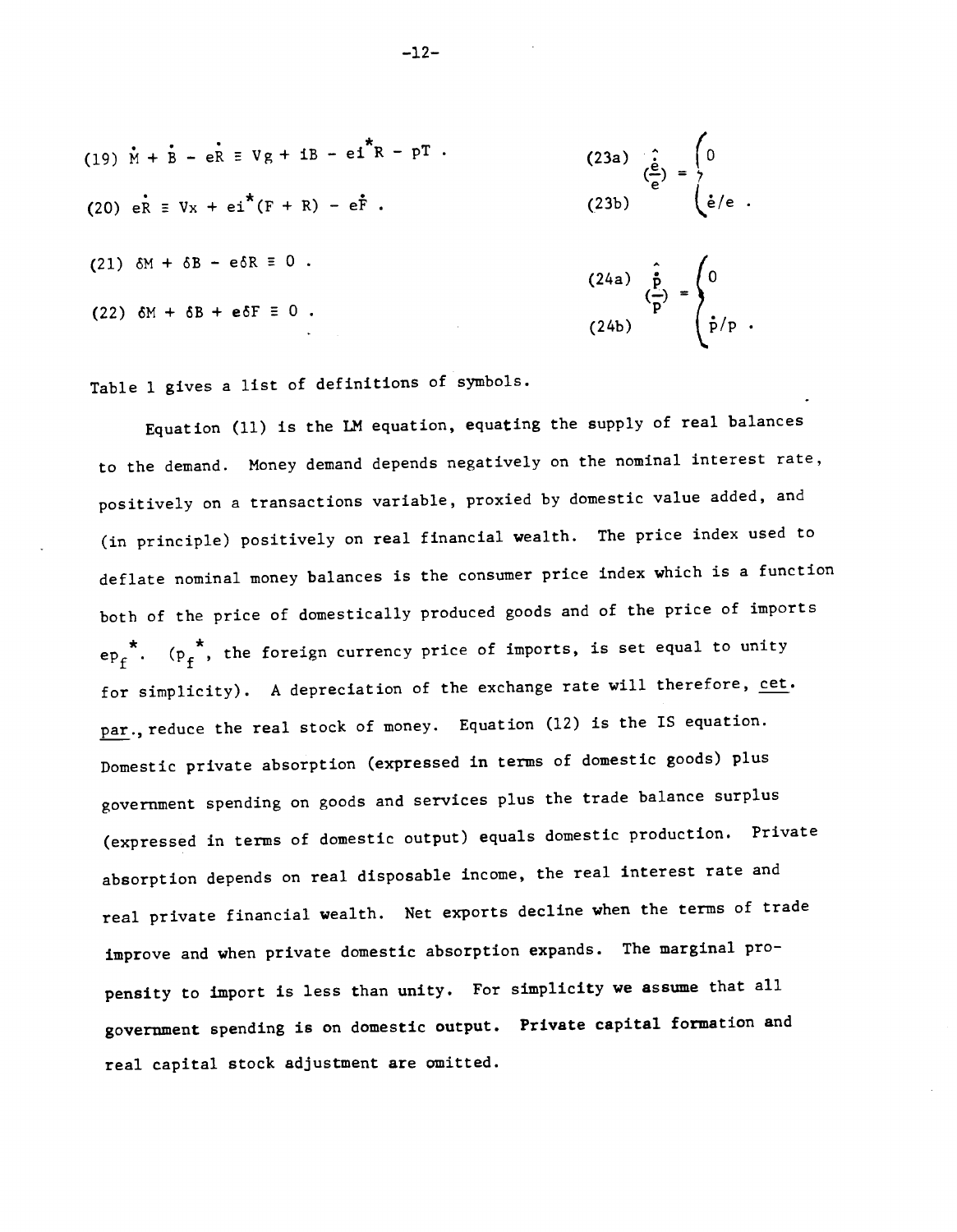| $(19)$ $\dot{M} + \dot{B} - eR = Vg + iB - eI^*R - pT$ . | (23a) $\begin{pmatrix} \frac{2}{e} \\ \frac{1}{e} \end{pmatrix} = \begin{pmatrix} 0 \\ \frac{1}{e} \end{pmatrix}$<br>(23b) |
|----------------------------------------------------------|----------------------------------------------------------------------------------------------------------------------------|
| (20) $eR = Vx + ei^{*}(F + R) - eF$ .                    |                                                                                                                            |
| $(21)$ $\delta M + \delta B - e \delta R = 0$ .          |                                                                                                                            |
| $(22)$ $\delta M + \delta B + e \delta F = 0$ .          | (24a) $\frac{\hat{p}}{p} = \begin{cases} 0 \\ \hat{p}/p \end{cases}$<br>(24b) $\hat{p}/p$ .                                |

Table 1 gives a list of definitions of symbols.

Equation (11) is the LM equation, equating the supply of real balances to the demand. Money demand depends negatively on the nominal interest rate, positively on a transactions variable, proxied by domestic value added, and (in principle) positively on real financial wealth. The price index used to deflate nominal money balances is the consumer price index which is a function both of the price of domestically produced goods and of the price of imports  $\star$   $\star$   $\star$   $\star$  $ep_f$ . ( $p_f$ , the foreign currency price of imports, is set equal to unity for simplicity). A depreciation of the exchange rate will therefore, cet. par., reduce the real stock of money. Equation (12) is the IS equation. Domestic private absorption (expressed in terms of domestic goods) plus government spending on goods and services plus the trade balance surplus (expressed in terms of domestic output) equals domestic production. Private absorption depends on real disposable income, the real interest rate and real private financial wealth. Net exports decline when the terms of trade improve and when private domestic absorption expands. The marginal propensity to import is less than unity. For simplicity we assume that all government spending is on domestic output. Private capital formation and real capital stock adjustment are omitted.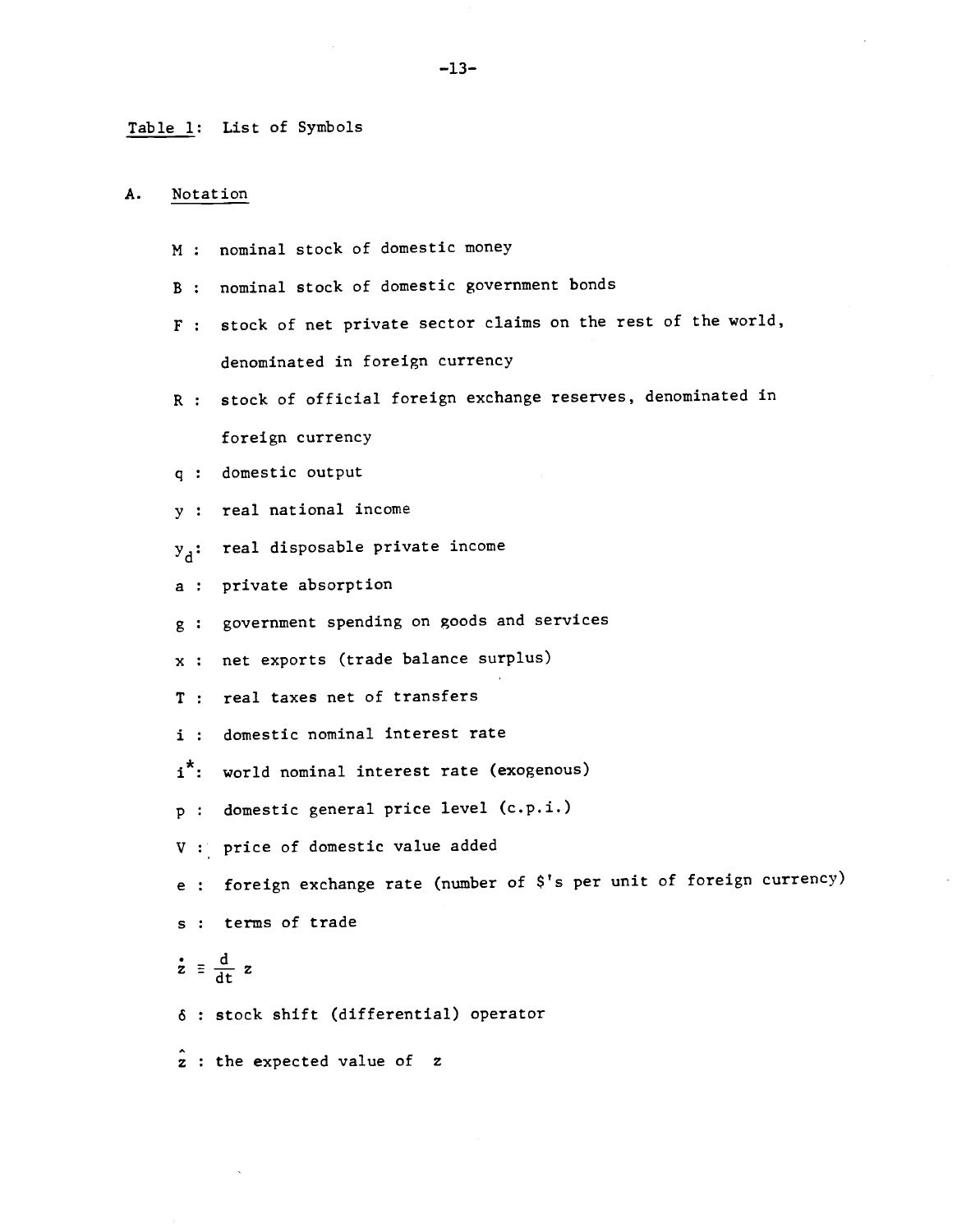Table 1: List of Symbols

## A. Notation

- M : nominal stock of domestic money
- B : nominal stock of domestic government bonds
- F : stock of net private sector claims on the rest of the world, denominated in foreign currency
- R stock of official foreign exchange reserves, denominated in foreign currency
- q domestic output
- y : real national income
- $y_A$ : real disposable private income
- a : private absorption
- g : government spending on goods and services
- x : net exports (trade balance surplus)
- T : real taxes net of transfers
- i domestic nominal interest rate
- i<sup>\*</sup>: world nominal interest rate (exogenous)
- p : domestic general price level (c.p.i.)
- V : price of domestic value added
- e : foreign exchange rate (number of \$'s per unit of foreign currency)
- s : terms of trade

$$
\dot{z} = \frac{d}{dt} z
$$

6 : stock shift (differential) operator

z : the expected value of z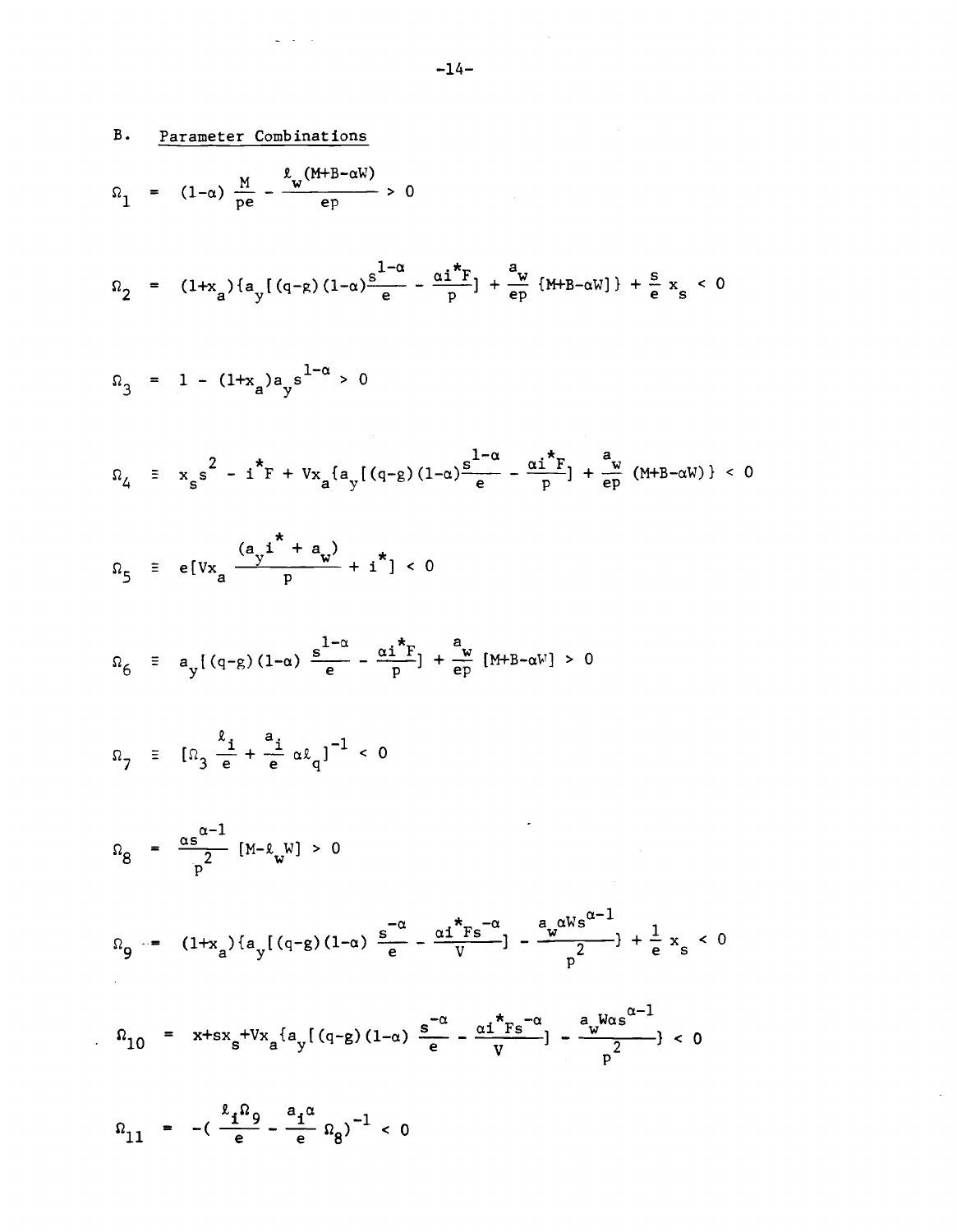B. Parameter Combinations

$$
\Omega_1 = (1-\alpha) \frac{M}{pe} - \frac{\ell_w (M+B-\alpha W)}{ep} > 0
$$

$$
\Omega_2 = (1+x_a)\{a_y[(q-p)(1-a)\frac{s^{1-\alpha}}{e} - \frac{ai^*F}{p}] + \frac{a_w}{ep}\{M+B-\alpha W]\} + \frac{s}{e}x_s < 0
$$

$$
\Omega_3 = 1 - (1 + x_a) a_y s^{1 - \alpha} > 0
$$

$$
\Omega_{4} \equiv x_{s} s^{2} - i^{*} F + V x_{a} \{a_{y} \left[\left(q - g\right) \left(1 - \alpha\right) \frac{s^{1 - \alpha}}{e} - \frac{\alpha i^{*} F}{p}\right] + \frac{a_{w}}{ep} \left(M + B - \alpha W\right)\} < 0
$$

$$
\Omega_5 \equiv e[Vx_a \frac{(a_yi^* + a_y)}{p} + i^*] < 0
$$

$$
\Omega_{6} = a_{y} \left[ (q-g) (1-\alpha) \frac{s^{1-\alpha}}{e} - \frac{\alpha i^{*} F}{p} \right] + \frac{a_{w}}{ep} \left[ M+B-\alpha W \right] > 0
$$

$$
\Omega_7 \equiv [\Omega_3 \frac{\ell_1}{e} + \frac{a_1}{e} \alpha \ell_q]^{-1} < 0
$$

$$
\Omega_{g} = \frac{\alpha s^{\alpha - 1}}{p^2} \left[ M - \ell_{w} W \right] > 0
$$

$$
\Omega_{g} = (1+x_{a})\{a_{y}[(q-g)(1-\alpha)\frac{s^{-\alpha}}{e} - \frac{\alpha i^{*}F s^{-\alpha}}{V}] - \frac{a_{y}\alpha W s^{\alpha-1}}{p^{2}} + \frac{1}{e}x_{s} < 0
$$

 $\label{eq:2.1} \frac{1}{\sqrt{2}}\int_{\mathbb{R}^3}\frac{1}{\sqrt{2}}\left(\frac{1}{\sqrt{2}}\right)^2\frac{1}{\sqrt{2}}\left(\frac{1}{\sqrt{2}}\right)^2\frac{1}{\sqrt{2}}\left(\frac{1}{\sqrt{2}}\right)^2\frac{1}{\sqrt{2}}\left(\frac{1}{\sqrt{2}}\right)^2.$ 

 $\sim$ 

$$
\Omega_{10} = x + s x_s + v x_a \{a_y \} (q - g) (1 - \alpha) \frac{s^{-\alpha}}{e} - \frac{\alpha i^* s^{-\alpha}}{v} - \frac{a_w w \alpha s^{\alpha - 1}}{p^2} < 0
$$

$$
\Omega_{11} = -(\frac{\ell_1 \Omega_9}{e} - \frac{a_1 \alpha}{e} \Omega_8)^{-1} < 0
$$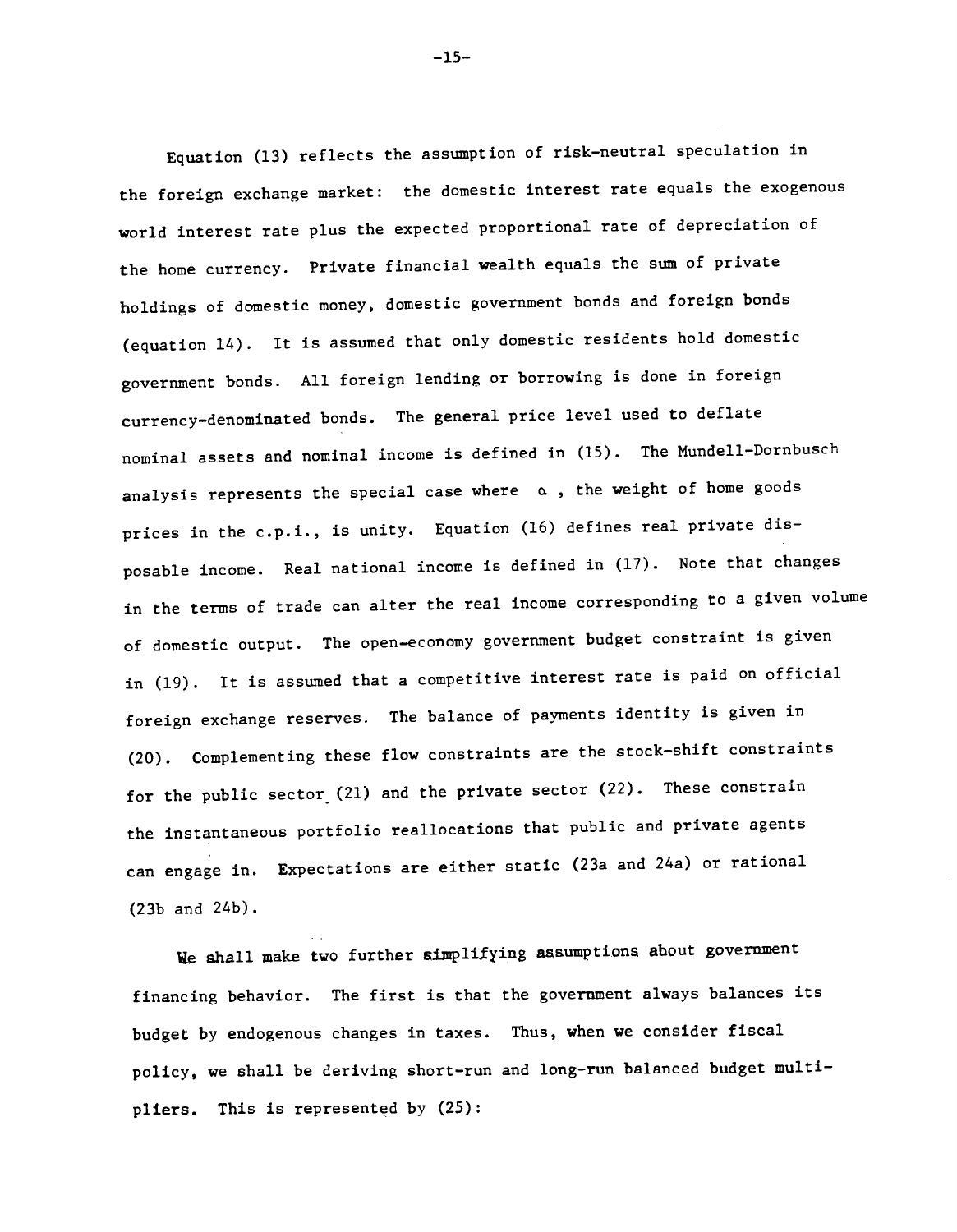Equation (13) reflects the assumption of risk—neutral speculation in the foreign exchange market: the domestic interest rate equals the exogenous world interest rate plus the expected proportional rate of depreciation of the home currency. Private financial wealth equals the sum of private holdings of domestic money, domestic government bonds and foreign bonds (equation 14). It is assumed that only domestic residents hold domestic government bonds. All foreign lending or borrowing is done in foreign currency—denominated bonds. The general price level used to deflate nominal assets and nominal income is defined in (15). The Mundell—DornbusCh analysis represents the special case where  $\alpha$ , the weight of home goods prices in the c.p.i., is unity. Equation (16) defines real private disposable income. Real national income is defined in (17). Note that changes in the terms of trade can alter the real income corresponding to a given volume of domestic output. The open—economy government budget constraint is given in (19). It is assumed that a competitive interest rate is paid on official foreign exchange reserves. The balance of payments identity is given in (20). Complementing these flow constraints are the stock—shift constraints for the public sector (21) and the private sector (22). These constrain the instantaneous portfolio reallocations that public and private agents can engage in. Expectations are either static (23a and 24a) or rational (23b and 24b).

We shall make two further simplifying assumptions about government financing behavior. The first is that the government always balances its budget by endogenous changes in taxes. Thus, when we consider fiscal policy, we shall be deriving short—run and long-run balanced budget multipliers. This is represented by (25):

—15—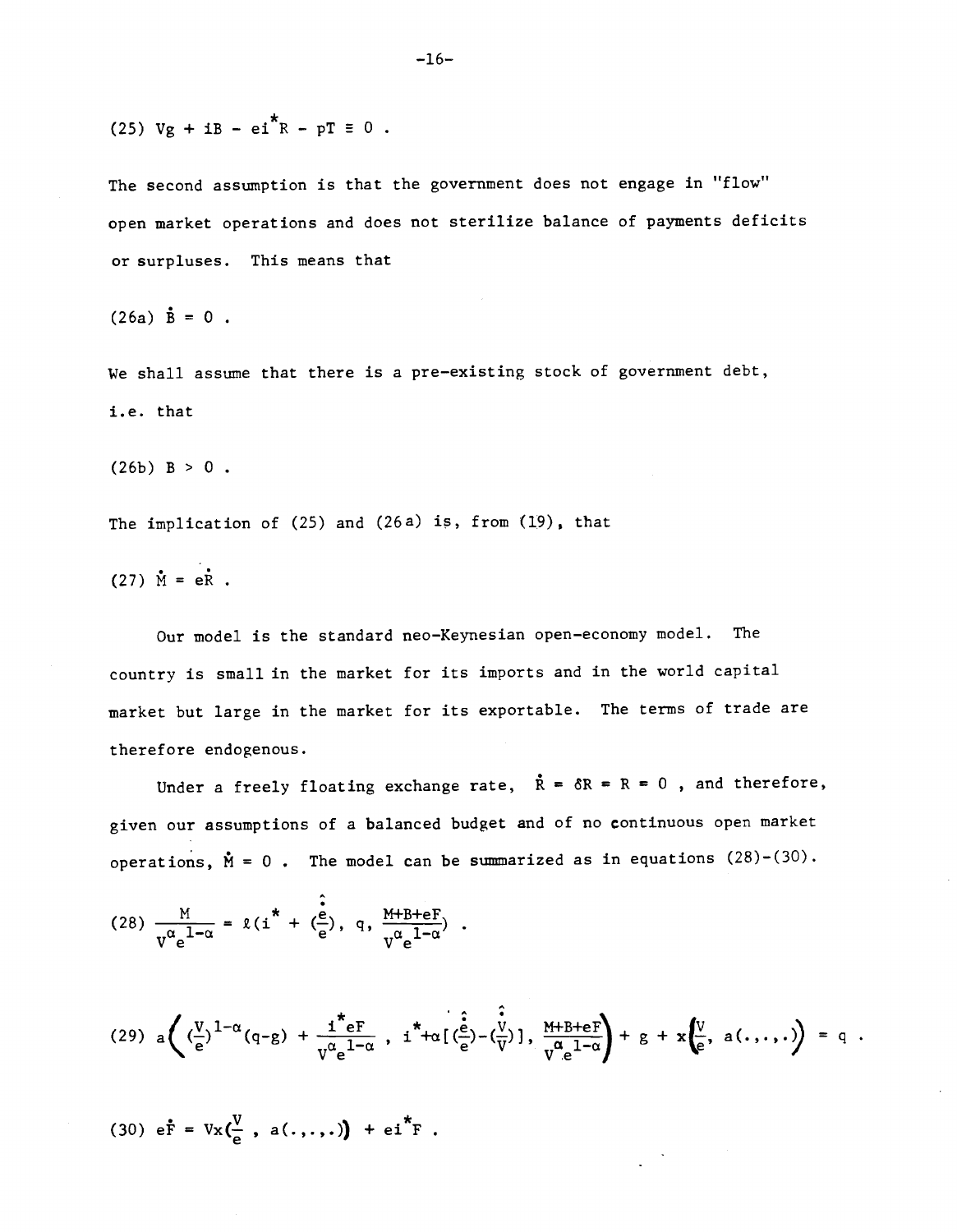(25) 
$$
Vg + iB - ei^R - pT \equiv 0
$$
.

The second assumption is that the government does not engage in "flow" open market operations and does not sterilize balance of payments deficits or surpluses. This means that

 $(26a)$   $\dot{B} = 0$ .

We shall assume that there is a pre-existing stock of government debt, i.e. that

 $(26b)$  B > 0.

The implication of  $(25)$  and  $(26a)$  is, from  $(19)$ , that

 $(27)$   $\dot{M} = eR$ .

Our model is the standard neo—Keynesian open—economy model. The country is small in the market for its imports and in the world capital market but large in the market for its exportable. The terms of trade are therefore endogenous.

Under a freely floating exchange rate,  $\dot{R} = \delta R = R = 0$ , and therefore, given our assumptions of a balanced budget and of no continuous open market operations,  $\dot{M} = 0$ . The model can be summarized as in equations  $(28)-(30)$ .

(28) 
$$
\frac{M}{v^{\alpha}e^{1-\alpha}} = \ell(i^* + (\frac{e}{e}), q, \frac{M+B+eF}{v^{\alpha}e^{1-\alpha}})
$$

$$
(29) \ \mathsf{a}\left(\left(\frac{\mathsf{V}}{\mathsf{e}}\right)^{1-\alpha}\left(\mathsf{q}-\mathsf{g}\right) + \frac{\mathsf{i}^{\star}\mathsf{e}\mathsf{F}}{\mathsf{v}^{\alpha}\mathsf{e}^{1-\alpha}}\right),\ \mathsf{i}^{\star}+\mathsf{a}\left(\left(\frac{\hat{\mathsf{e}}}{\mathsf{e}}\right)-\left(\frac{\mathsf{V}}{\mathsf{V}}\right)\right),\ \frac{\mathsf{M}+\mathsf{B}+\mathsf{e}\mathsf{F}}{\mathsf{v}^{\alpha}\mathsf{e}^{1-\alpha}}\right) + \mathsf{g} + \mathsf{x}\left(\frac{\mathsf{V}}{\mathsf{e}},\ \mathsf{a}\left(\ldots,\mathsf{v}\right)\right) = \mathsf{q} \ .
$$

(30) 
$$
e^{\frac{1}{r}} = Vx(\frac{V}{e}, a(.,.,.)) + ei^*F
$$
.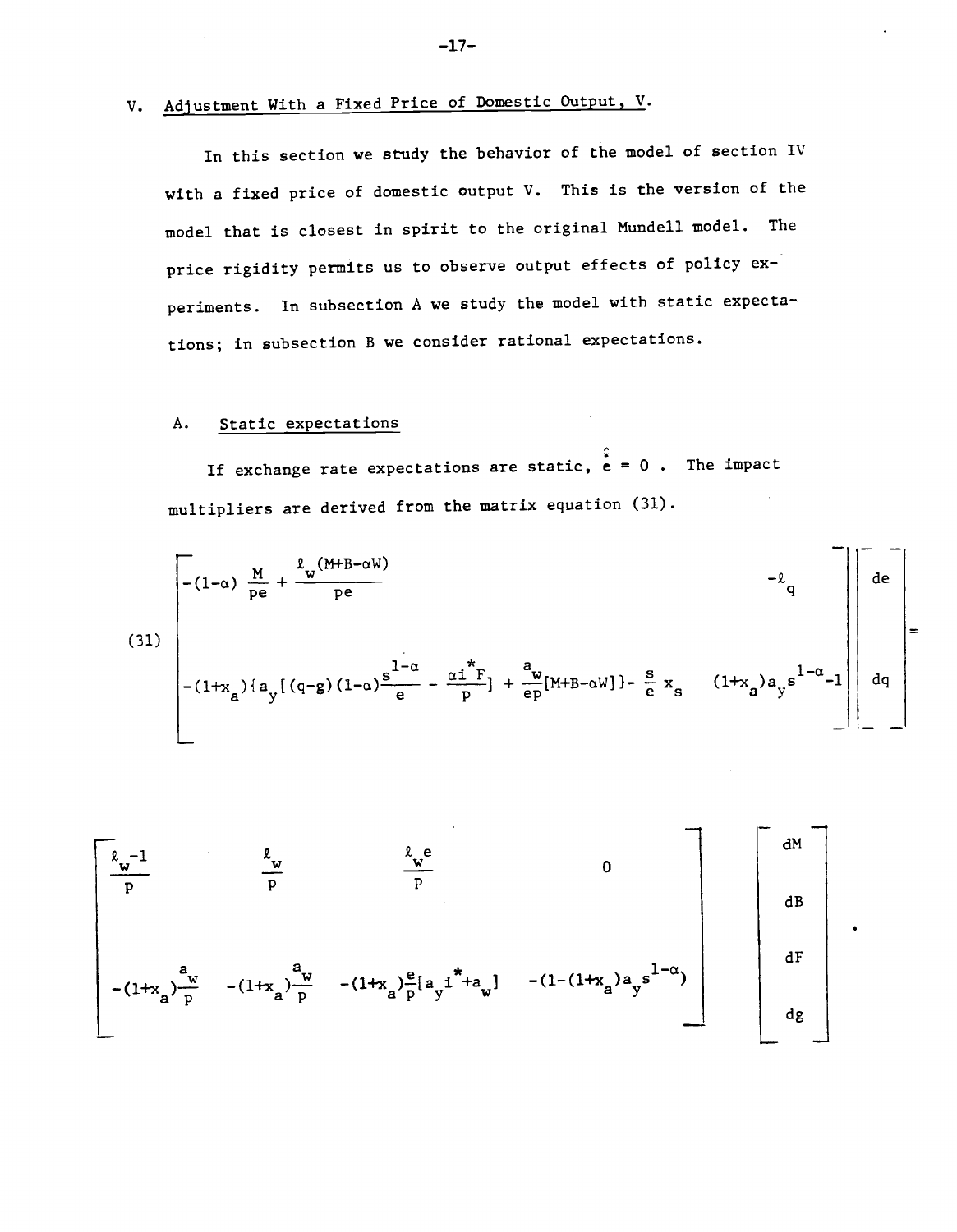# V. Adjustment With a Fixed Price of Domestic Output, V.

In this section we study the behavior of the model of section IV with a fixed price of domestic output V. This is the version of the model that is closest in spirit to the original Mundell model. The price rigidity permits us to observe output effects of policy experiments. In subsection A we study the model with static expectations; in subsection B we consider rational expectations.

## A. Static expectations

If exchange rate expectations are static,  $\stackrel{\bullet}{\mathbf{e}} = 0$ . The impact multipliers are derived from the matrix equation (31).





—17—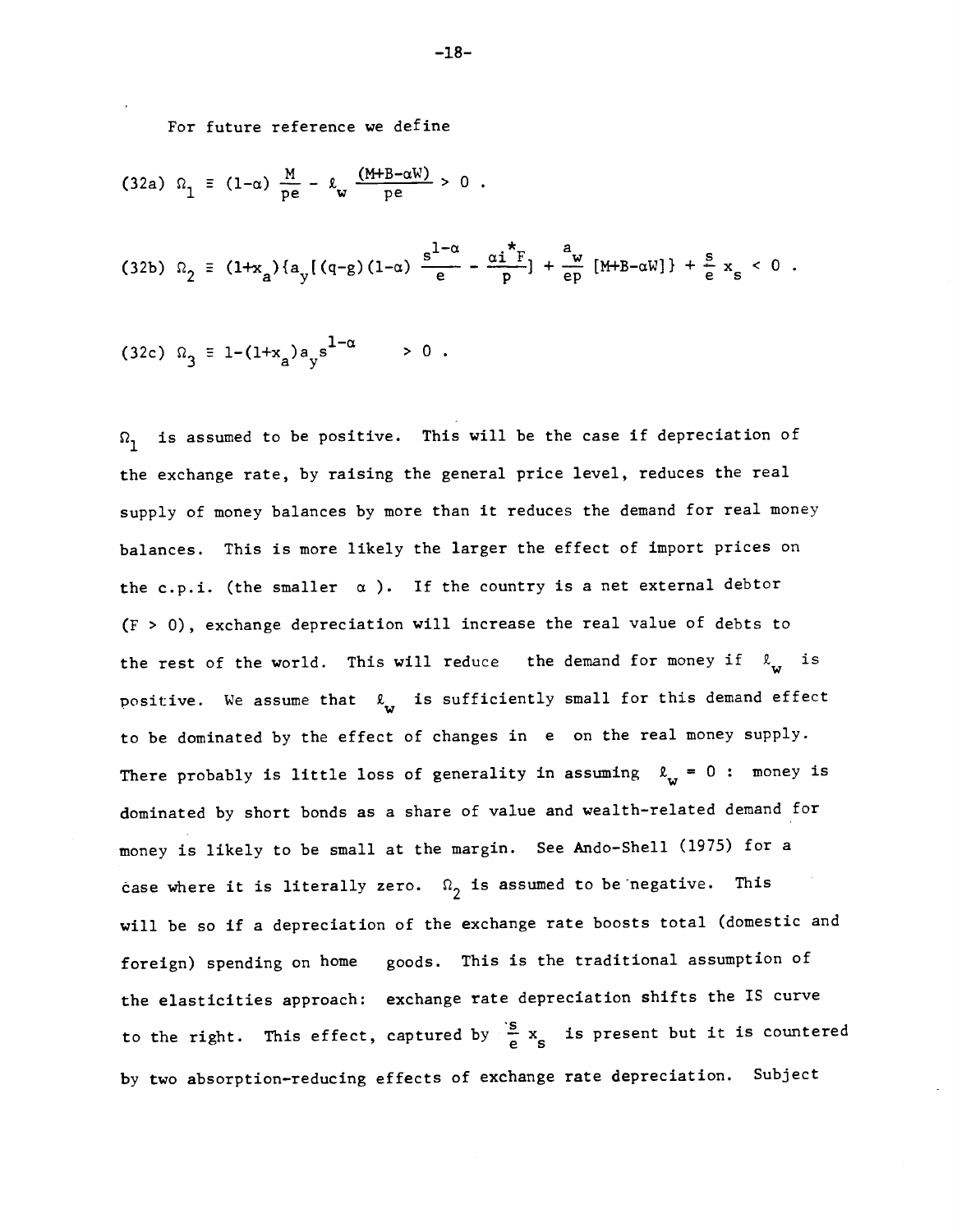For future reference we define

$$
(32a) \Omega_1 \equiv (1-\alpha) \frac{M}{pe} - \ell_w \frac{(M+B-\alpha W)}{pe} > 0.
$$

$$
(32b) \ \Omega_2 \equiv (1+x_a)\{a_y[(q-g)(1-\alpha)\frac{s^{1-\alpha}}{e} - \frac{\alpha i^*}{p}] + \frac{a_y}{ep}[M+B-\alpha W]\} + \frac{s}{e}x_s < 0.
$$

(32c) 
$$
\Omega_3 = 1 - (1 + x_a) a_y s^{1 - \alpha} > 0
$$
.

is assumed to be positive. This will be the case if depreciation of  $\Omega$ <sub>1</sub> the exchange rate, by raising the general price level, reduces the real supply of money balances by more than it reduces the demand for real money balances. This is more likely the larger the effect of import prices on the c.p.i. (the smaller  $\alpha$ ). If the country is a net external debtor (F > 0), exchange depreciation will increase the real value of debts to the rest of the world. This will reduce the demand for money if  $\ell_\mathbf{w}$  is positive. We assume that  $\ell_{\rm cr}$  is sufficiently small for this demand effect to be dominated by the effect of changes in e on the real money supply. There probably is little loss of generality in assuming  $\ell_{\rm tr} = 0$ : money is dominated by short bonds as a share of value and wealth—related demand for money is likely to be small at the margin. See Ando—Shell (1975) for a case where it is literally zero.  $\Omega_2$  is assumed to be negative. This will be so if a depreciation of the exchange rate boosts total (domestic and foreign) spending on home goods. This is the traditional assumption of the elasticities approach: exchange rate depreciation shifts the IS curve to the right. This effect, captured by  $\frac{S}{e}$  x<sub>5</sub> is present but it is countered by two absorption—reducing effects of exchange rate depreciation. Subject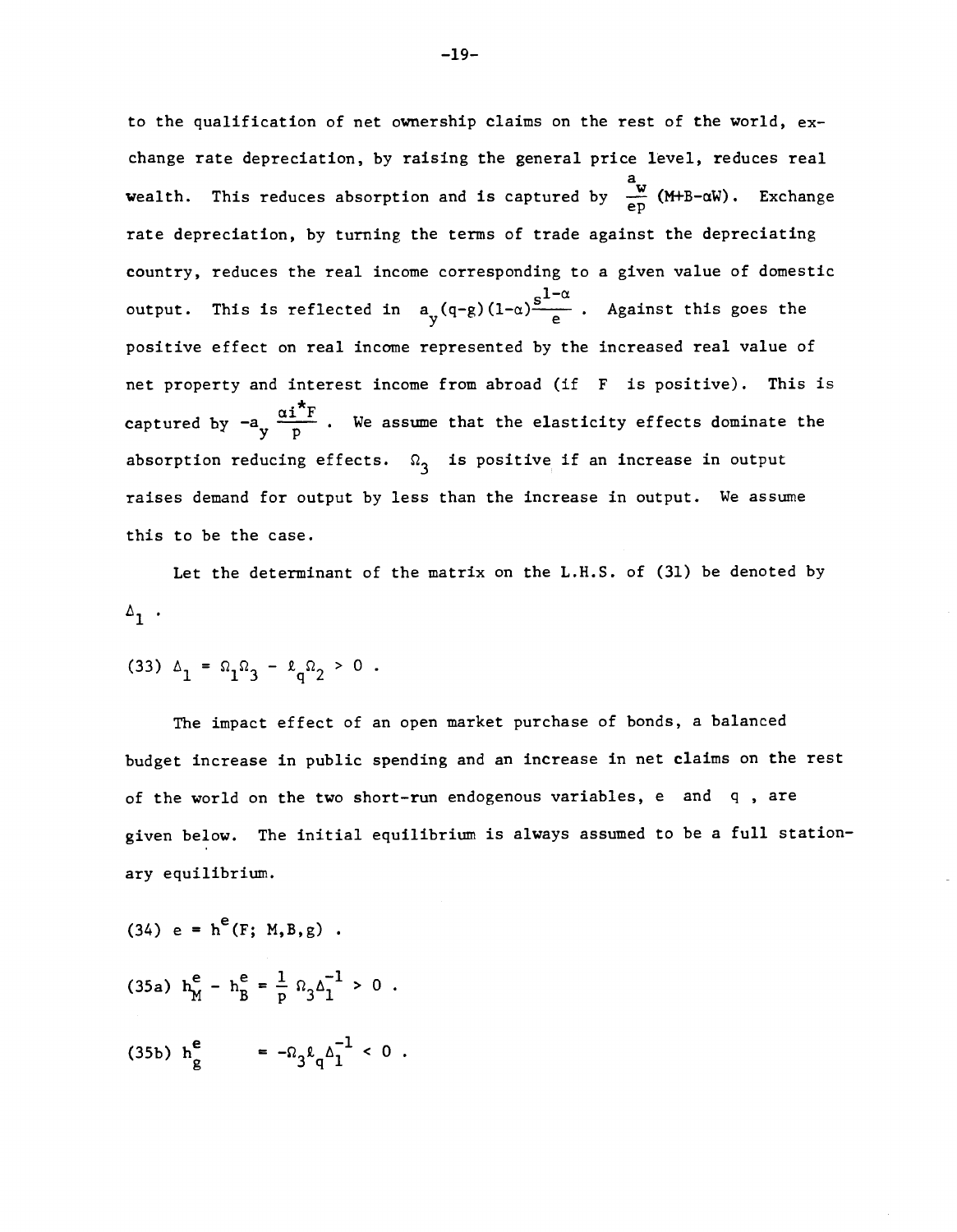to the qualification of net ownership claims on the rest of the world, exchange rate depreciation, by raising the general price level, reduces real wealth. This reduces absorption and is captured by  $\frac{a}{e^p}$  (M+B-aW). Exchange rate depreciation, by turning the terms of trade against the depreciating country, reduces the real income corresponding to a given value of domestic output. This is reflected in  $a_y(q-g)(1-\alpha)\frac{v}{e}$  . Against this goes the positive effect on real income represented by the increased real value of net property and interest income from abroad (if F is positive). This is captured by  $-a_{\rm v}$   $-\frac{1}{\rm p}$  . W  $\overline{\alpha_1^*}$  . We assume that the elasticity effects dominate the absorption reducing effects.  $\Omega_3$  is positive if an increase in output raises demand for output by less than the increase in output. We assume this to be the case.

Let the determinant of the matrix on the L.H.S. of (31) be denoted by  $\Delta$ <sub>1</sub>.

$$
(33) \Delta_1 = \Omega_1 \Omega_3 - \ell_q \Omega_2 > 0.
$$

The impact effect of an open market purchase of bonds, a balanced budget increase in public spending and an Increase in net claims on the rest of the world on the two short—run endogenous variables, e and q , are given below. The initial equilibrium is always assumed to be a full stationary equilibrium.

(34) e = h<sup>e</sup>(F; M, B, g).  
\n(35a) h<sub>M</sub><sup>e</sup> - h<sub>B</sub><sup>e</sup> = 
$$
\frac{1}{p} \Omega_3 \Delta_1^{-1} > 0
$$
.  
\n(35b) h<sub>g</sub><sup>e</sup> =  $-\Omega_3 \ell_q \Delta_1^{-1} < 0$ .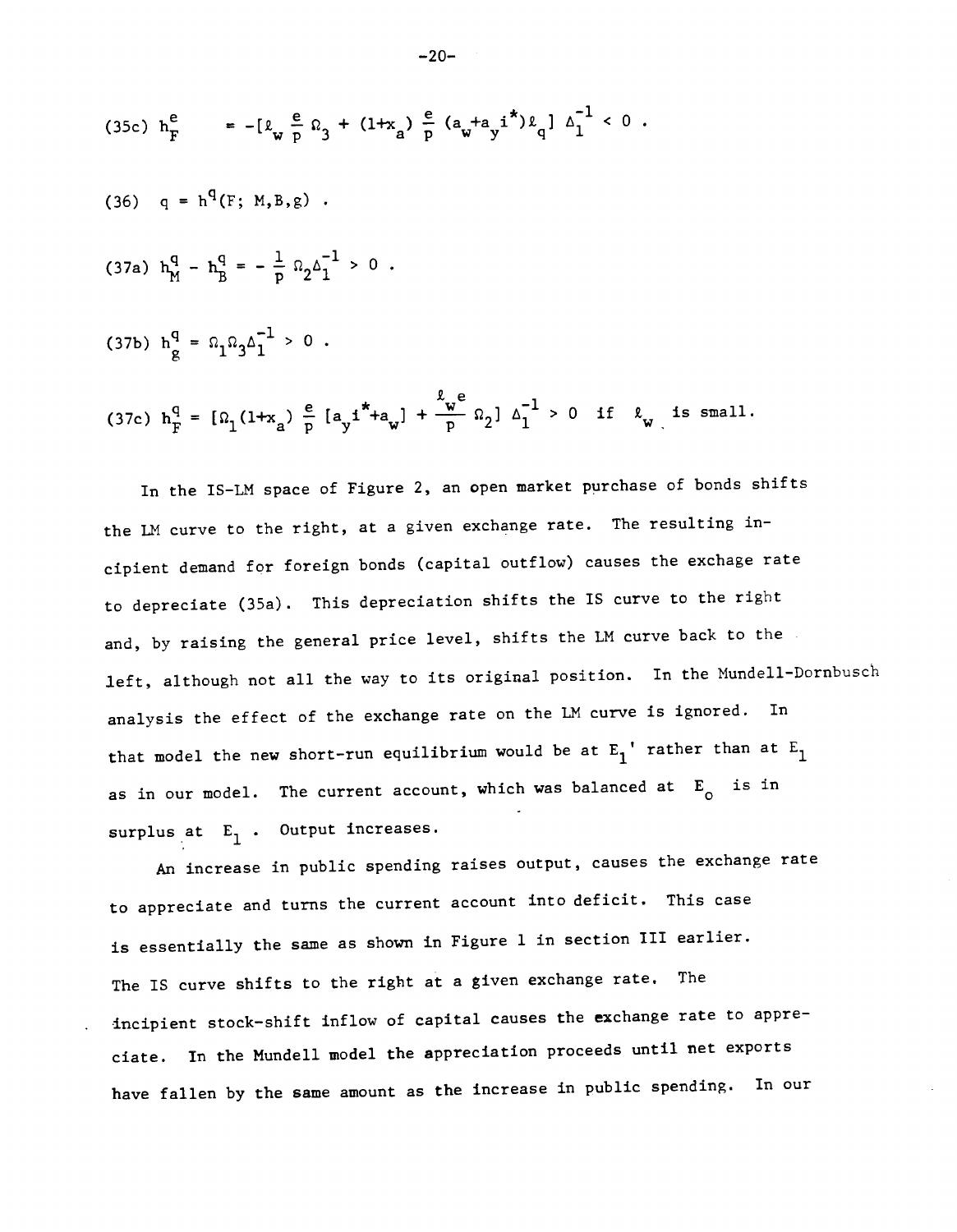(35c) 
$$
h_F^e
$$
 =  $-\left[\ell_w \frac{e}{p} \Omega_3 + (1 + x_a) \frac{e}{p} (a_w + a_y i^*) \ell_q\right] \Delta_1^{-1} < 0$ .  
\n(36)  $q = h^q(F; M, B, g)$ .  
\n(37a)  $h_M^q - h_B^q = -\frac{1}{p} \Omega_2 \Delta_1^{-1} > 0$ .  
\n(37b)  $h_g^q = \Omega_1 \Omega_3 \Delta_1^{-1} > 0$ .  
\n(37c)  $h_F^q = \left[\Omega_1 (1 + x_a) \frac{e}{p} [a_y i^* + a_y] + \frac{\ell_w e}{p} \Omega_2 \right] \Delta_1^{-1} > 0$  if  $\ell_w$  is small.

In the IS—LM space of Figure 2, an open market purchase of bonds shifts the LM curve to the right, at a given exchange rate. The resulting incipient demand for foreign bonds (capital outflow) causes the exchage rate to depreciate (35a). This depreciation shifts the IS curve to the right and, by raising the general price level, shifts the LM curve back to the left, although not all the way to its original position. In the Nundell-Dornbusch analysis the effect of the exchange rate on the LN curve is ignored. In that model the new short-run equilibrium would be at  $E_1$ <sup>t</sup> rather than at  $E_1$ as in our model. The current account, which was balanced at  $E_{\overline{O}}$  is in surplus at  $E_1$ . Output increases.

An increase in public spending raises output, causes the exchange rate to appreciate and turns the current account into deficit. This case is essentially the same as shown in Figure 1 in section III earlier. The IS curve shifts to the right at a given exchange rate. The incipient stock-shift inflow of capital causes the exchange rate to appreciate. In the Mundell model the appreciation proceeds until net exports have fallen by the same amount as the increase in public spending. In our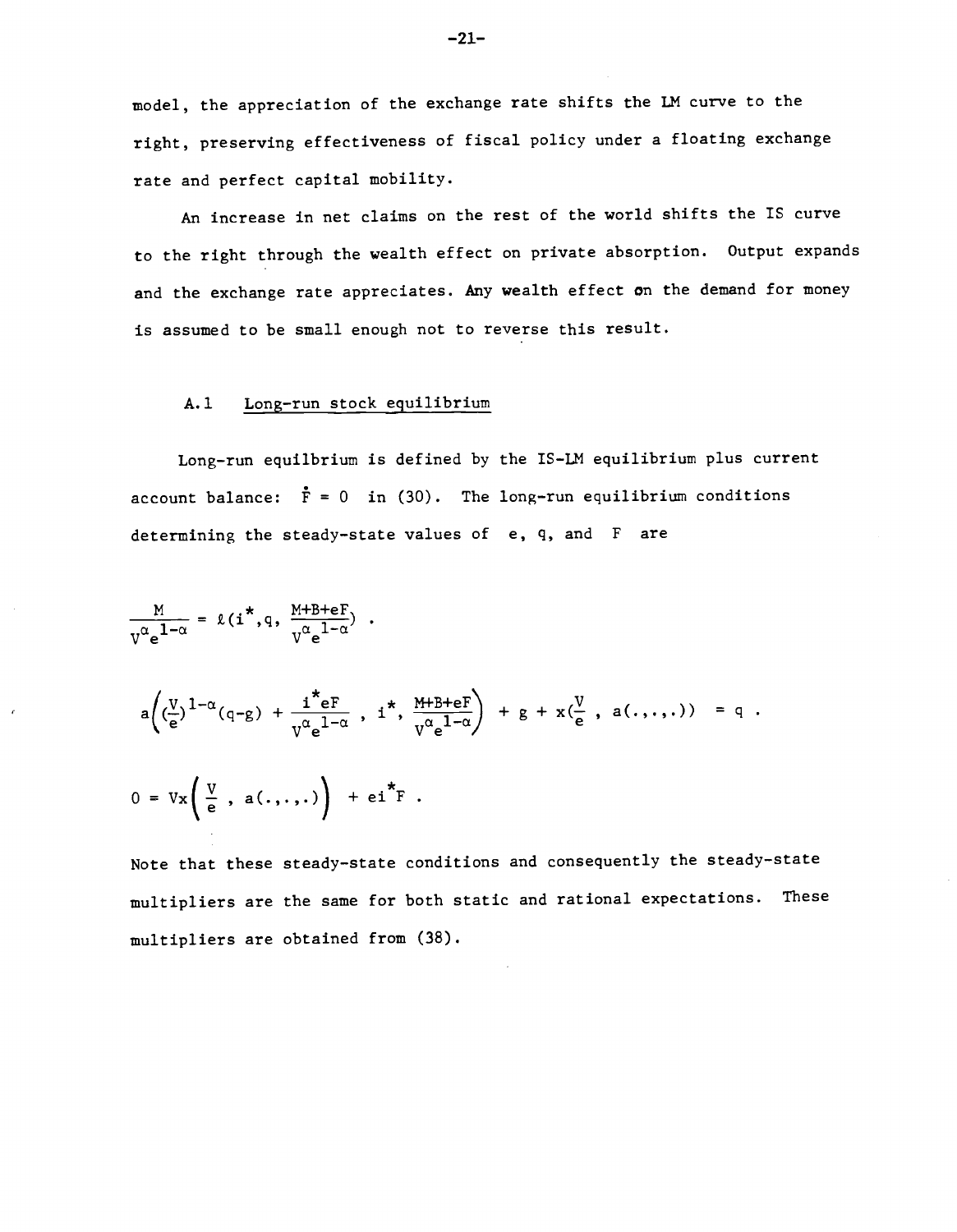model, the appreciation of the exchange rate shifts the LM curve to the right, preserving effectiveness of fiscal policy under a floating exchange rate and perfect capital mobility.

An increase in net claims on the rest of the world shifts the IS curve to the right through the wealth effect on private absorption. Output expands and the exchange rate appreciates. Any wealth effect on the demand for money is assumed to be small enough not to reverse this result.

### A.l Long—run stock equilibrium

Long—run equilbrium is defined by the IS—LM equilibrium plus current account balance:  $\dot{\mathbf{F}} = 0$  in (30). The long-run equilibrium conditions determining the steady—state values of e, q, and F are

$$
\frac{M}{v^{\alpha}e^{1-\alpha}} = \ell(i^*, q, \frac{M+B+eF}{v^{\alpha}e^{1-\alpha}}).
$$

$$
a\left((\frac{V}{e})^{1-\alpha}(q-g) + \frac{i^*eF}{v^{\alpha}e^{1-\alpha}}, i^*, \frac{M+B+eF}{v^{\alpha}e^{1-\alpha}}\right) + g + x(\frac{V}{e}, a(.,.,.)) = q.
$$
  

$$
0 = Vx\left(\frac{V}{e}, a(.,.,.)\right) + ei^*F.
$$

Note that these steady—state conditions and consequently the steady—state multipliers are the same for both static and rational expectations. These multipliers are obtained from (38).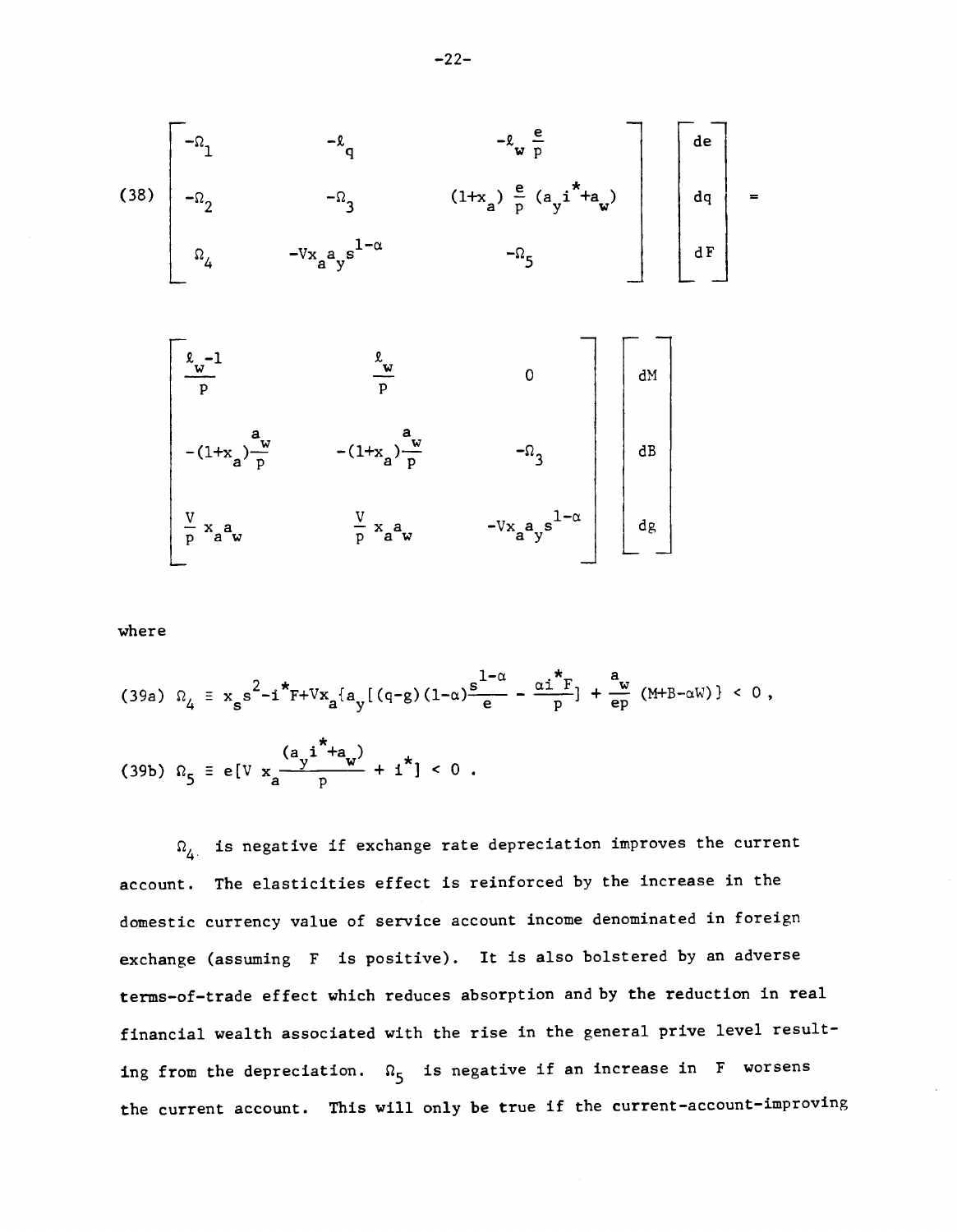(38) 
$$
\begin{bmatrix}\n-\Omega_1 & -\ell_q & -\ell_w \frac{e}{p} \\
-\Omega_2 & -\Omega_3 & (1+x_a) \frac{e}{p} (a_y i^* + a_w) \\
\Omega_4 & -Vx_a a_y s^{1-\alpha} & -\Omega_5\n\end{bmatrix}
$$



where

(39a) 
$$
\Omega_4 = x_s s^2 - i^* F + v_{a} \{a_y [(q-g)(1-\alpha)\frac{s^{1-\alpha}}{e} - \frac{\alpha i^* F}{p}] + \frac{a_w}{ep} (M+B-\alpha W) \} < 0
$$
,  
(39b)  $\Omega_5 = e[v_{a} \frac{(a_y i^* + a_w)}{p} + i^*] < 0$ .

 $\Omega_{\mu}$  is negative if exchange rate depreciation improves the current account. The elasticities effect is reinforced by the increase in the domestic currency value of service account income denominated in foreign exchange (assuming F Is positive). It is also bolstered by an adverse terms—of—trade effect which reduces absorption and by the reduction in real financial wealth associated with the rise in the general prive level resulting from the depreciation.  $\Omega_5$  is negative if an increase in F worsens the current account. This will only be true if the current-account-improving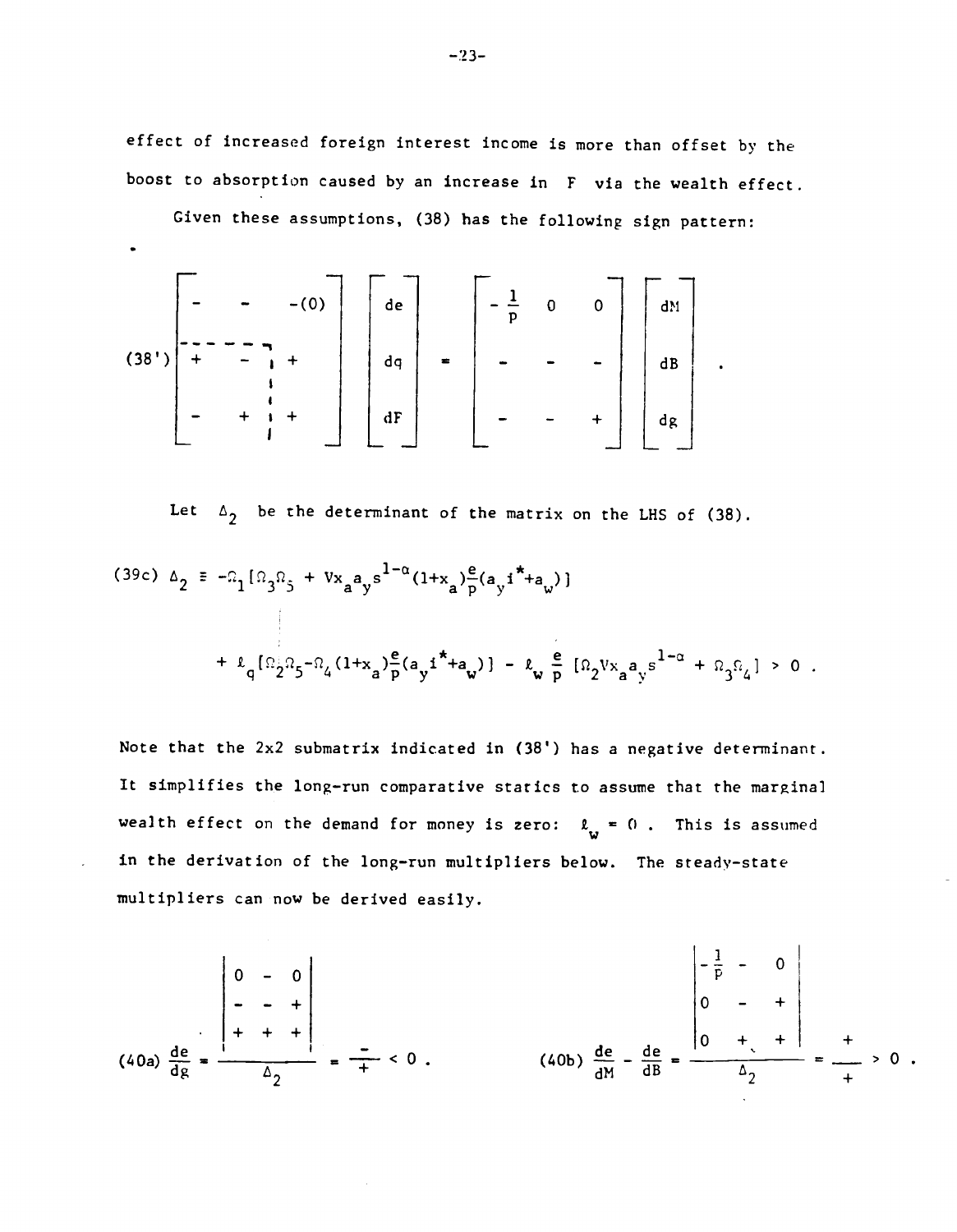effect of increased foreign interest income is more than offset by the boost to absorption caused by an increase in F via the wealth effect.

Given these assumptions, (38) has the following sign pattern:

$$
(38')\begin{bmatrix} - & - & -(0) \\ - & - & - & - \\ - & - & - & - \\ - & & \vdots \\ - & & \vdots \\ - & & \vdots \\ - & & \vdots \\ 1 & & \vdots \\ 1 & & \vdots \\ 1 & & \vdots \\ 1 & & \vdots \\ 1 & & \vdots \\ 1 & & \vdots \\ 1 & & \vdots \\ 1 & & \vdots \\ 1 & & \vdots \\ 1 & & \vdots \\ 1 & & \vdots \\ 1 & & \vdots \\ 1 & & \vdots \\ 1 & & \vdots \\ 1 & & \vdots \\ 1 & & \vdots \\ 1 & & \vdots \\ 1 & & \vdots \\ 1 & & \vdots \\ 1 & & \vdots \\ 1 & & \vdots \\ 1 & & \vdots \\ 1 & & \vdots \\ 1 & & \vdots \\ 1 & & \vdots \\ 1 & & \vdots \\ 1 & & \vdots \\ 1 & & \vdots \\ 1 & & \vdots \\ 1 & & \vdots \\ 1 & & \vdots \\ 1 & & \vdots \\ 1 & & \vdots \\ 1 & & \vdots \\ 1 & & \vdots \\ 1 & & \vdots \\ 1 & & \vdots \\ 1 & & \vdots \\ 1 & & \vdots \\ 1 & & \vdots \\ 1 & & \vdots \\ 1 & & \vdots \\ 1 & & \vdots \\ 1 & & \vdots \\ 1 & & \vdots \\ 1 & & \vdots \\ 1 & & \vdots \\ 1 & & \vdots \\ 1 & & \vdots \\ 1 & & \vdots \\ 1 & & \vdots \\ 1 & & \vdots \\ 1 & & \vdots \\ 1 & & \vdots \\ 1 & & \vdots \\ 1 &
$$

Let  $\Delta_2$  be the determinant of the matrix on the LHS of (38).

(39c) 
$$
\Delta_2 = -\Omega_1 [\Omega_3 \Omega_5 + Vx_a a_y s^{1-\alpha} (1+x_a) \frac{e}{p} (a_y i^* + a_w)]
$$
  
+  $\ell_q [\Omega_2 \Omega_5 - \Omega_4 (1+x_a) \frac{e}{p} (a_y i^* + a_w)] - \ell_w \frac{e}{p} [\Omega_2 Vx_a a_y s^{1-\alpha} + \Omega_3 \Omega_4] > 0$ .

Note that the 2x2 submatrix indicated in (38') has a negative determinant. It simplifies the long—run comparative statics to assume that the marginal wealth effect on the demand for money is zero:  $\ell_{\rm tr} = 0$ . This is assumed in the derivation of the long—run multipliers below. The steady—state multipliers can now be derived easily.

$$
(40a) \frac{de}{dq} = \frac{\begin{vmatrix} 0 & - & 0 \\ - & - & + \\ + & + & + \end{vmatrix}}{\Delta_2} = \frac{1}{+} < 0 \tag{40b} \frac{de}{dM} - \frac{de}{dB} = \frac{\begin{vmatrix} -\frac{1}{p} & - & 0 \\ 0 & + & + \\ + & \Delta_2 & + \end{vmatrix}}{\Delta_2} = \frac{+}{+} > 0 \tag{40c}
$$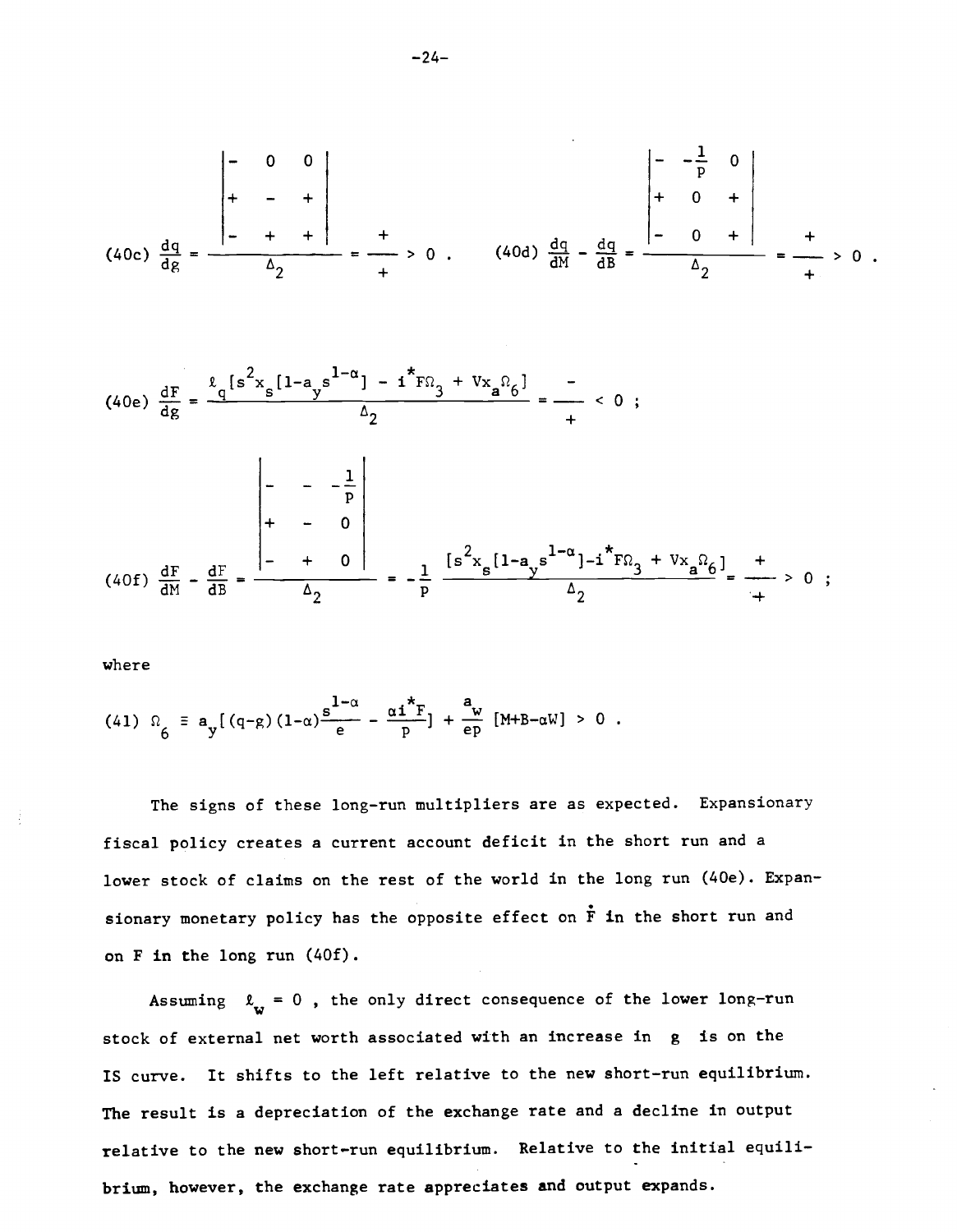$$
(40c) \frac{dq}{dg} = \frac{\begin{vmatrix} - & 0 & 0 \\ + & - & + \\ + & + & + \end{vmatrix}}{\Delta_2} = \frac{+}{+} > 0 \ . \qquad (40d) \frac{dq}{dM} - \frac{dq}{dB} = \frac{\begin{vmatrix} - & -\frac{1}{p} & 0 \\ + & 0 & + \\ - & 0 & + \end{vmatrix}}{\Delta_2} = \frac{+}{+} > 0 \ .
$$

(40e) 
$$
\frac{dF}{dg} = \frac{\ell_q[s^2x_s[1-a_s s^{1-\alpha}] - i^*F\Omega_3 + Vx_a\Omega_6]}{\Delta_2} = \frac{-}{+} < 0 ;
$$
  

$$
\begin{vmatrix} - & -\frac{1}{p} \\ + & - & 0 \\ + & - & 0 \end{vmatrix}
$$
  
(40f) 
$$
\frac{dF}{dM} - \frac{dF}{dB} = \frac{- + \frac{1}{p} \left[ \frac{s^2x_s[1-a_s s^{1-\alpha}] - i^*F\Omega_3 + Vx_a\Omega_6}{\Delta_2} \right] - \frac{1}{p} < 0 ;
$$

where

(41) 
$$
\Omega_6 \equiv a_y [(q-g)(1-\alpha)\frac{s^{1-\alpha}}{e} - \frac{\alpha i^* F}{p}] + \frac{a_w}{ep} [M+B-\alpha W] > 0
$$
.

The signs of these long-run multipliers are as expected. Expansionary fiscal policy creates a current account deficit in the short run and a lower stock of claims on the rest of the world in the long run (40e). Expansionary monetary policy has the opposite effect on  $\dot{F}$  in the short run and on F in the long run (40f).

Assuming  $l_{1} = 0$ , the only direct consequence of the lower long-run stock of external net worth associated with an increase in g is on the IS curve. It shifts to the left relative to the new short—run equilibrium. The result is a depreciation of the exchange rate and a decline in output relative to the new short-run equilibrium. Relative to the initial equilibrium, however, the exchange rate appreciates and output expands.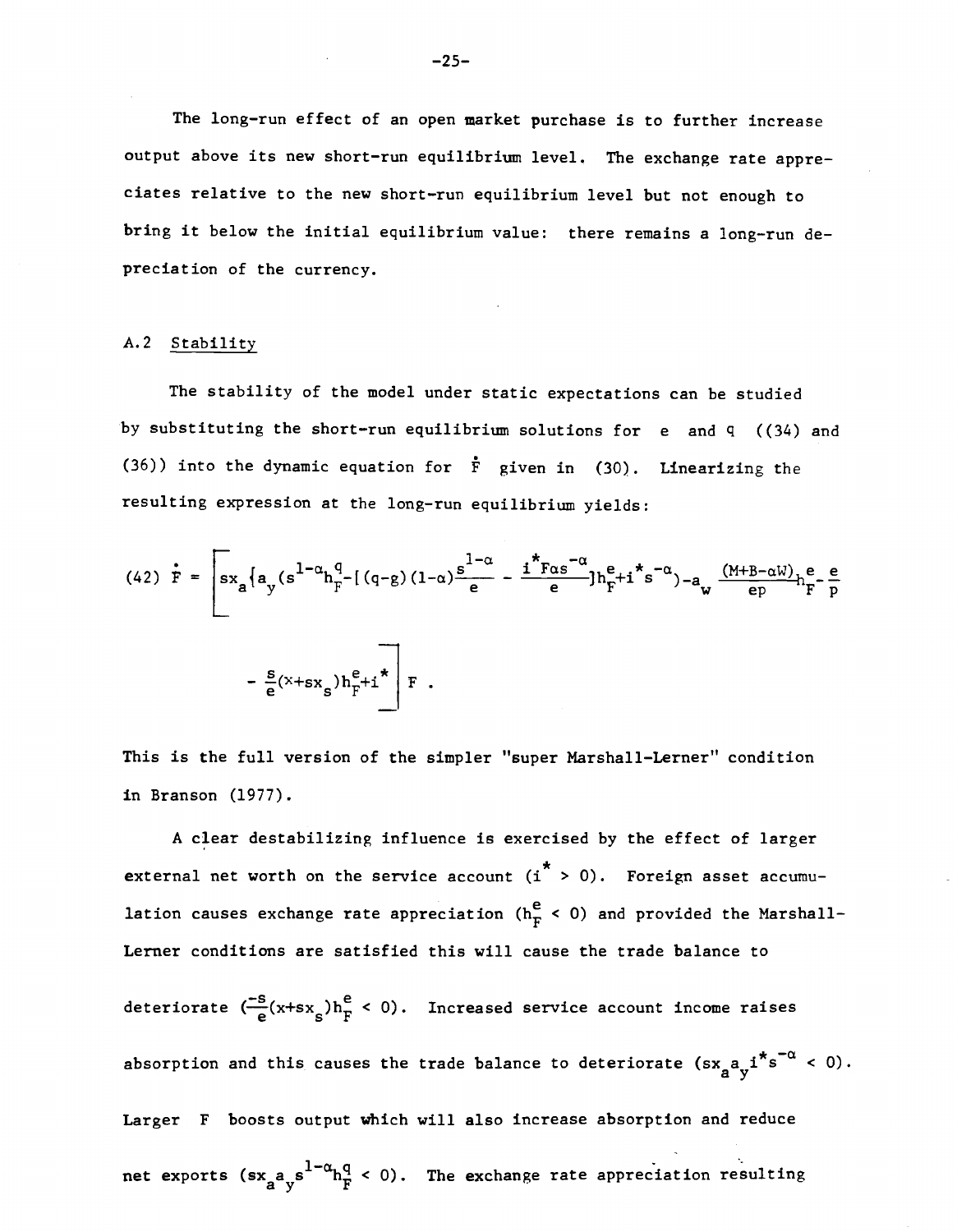The long—run effect of an open market purchase is to further increase output above its new short—run equilibrium level. The exchange rate appreciates relative to the new short—run equilibrium level but not enough to bring it below the initial equilibrium value: there remains a long—run depreciation of the currency.

## A.2 Stability

The stability of the model under static expectations can be studied by substituting the short—run equilibrium solutions for e and q ((34) and (36)) into the dynamic equation for  $\dot{r}$  given in (30). Linearizing the resulting expression at the long—run equilibrium yields:

(42) 
$$
\dot{F} = \left[ s x_a \left\{ a_y (s^{1-\alpha} h_F^q - \left[ (q-g)(1-\alpha) \frac{s^{1-\alpha}}{e} - \frac{i^* F \alpha s^{-\alpha}}{e} \right] h_F^e + i^* s^{-\alpha} \right\} - a_w \frac{(M+B-\alpha W)}{ep} h_F^e - \frac{e}{p} \right]
$$
  
-  $\frac{s}{e} (x + sx_s) h_F^e + i^* \right] F$ .

This is the full version of the simpler "super Marshall—Lerner" condition in Branson (1977).

A clear destabilizing influence is exercised by the effect of larger external net worth on the service account  $(i \gt 0)$ . Foreign asset accumulation causes exchange rate appreciation  $(h_F^e < 0)$  and provided the Marshall-Lerner conditions are satisfied this will cause the trade balance to deteriorate  $\left(\frac{-s}{e}(x+s_{x_{s}})h_{F}^{e} < 0\right)$ . Increased service account income raises absorption and this causes the trade balance to deteriorate  $(sx_{a}a_{v}i^*s^{-\alpha} < 0)$ . Larger F boosts output which will also increase absorption and reduce net exports  $(sx_a^a{}_s^{1-\alpha}h_F^q < 0)$ . The exchange rate appreciation resulting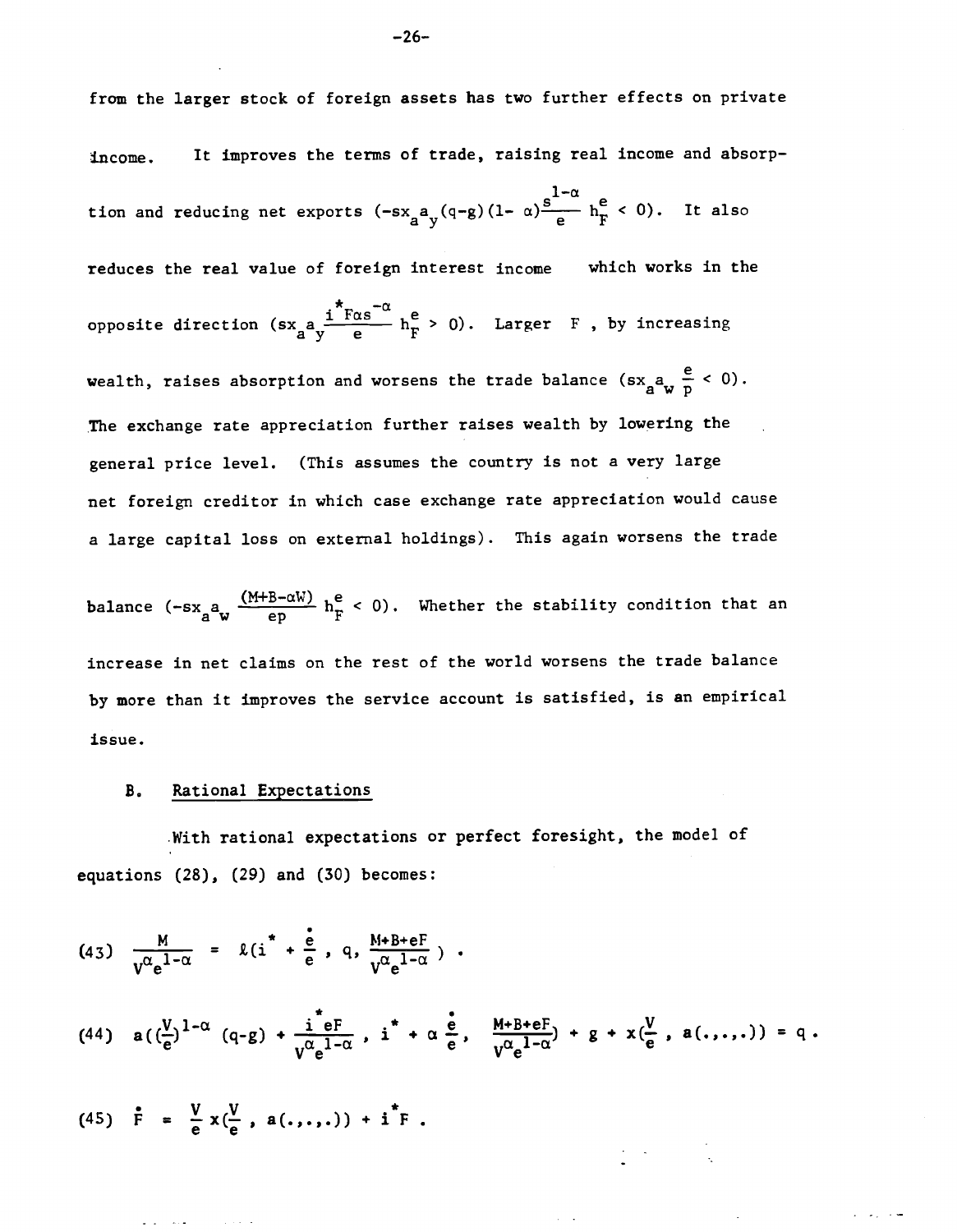from the larger stock of foreign assets has two further effects on private

\n Income. It improves the terms of trade, raising real income and absorption and reducing net exports 
$$
(-sx_{a}a_{y}(q-g)(1-\alpha)\frac{1-\alpha}{e}h_{F}^{e}<0)
$$
. It also reduces the real value of foreign interest income which works in the opposite direction  $(sx_{a}a_{y}\frac{1}{e}Fas^{-\alpha}h_{F}^{e}>0)$ . Larger F, by increasing wealth, raises absorption and worsens the trade balance  $(sx_{a}a_{w}\frac{e}{p}<0)$ . The exchange rate appreciation further raises wealth by lowering the general price level. (This assumes the country is not a very large net foreign creditor in which case exchange rate appreciation would cause a large capital loss on external holdings). This again worsens the trade\n

balance  $(-sx_{a}a_{w} \frac{(M+B-\alpha W)}{ep}h_{F}^{e} < 0)$ . Whether the stability condition that an increase in net claims on the rest of the world worsens the trade balance by more than it improves the service account is satisfied, is an empirical issue.

## B. Rational Expectations

With rational expectations or perfect foresight, the model of equations (28), (29) and (30) becomes:

(43) 
$$
\frac{M}{v^{\alpha}e^{1-\alpha}} = \ell(i^* + \frac{e}{e}, q, \frac{M+B+eF}{v^{\alpha}e^{1-\alpha}}).
$$

(44) 
$$
a(\frac{V}{e})^{1-\alpha} (q-g) + \frac{i^* eF}{v^{\alpha} e^{1-\alpha}}, i^* + \alpha \frac{e}{e}, \frac{M+B+eF}{v^{\alpha} e^{1-\alpha}} + g + x(\frac{V}{e}, a(.,.,.)) = q.
$$

 $\sim$   $\sim$ 

ستريب

(45) 
$$
\vec{F} = \frac{V}{e} x(\frac{V}{e}, a(.,.,.)) + i \vec{F}
$$
.

القاربين والمرادي

**Service Control**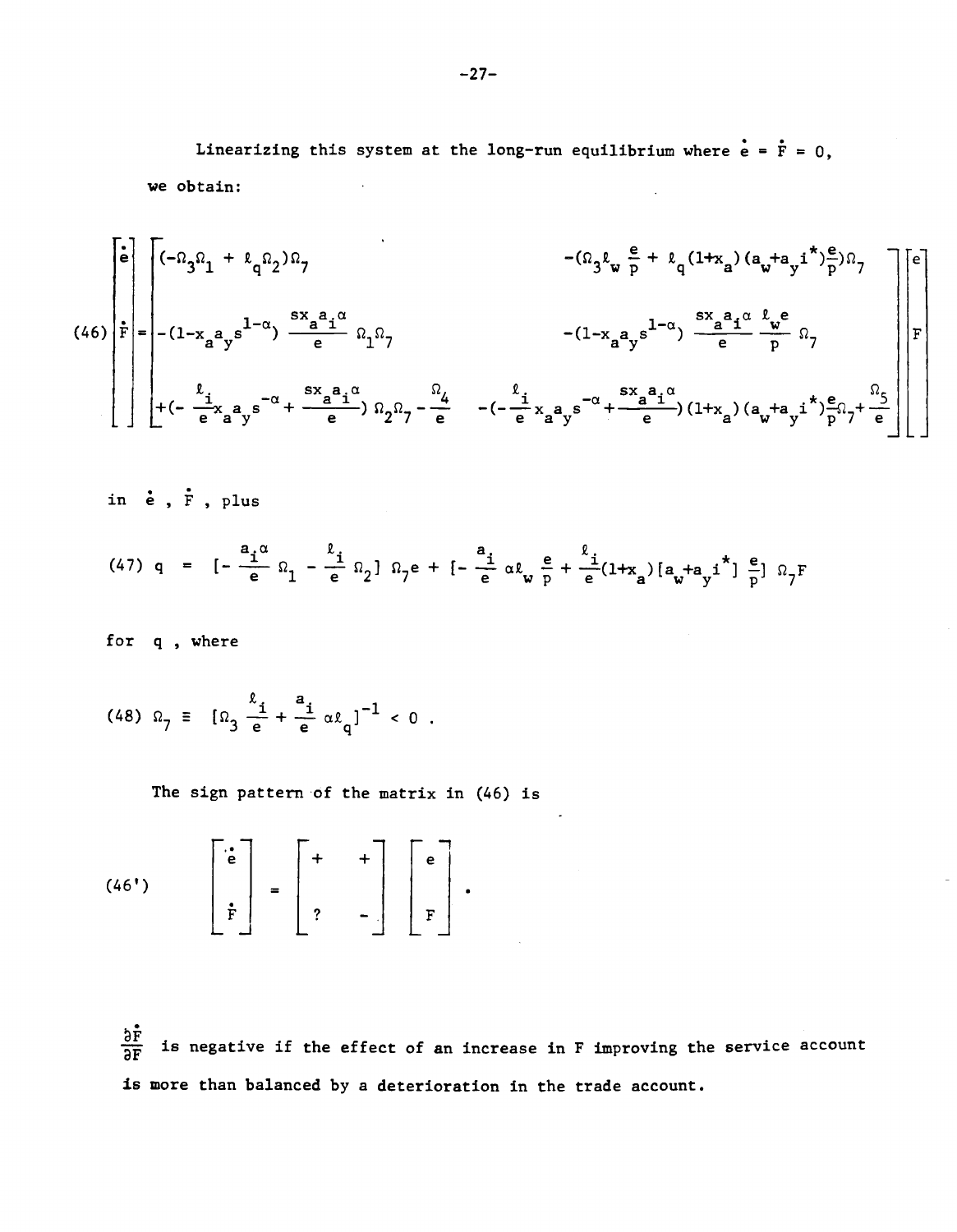Linearizing this system at the long-run equilibrium where  $\dot{\mathbf{e}} = \dot{\mathbf{F}} = 0$ , we obtain:

$$
(46)
$$
\n
$$
\begin{bmatrix}\n\mathbf{e} \\
\mathbf{e} \\
\mathbf{f} \\
\mathbf{f} \\
\mathbf{f} \\
\mathbf{f} \\
\mathbf{f} \\
\mathbf{f} \\
\mathbf{f} \\
\mathbf{f} \\
\mathbf{f} \\
\mathbf{f} \\
\mathbf{f} \\
\mathbf{f} \\
\mathbf{f} \\
\mathbf{f} \\
\mathbf{f} \\
\mathbf{f} \\
\mathbf{f} \\
\mathbf{f} \\
\mathbf{f} \\
\mathbf{f} \\
\mathbf{f} \\
\mathbf{f} \\
\mathbf{f} \\
\mathbf{f} \\
\mathbf{f} \\
\mathbf{f} \\
\mathbf{f} \\
\mathbf{f} \\
\mathbf{f} \\
\mathbf{f} \\
\mathbf{f} \\
\mathbf{f} \\
\mathbf{f} \\
\mathbf{f} \\
\mathbf{f} \\
\mathbf{f} \\
\mathbf{f} \\
\mathbf{f} \\
\mathbf{f} \\
\mathbf{f} \\
\mathbf{f} \\
\mathbf{f} \\
\mathbf{f} \\
\mathbf{f} \\
\mathbf{f} \\
\mathbf{f} \\
\mathbf{f} \\
\mathbf{f} \\
\mathbf{f} \\
\mathbf{f} \\
\mathbf{f} \\
\mathbf{f} \\
\mathbf{f} \\
\mathbf{f} \\
\mathbf{f} \\
\mathbf{f} \\
\mathbf{f} \\
\mathbf{f} \\
\mathbf{f} \\
\mathbf{f} \\
\mathbf{f} \\
\mathbf{f} \\
\mathbf{f} \\
\mathbf{f} \\
\mathbf{f} \\
\mathbf{f} \\
\mathbf{f} \\
\mathbf{f} \\
\mathbf{f} \\
\mathbf{f} \\
\mathbf{f} \\
\mathbf{f} \\
\mathbf{f} \\
\mathbf{f} \\
\mathbf{f} \\
\mathbf{f} \\
\mathbf{f} \\
\mathbf{f} \\
\mathbf{f} \\
\mathbf{f} \\
\mathbf{f} \\
\mathbf{f} \\
\mathbf{f} \\
\mathbf{f} \\
\mathbf{f} \\
\mathbf{f} \\
\mathbf{f} \\
\mathbf{f} \\
\mathbf{f} \\
\mathbf{f} \\
\mathbf{f} \\
\mathbf{f} \\
\mathbf{f} \\
\mathbf{f} \\
\mathbf{f} \\
\mathbf{f} \\
\mathbf{f} \\
\mathbf{f} \\
\mathbf{f} \\
\mathbf{f} \\
\mathbf{f} \\
\mathbf{f} \\
\mathbf{f} \\
\mathbf{f}
$$

in e , <sup>F</sup> , plus

(47) 
$$
q = \left[ -\frac{a_1^{\alpha}}{e} \Omega_1 - \frac{\ell_1}{e} \Omega_2 \right] \Omega_7 e + \left[ -\frac{a_1^{\alpha}}{e} \alpha \ell_w \frac{e}{p} + \frac{\ell_1}{e} (1 + x_a) \left[ a_w^{\alpha} + a_y^{\alpha} \right] \frac{e}{p} \right] \Omega_7 F
$$

for q , where

(48) 
$$
\Omega_{7} \equiv [\Omega_{3} \frac{\ell_{1}}{e} + \frac{a_{1}}{e} \alpha \ell_{q}]^{-1} < 0
$$
.

The sign pattern of the matrix in (46) is

$$
(46') \qquad \begin{bmatrix} \cdot \cdot \\ \cdot \cdot \\ \cdot \cdot \\ \cdot \cdot \cdot \end{bmatrix} = \begin{bmatrix} + & + \\ & \cdot \\ & \cdot \cdot \cdot \end{bmatrix} \begin{bmatrix} e \\ e \\ F \end{bmatrix}.
$$

 $\frac{\partial \dot{F}}{\partial F}$  is negative if the effect of an increase in F improving the service account is more than balanced by a deterioration in the trade account.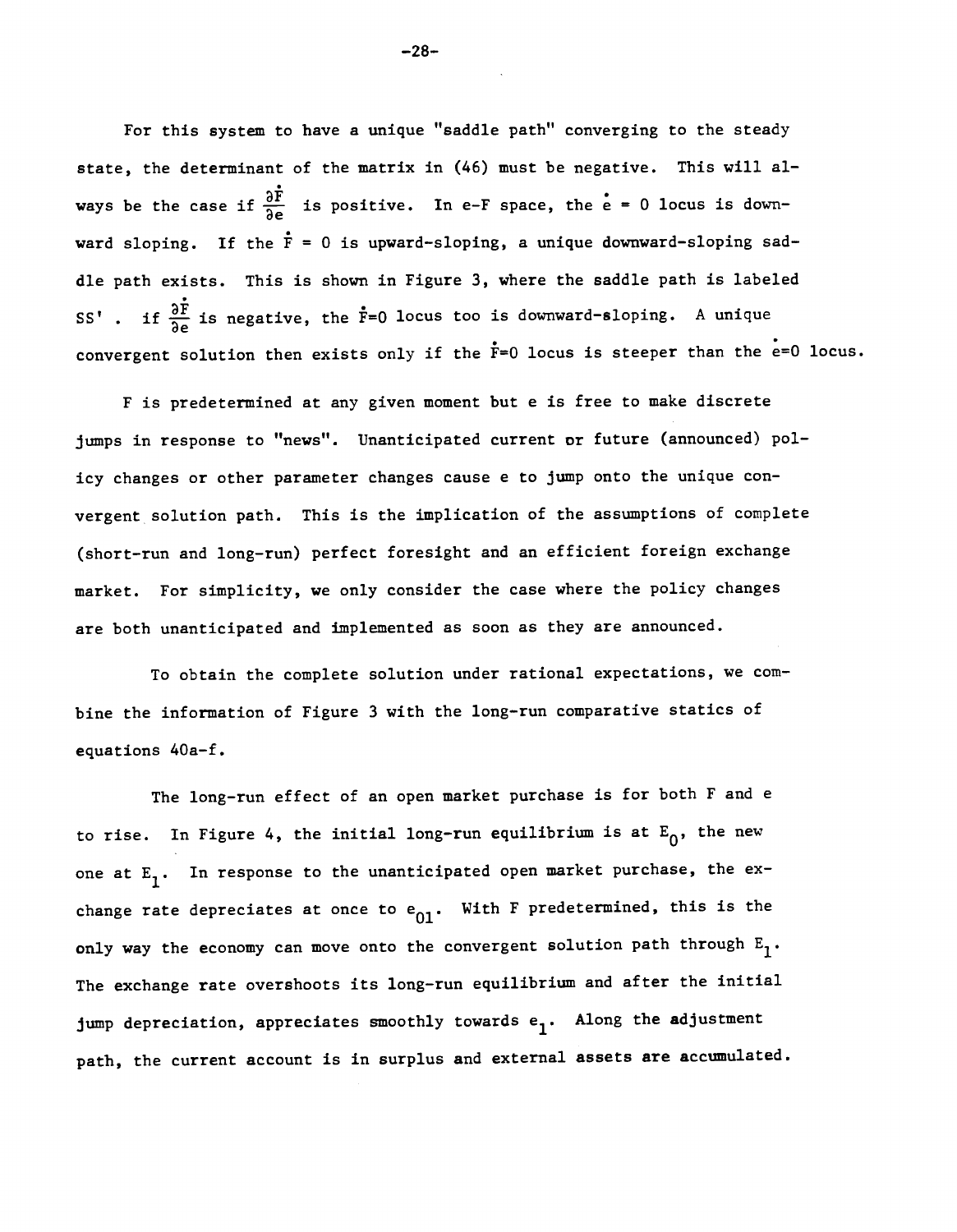For this system to have a unique "saddle path" converging to the steady state, the determinant of the matrix in (46) must be negative. This will always be the case if  $\frac{\partial \tilde{F}}{\partial \rho}$  is positive. In e-F space, the  $\dot{e} = 0$  locus is downward sloping. If the  $\dot{F} = 0$  is upward-sloping, a unique downward-sloping saddle path exists. This is shown in Figure 3, where the saddle path is labeled SS' . if  $\frac{\partial \tilde{F}}{\partial \rho}$  is negative, the  $\tilde{F}=0$  locus too is downward-sloping. A unique convergent solution then exists only if the  $\dot{\mathbf{r}}=0$  locus is steeper than the  $\dot{\mathbf{e}}=0$  locus.

F is predetermined at any given moment but e is free to make discrete jumps in response to "news". Unanticipated current or future (announced) policy changes or other parameter changes cause e to jump onto the unique convergent solution path. This is the implication of the assumptions of complete (short—run and long—run) perfect foresight and an efficient foreign exchange market. For simplicity, we only consider the case where the policy changes are both unanticipated and implemented as soon as they are announced.

To obtain the complete solution under rational expectations, we combine the information of Figure 3 with the long—run comparative statics of equations 40a—f.

The long-run effect of an open market purchase is for both F and e to rise. In Figure 4, the initial long-run equilibrium is at  $E_0$ , the new one at  $E_1$ . In response to the unanticipated open market purchase, the exchange rate depreciates at once to  $e_{01}$ . With F predetermined, this is the only way the economy can move onto the convergent solution path through  $E_1$ . The exchange rate overshoots its long-run equilibrium and after the initial jump depreciation, appreciates smoothly towards  $e_1$ . Along the adjustment path, the current account is in surplus and external assets are accumulated.

—28—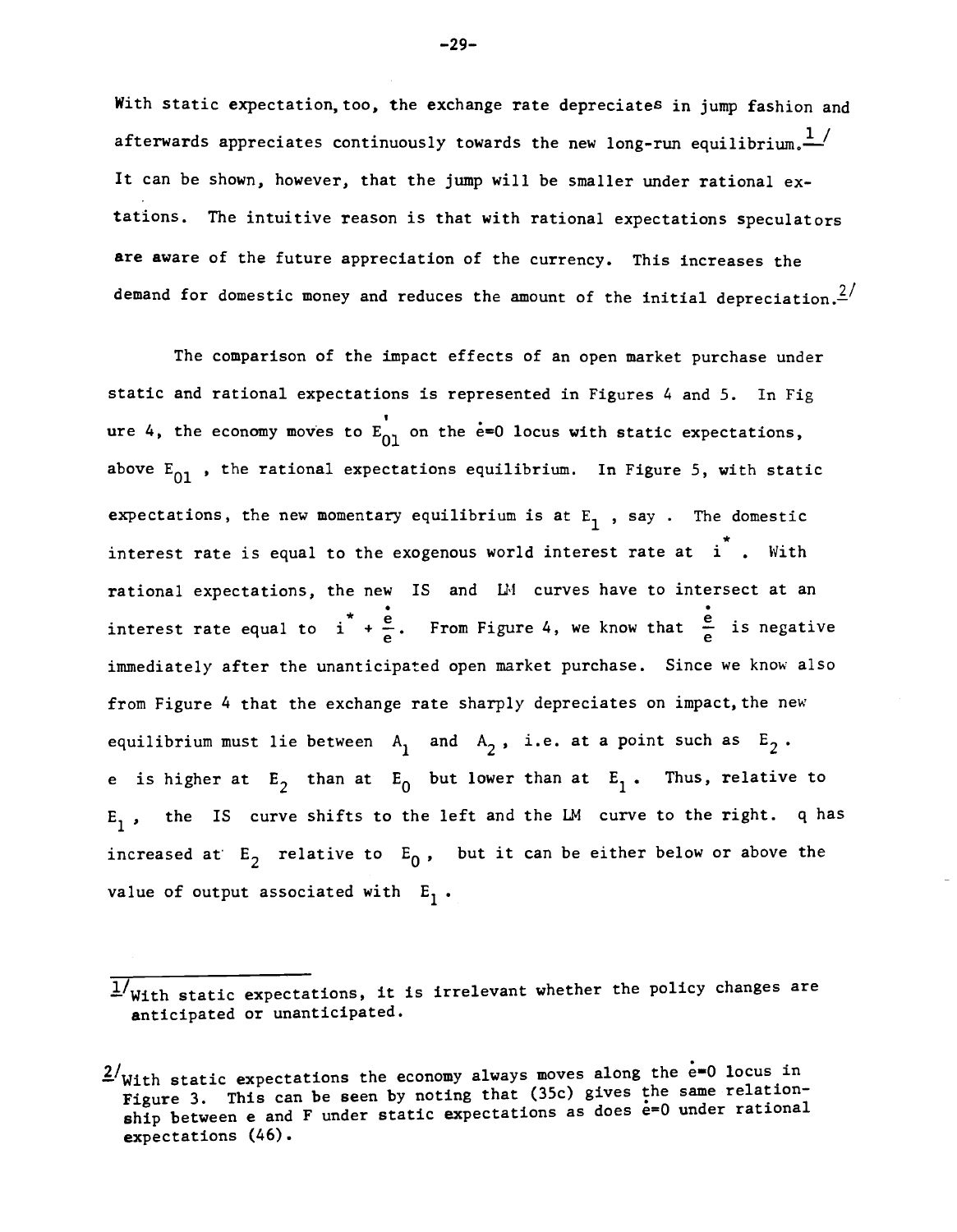With static expectation, too, the exchange rate depreciates in jump fashion and afterwards appreciates continuously towards the new long-run equilibrium. $^{1}_{-}$ It can be shown, however, that the jump will be smaller under rational extations. The intuitive reason is that with rational expectations speculators are aware of the future appreciation of the currency. This increases the demand for domestic money and reduces the amount of the initial depreciation. $2^{1/2}$ 

The comparison of the impact effects of an open market purchase under static and rational expectations is represented in Figures 4 and 5. In Fig ure 4, the economy moves to  $E_{01}$  on the e=0 locus with static expectations, above  $E_{01}$ , the rational expectations equilibrium. In Figure 5, with static expectations, the new momentary equilibrium is at  $E_1$ , say. The domestic \* interest rate is equal to the exogenous world interest rate at i . With rational expectations, the new IS and LM curves have to intersect at an interest rate equal to  $\dot{a} + \frac{\dot{e}}{e}$ . From Figure 4, we know that  $\frac{\dot{e}}{e}$  is negative immediately after the unanticipated open market purchase. Since we know also from Figure 4 that the exchange rate sharply depreciates on impact, the new equilibrium must lie between  $A_1$  and  $A_2$ , i.e. at a point such as  $E_2$ . e is higher at  $E_2$  than at  $E_0$  but lower than at  $E_1$ . Thus, relative to  $E_1$ , the IS curve shifts to the left and the LM curve to the right. q has increased at  $E_2$  relative to  $E_0$ , but it can be either below or above the value of output associated with  $E_1$ .

—29—

 $1/with$  static expectations, it is irrelevant whether the policy changes are anticipated or unanticipated.

 $2/w$ ith static expectations the economy always moves along the  $e=0$  locus in Figure 3. This can be seen by noting that (35c) gives the same relationship between e and F under static expectations as does  $e=0$  under rational expectations (46).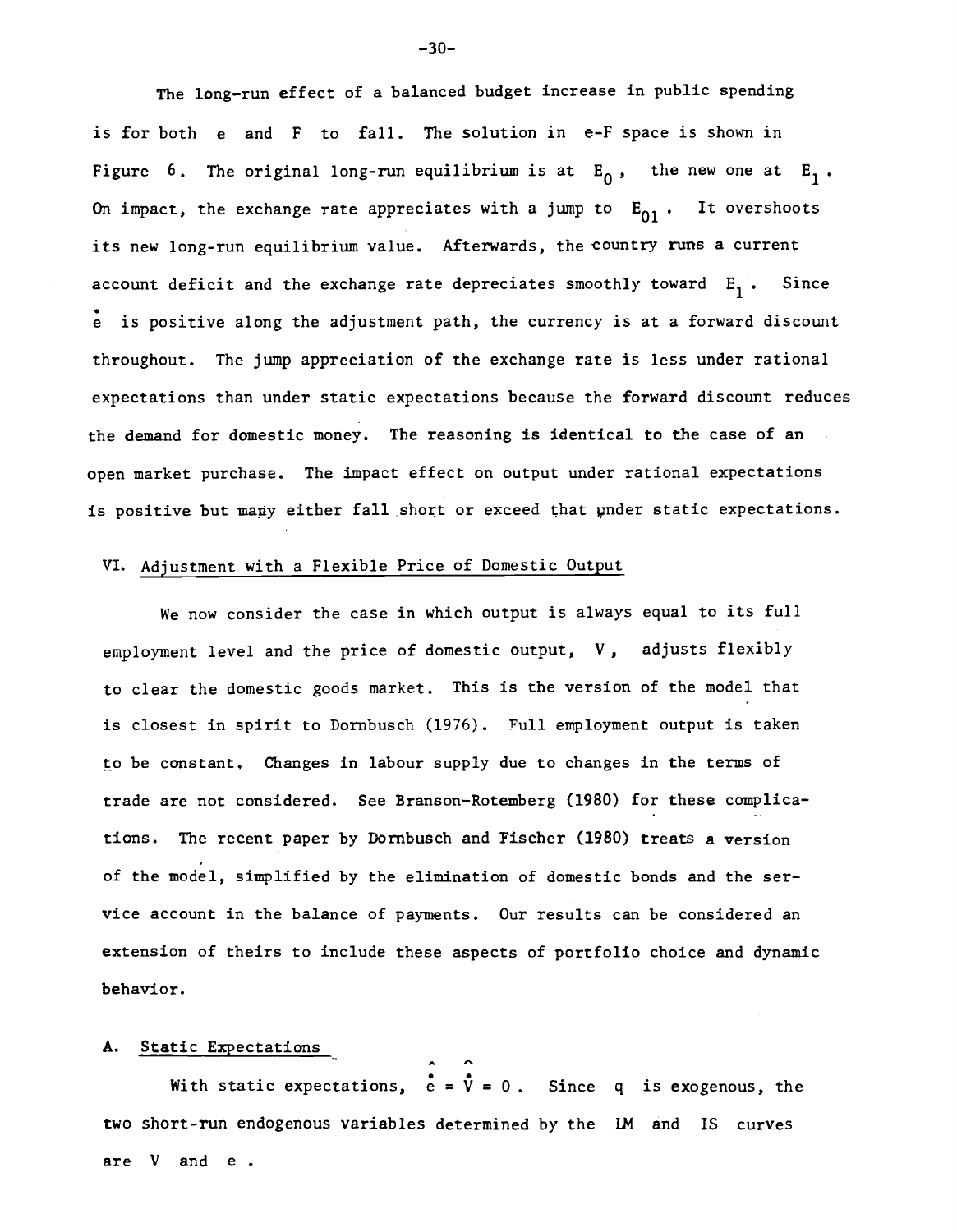The long—run effect of a balanced budget increase in public spending is for both e and F to fall. The solution in e-F space is shown in Figure 6. The original long-run equilibrium is at  $E_0$ , the new one at  $E_1$ . On impact, the exchange rate appreciates with a jump to  $E_{01}$ . It overshoots its new long-run equilibrium value. Afterwards, the country runs a current account deficit and the exchange rate depreciates smoothly toward  $E_1$ . Since e is positive along the adjustment path, the currency is at a forward discount throughout. The jump appreciation of the exchange rate is less under rational expectations than under static expectations because the forward discount reduces the demand for domestic money. The reasoning is identical to the case of an open market purchase. The impact effect on output under rational expectations is positive but many either fall short or exceed that under static expectations.

## VI. Adjustment with a Flexible Price of Domestic Output

We now consider the case in which output is always equal to its full employment level and the price of domestic output, V, adjusts flexibly to clear the domestic goods market. This is the version of the model that is closest in spirit to Dornbusch (1976). Full employment output is taken to be constant, Changes in labour supply due to changes in the terms of trade are not considered. See Branson—Rotemberg (1980) for these complications. The recent paper by Dornbusch and Fischer (1980) treats a version of the model, simplified by the elimination of domestic bonds and the service account in the balance of payments. Our results can be considered an extension of theirs to include these aspects of portfolio choice and dynamic behavior.

#### A. Static Expectations

With static expectations,  $\dot{e} = \dot{V} = 0$ . Since q is exogenous, the two short-run endogenous variables determined by the IM and IS curves are V and e

—30—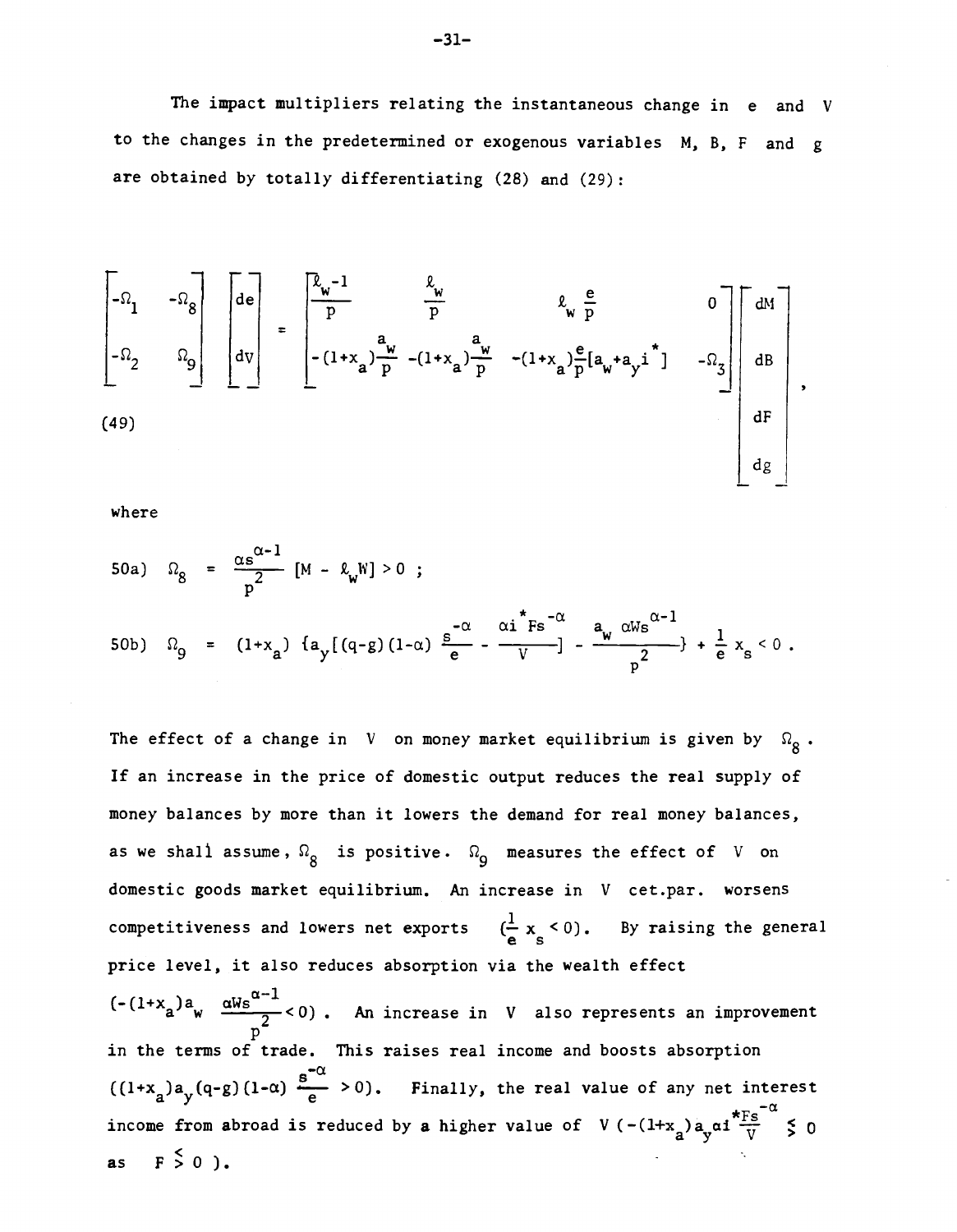$$
\begin{bmatrix} -\Omega_{1} & -\Omega_{8} \\ -\Omega_{2} & \Omega_{9} \end{bmatrix} \begin{bmatrix} d\mathbf{e} \\ d\mathbf{v} \\ d\mathbf{v} \end{bmatrix} = \begin{bmatrix} \frac{R_{w}-1}{p} & \frac{R_{w}}{p} & R_{w}\frac{\mathbf{e}}{p} & 0 \\ -\left(1+x_{a}\right)\frac{a_{w}}{p} & -\left(1+x_{a}\right)\frac{\mathbf{e}}{p} & -\left(1+x_{a}\right)\frac{\mathbf{e}}{p}[a_{w}+a_{y}i^{*}] & -\Omega_{3} \end{bmatrix} \begin{bmatrix} dM \\ dB \\ dB \\ dF \\ dg \end{bmatrix},
$$
\n(49)

where

50a) 
$$
\Omega_{g} = \frac{\alpha s^{\alpha - 1}}{p^{2}} [M - \ell_{w} W] > 0
$$
;  
\n50b)  $\Omega_{g} = (1 + x_{a}) \{a_{y}[(q - g)(1 - \alpha) \frac{s^{-\alpha}}{e} - \frac{\alpha i^{*} F s^{-\alpha}}{V} - \frac{a_{w} \alpha W s^{\alpha - 1}}{p^{2}} + \frac{1}{e} x_{s} < 0$ .

The effect of a change in V on money market equilibrium is given by  $\Omega_8$ . If an increase in the price of domestic output reduces the real supply of money balances by more than it lowers the demand for real money balances, as we shall assume,  $\Omega_{g}$  is positive.  $\Omega_{g}$  measures the effect of V on domestic goods market equilibrium. An increase in V cet.par. worsens competitiveness and lowers net exports  $(\frac{1}{6} x_{\frac{1}{6}} < 0)$ . By raising the general price level, it also reduces absorption via the wealth effect  $(- (1+x^a)^a)^a$   $\frac{\alpha W s^{\alpha-1}}{2}$  < 0). An increase in V also represents an improvement  $p^{-}$ in the terms of trade. This raises real income and boosts absorption  $((1+x_a)a_y(q-g)(1-a) \frac{s^{-\alpha}}{e} > 0)$ . Finally, the real value of any net interest income from abroad is reduced by a higher value of  $V (-1+x_a)a_y\alpha i \frac{x_{Fs}^{-\alpha}}{V} \leq 0$ as  $F \stackrel{\text{<}}{>} 0$ ).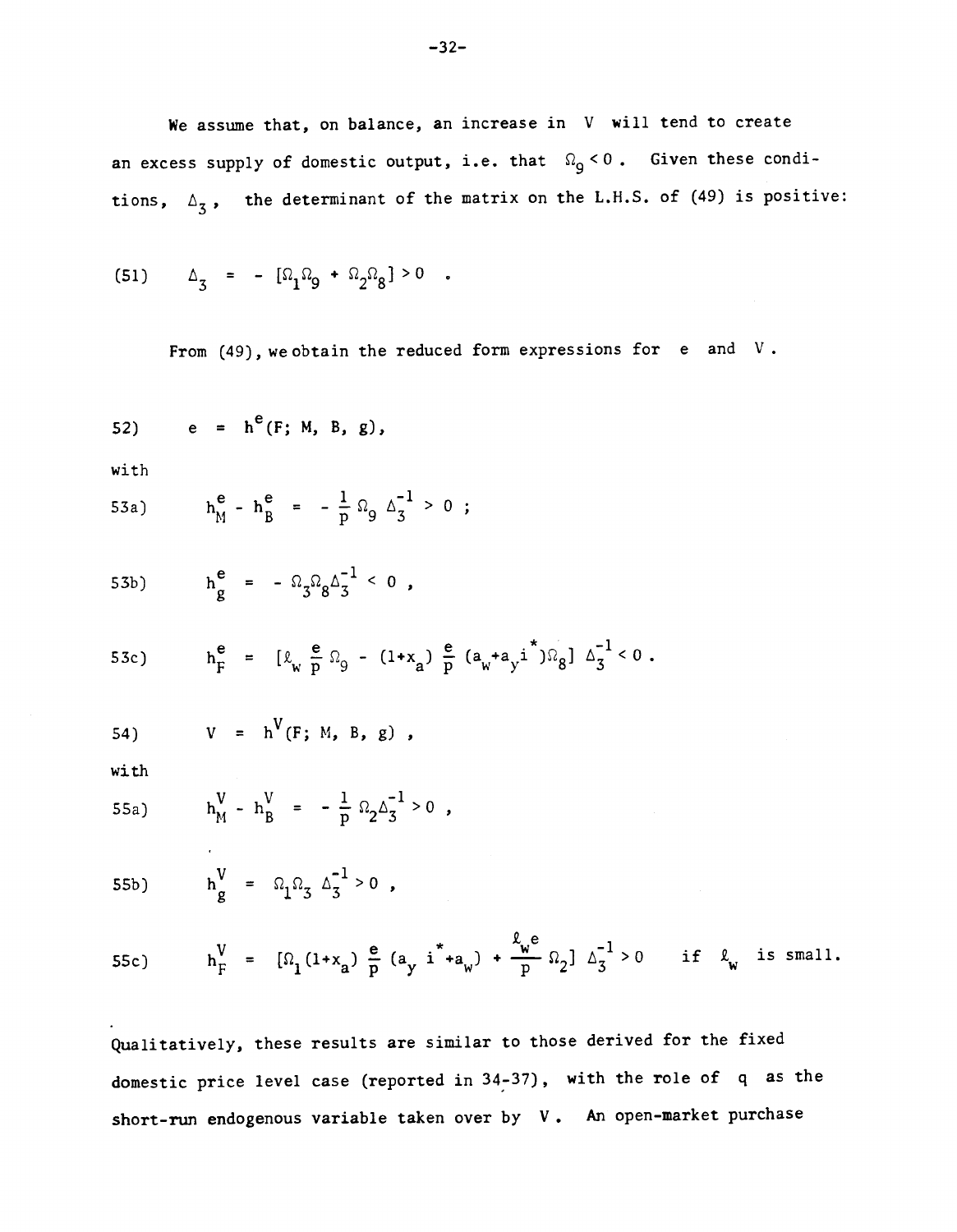We assume that, on balance, an increase in V will tend to create an excess supply of domestic output, i.e. that  $\Omega_g < 0$ . Given these conditions,  $\Delta_{\mathbf{Z}}$ , the determinant of the matrix on the L.H.S. of (49) is positive:

(51) 
$$
\Delta_3 = -[\Omega_1 \Omega_9 + \Omega_2 \Omega_8] > 0
$$
.

From (49), we obtain the reduced form expressions for e and V.

52) 
$$
e = h^e(F; M, B, g),
$$

with

53a) 
$$
h_M^e - h_B^e = -\frac{1}{p} \Omega_g \Delta_3^{-1} > 0
$$
;

53b) 
$$
h_g^e = -\Omega_3 \Omega_8 \Delta_3^{-1} < 0
$$
,

53c) 
$$
h_F^e = [\ell_w \frac{e}{p} \Omega_g - (1 + x_a) \frac{e}{p} (a_w + a_y i^*) \Omega_g] \Delta_3^{-1} < 0
$$
.

54) 
$$
V = h^{V}(F; M, B, g)
$$
,

with

55a) 
$$
h_M^V - h_B^V = -\frac{1}{p} \Omega_2 \Delta_3^{-1} > 0
$$
,

55b) 
$$
h_g^V = \Omega_1 \Omega_3 \Delta_3^{-1} > 0
$$
,

55c) 
$$
h_F^V = [\Omega_1(1+x_a) \frac{e}{p} (a_y i^* + a_w) + \frac{\ell_w e}{p} \Omega_2] \Delta_3^{-1} > 0
$$
 if  $\ell_w$  is small.

Qualitatively, these results are similar to those derived for the fixed domestic price level case (reported in  $34-37$ ), with the role of q as the short-run endogenous variable taken over by  $V$ . An open-market purchase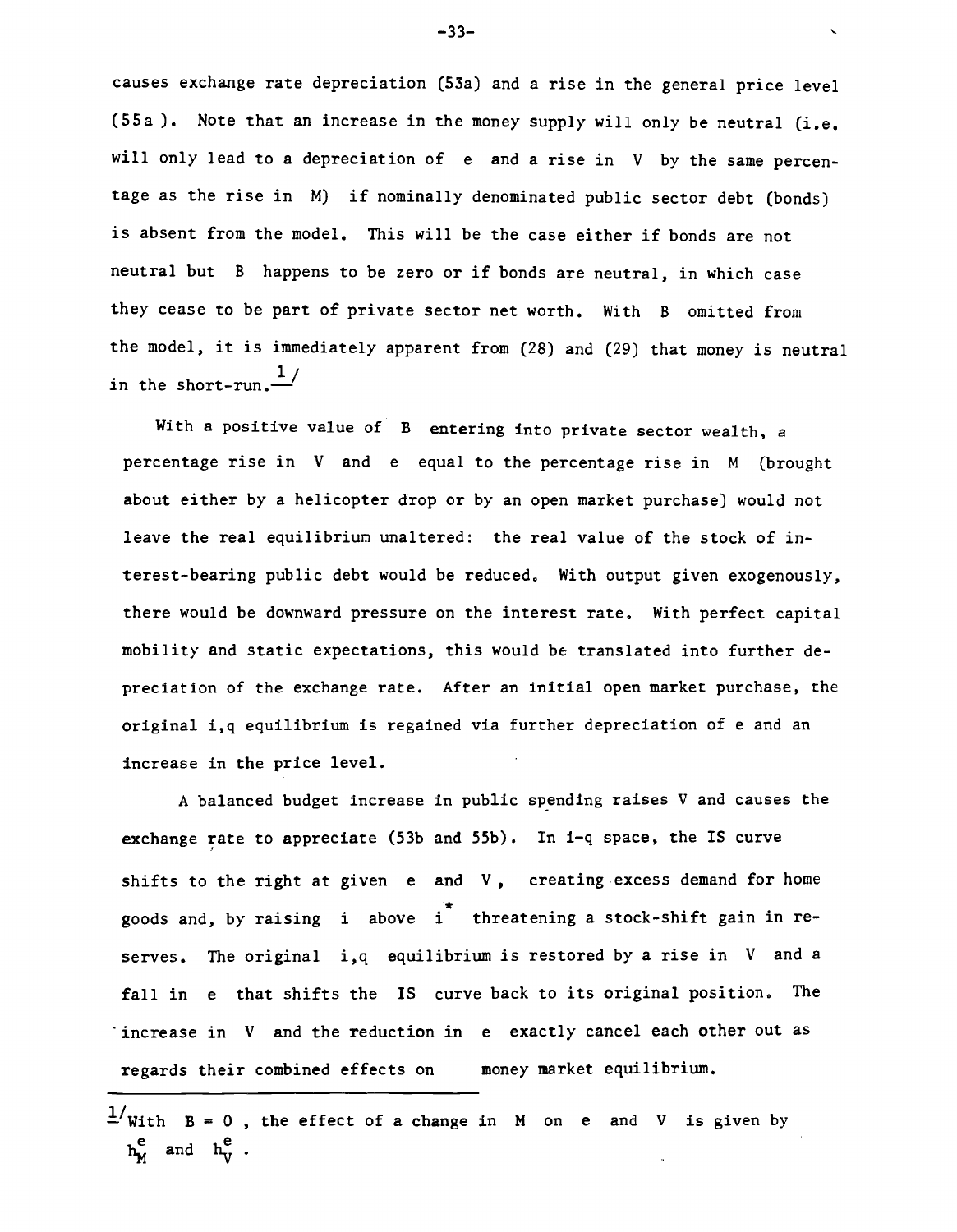causes exchange rate depreciation (53a) and a rise in the general price level (55a ). Note that an increase in the money supply will only be neutral (i.e. will only lead to a depreciation of e and a rise in V by the same percentage as the rise in M) if nominally denominated public sector debt (bonds) is absent from the model. This will be the case either if bonds are not neutral but B happens to be zero or if bonds are neutral, in which case they cease to be part of private sector net worth. With B omitted from the model, it is immediately apparent from (28) and (29) that money is neutral in the short-run. $\frac{1}{1}$ 

With a positive value of B entering into private sector wealth, a percentage rise in V and e equal to the percentage rise in M (brought about either by a helicopter drop or by an open market purchase) would not leave the real equilibrium unaltered: the real value of the stock of in terest-bearing public debt would be reduced, With output given exogenously, there would be downward pressure on the interest rate. With perfect capital mobility and static expectations, this would be translated into further depreciation of the exchange rate. After an initial open market purchase, the original i,q equilibrium is regained via further depreciation of e and an increase in the price level.

A balanced budget increase in public spending raises V and causes the exchange rate to appreciate (53b and 55b). In i—q space, the IS curve shifts to the right at given e and V, creating excess demand for home goods and, by raising i above  $\overrightarrow{i}$  threatening a stock-shift gain in reserves. The original i,q equilibrium is restored by a rise in V and a fall in e that shifts the IS curve back to its original position. The increase in V and the reduction in e exactly cancel each other out as regards their combined effects on money market equilibrium.

 $\frac{1}{w}$  With  $B = 0$ , the effect of a change in M on e and V is given by  $h_w^e$  and  $h_v^e$ .

—33—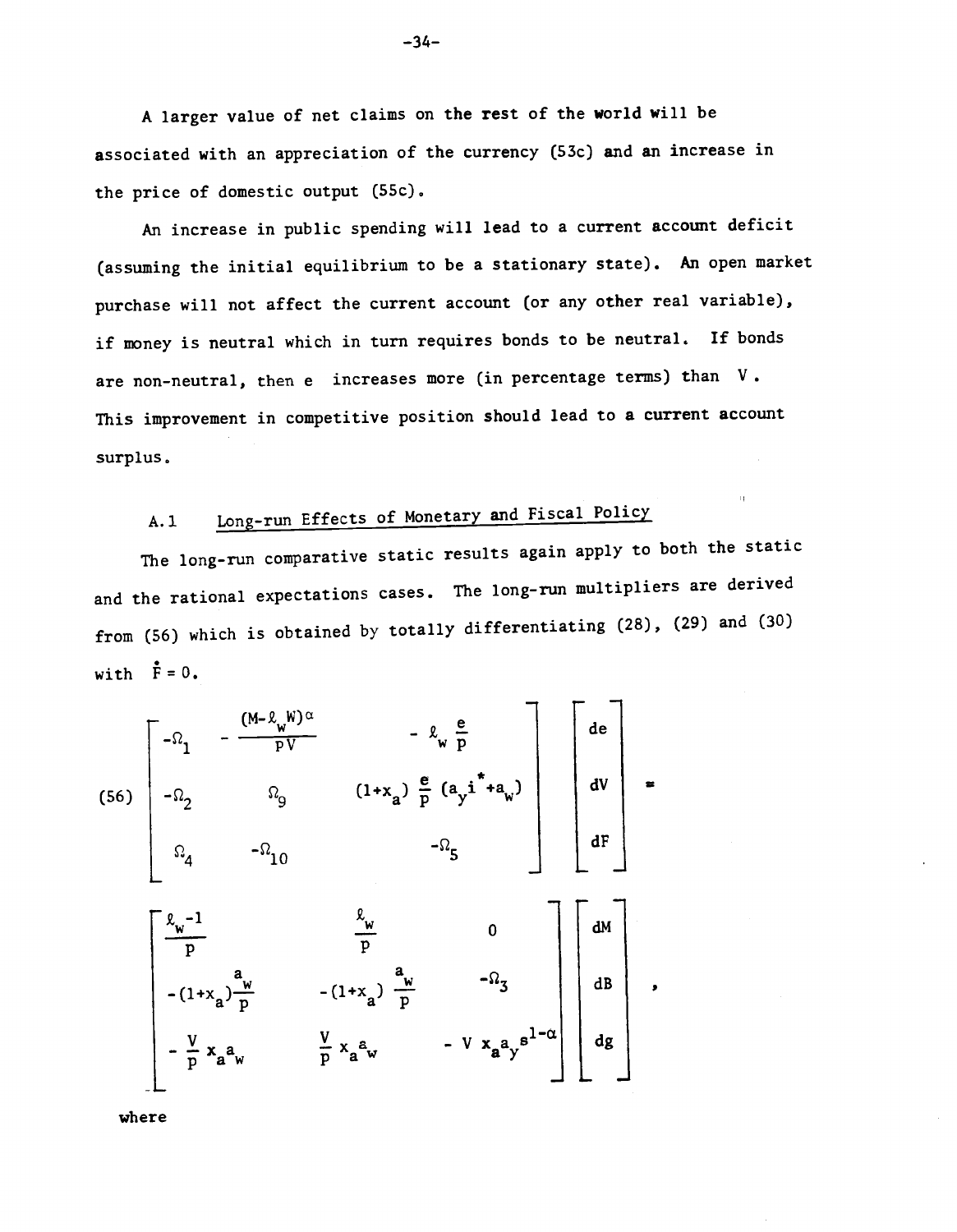A larger value of net claims on the rest of the world will be associated with an appreciation of the currency (53c) and an increase in the price of domestic output (55c).

An increase in public spending will lead to a current account deficit (assuming the initial equilibrium to be a stationary state). An open market purchase will not affect the current account (or any other real variable), if money is neutral which in turn requires bonds to be neutral. If bonds are non-neutral, then e increases more (in percentage terms) than V. This improvement in competitive position should lead to a current account surplus

# A.1 Long-run Effects of Monetary and Fiscal Policy

The long-run comparative static results again apply to both the static and the rational expectations cases. The long-run multipliers are derived from (56) which is obtained by totally differentiating (28), (29) and (30) with  $\mathbf{\dot{F}}=0$ .

 $\bar{\rm H}$ 

$$
(56)\begin{bmatrix}\n-\Omega_1 & -\frac{(M-\ell_w W) \alpha}{pV} & -\ell_w \frac{e}{p} \\
-\Omega_2 & \Omega_g & (1+x_a) \frac{e}{p} (a_y i^* + a_w)\n\end{bmatrix}\begin{bmatrix}\nde \\
d\theta \\
dV\n\end{bmatrix}
$$
\n
$$
\begin{bmatrix}\n\frac{\ell_w - 1}{p} & \frac{\ell_w}{p} & 0 \\
-(1+x_a) \frac{w}{p} & -(1+x_a) \frac{a_w}{p} & -\Omega_3 \\
-\frac{\nu_w}{p} x_a a_w & \frac{\nu_w}{p} x_a a_w & -\nu x_a a_y s^{1-\alpha}\n\end{bmatrix}\begin{bmatrix}\ndM \\
dB \\
dB \\
dB\n\end{bmatrix}
$$

where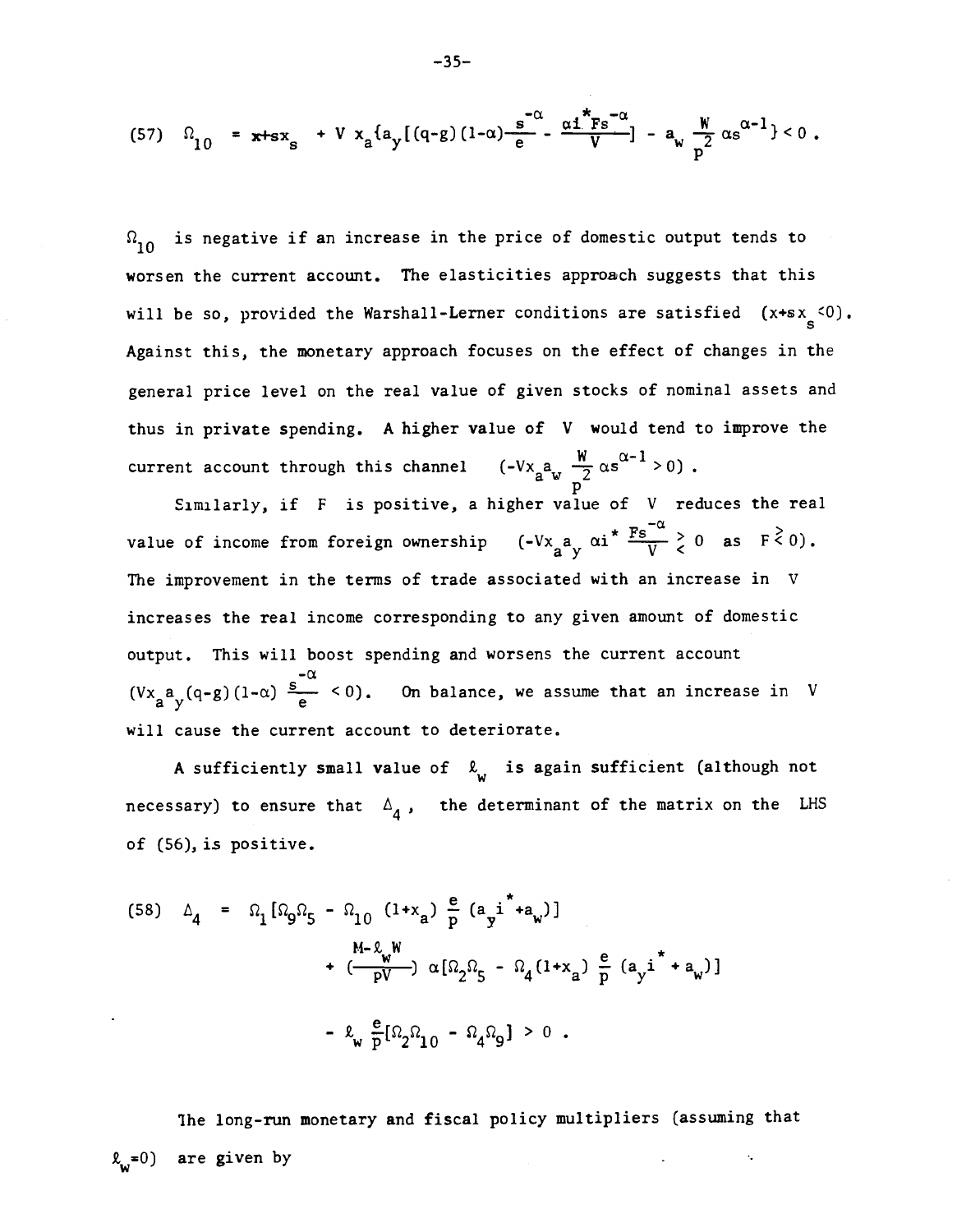(57) 
$$
\Omega_{10} = x + sx_s + V x_a \{a_y[(q-g)(1-\alpha)\frac{s^{-\alpha}}{e} - \frac{\alpha t^*Fs^{-\alpha}}{V} ] - a_w \frac{W}{p^2} \alpha s^{\alpha-1} \} < 0
$$
.

 $\Omega_{10}$  is negative if an increase in the price of domestic output tends to worsen the current account. The elasticities approsch suggests that this will be so, provided the Warshall-Lerner conditions are satisfied  $(x+s x s<sub>s</sub><sup>0</sup>)$ . Against this, the monetary approach focuses on the effect of changes in the general price level on the real value of given stocks of nominal assets and thus in private spending. A higher value of V would tend to improve the  $(-Vx_a^a{}_w \frac{W}{r^2} \alpha s^{\alpha-1} > 0)$ . current account through this channel

 $p$ Similarly, if F is positive, a higher value of V reduces the real value of income from foreign ownership  $(-Vx_a^a)^{\alpha}$   $\alpha i^* \frac{Fs}{V} \geq 0$  as  $F \leq 0$ . The improvement in the terms of trade associated with an increase in V increases the real income corresponding to any given amount of domestic output. This will boost spending and worsens the current account  $(Vx_a^a(v_q-g)(1-a) \frac{s^{-\alpha}}{e} < 0)$ . On balance, we assume that an increase in V will cause the current account to deteriorate.

A sufficiently small value of  $\ell_{w}$  is again sufficient (although not necessary) to ensure that  $\Delta_{\mathbf{A}}$ , the determinant of the matrix on the LHS of (56), is positive.

(58) 
$$
\Delta_4 = \Omega_1 [\Omega_9 \Omega_5 - \Omega_{10} (1 + x_a) \frac{e}{p} (a_y i^* + a_w)]
$$
  
+  $\frac{M - \ell_w W}{pV} \propto [\Omega_2 \Omega_5 - \Omega_4 (1 + x_a) \frac{e}{p} (a_y i^* + a_w)]$   
-  $\ell_w \frac{e}{p} [\Omega_2 \Omega_{10} - \Omega_4 \Omega_9] > 0$ .

lhe long-run monetary and fiscal policy multipliers (assuming that  $\ell_{\rm in} = 0$ ) are given by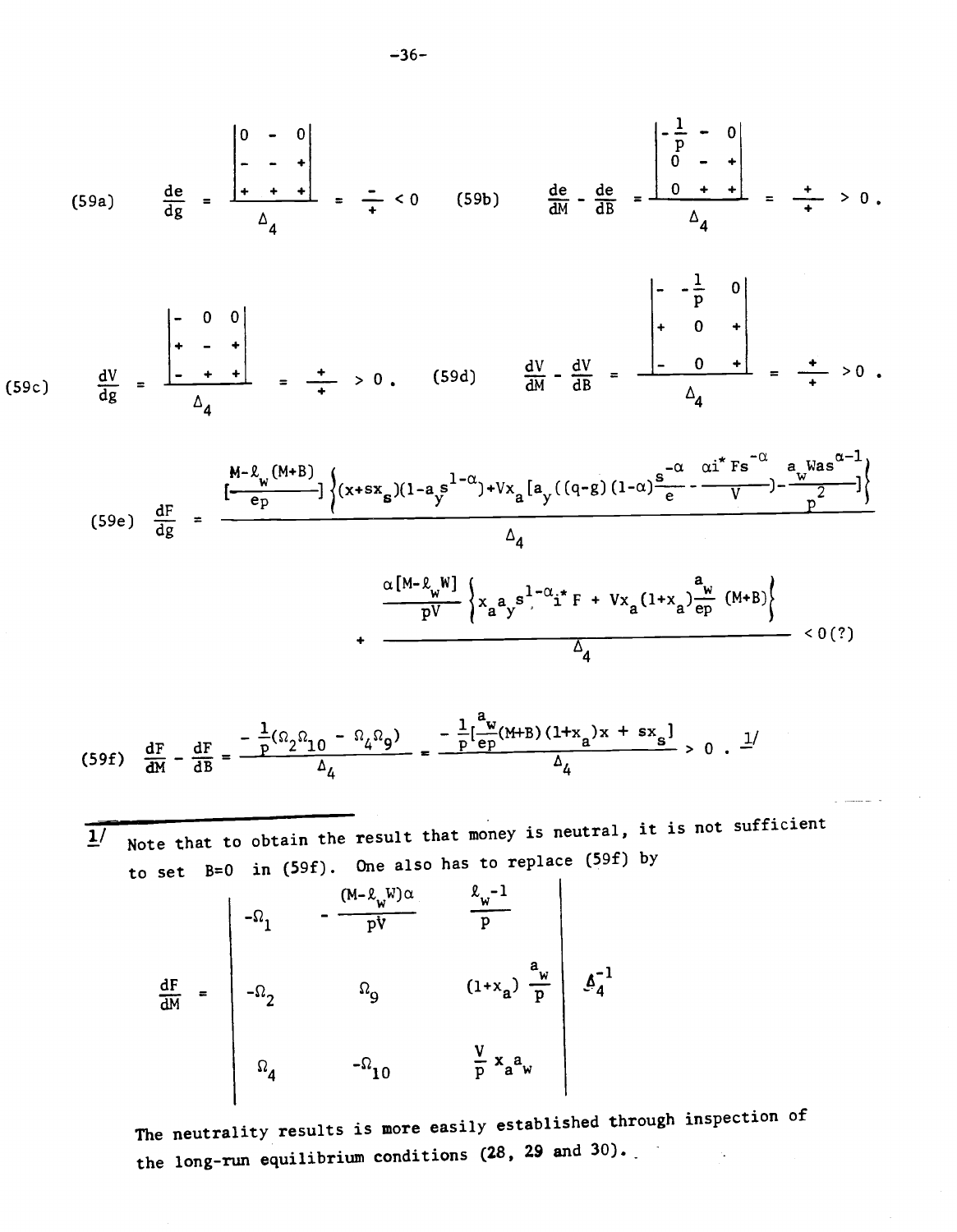(59a) 
$$
\frac{de}{dg} = \frac{\begin{vmatrix} 0 & - & 0 \\ - & - & + \end{vmatrix}}{\Delta_4} = \frac{-}{+} < 0
$$
 (59b) 
$$
\frac{de}{dM} - \frac{de}{dB} = \frac{\begin{vmatrix} -\frac{1}{p} & - & 0 \\ 0 & - & + \end{vmatrix}}{\Delta_4} = \frac{+}{+} > 0.
$$

$$
(59c) \quad \frac{dV}{dg} = \frac{\begin{vmatrix} - & 0 & 0 \\ + & - & + \\ - & + & + \end{vmatrix}}{\Delta_4} = \frac{+}{+} > 0. \quad (59d) \quad \frac{dV}{dM} - \frac{dV}{dB} = \frac{\begin{vmatrix} - & -\frac{1}{p} & 0 \\ + & 0 & + \\ - & 0 & + \end{vmatrix}}{\Delta_4} = \frac{+}{+} > 0.
$$

(59e) 
$$
\frac{dF}{dg} = \frac{\left[ -\frac{M - \ell_w(M + B)}{ep} \right] \left\{ (x + sx_s)(1 - a_s s^{1 - \alpha}) + Vx_a [a_y((q - g)(1 - \alpha)\frac{s - \alpha}{e} - \frac{\alpha i^* Fs^{-\alpha}}{V}) - \frac{a_w Was^{\alpha - 1}}{p^2} \right\}}{\Delta_4}
$$

$$
+\frac{\alpha [M - \ell_{w} W]}{pV} \left\{ x_{a}^{a} y^{s} \right\}^{1-\alpha} i^{*} F + V x_{a} (1 + x_{a}) \frac{a_{w}}{ep} (M + B) \right\}
$$

$$
(59f) \quad \frac{dF}{dM} - \frac{dF}{dB} = \frac{-\frac{1}{p}(\Omega_2 \Omega_{10} - \Omega_4 \Omega_9)}{\Delta_4} = \frac{-\frac{1}{p}[\frac{a_w}{ep}(M+B)(1+x_a)x + sx_s]}{\Delta_4} > 0 \quad .
$$

 $\overline{11}$  Note that to obtain the result that money is neutral, it is not sufficient in (59f). One also has to replace (59f) by to set B=0 in (59f). One also has to replace (59f) by<br>  $(M-\ell_w W)\alpha$   $\ell_w^{-1}$ 

$$
\frac{dF}{dM} = \begin{vmatrix}\n-\Omega_1 & -\frac{(M - \ell_w W)\alpha}{pV} & \frac{\ell_w - 1}{p} \\
-\Omega_2 & \Omega_9 & (1 + x_a) \frac{a_w}{p} \\
\Omega_4 & -\Omega_{10} & \frac{V}{p} x_a a_w\n\end{vmatrix} \mathbf{A}_4^{-1}
$$

The neutrality results is more easily established through inspection of the long-run equilibrium conditions (28, 29 and 30). - $\mathcal{L}_\mathrm{c}$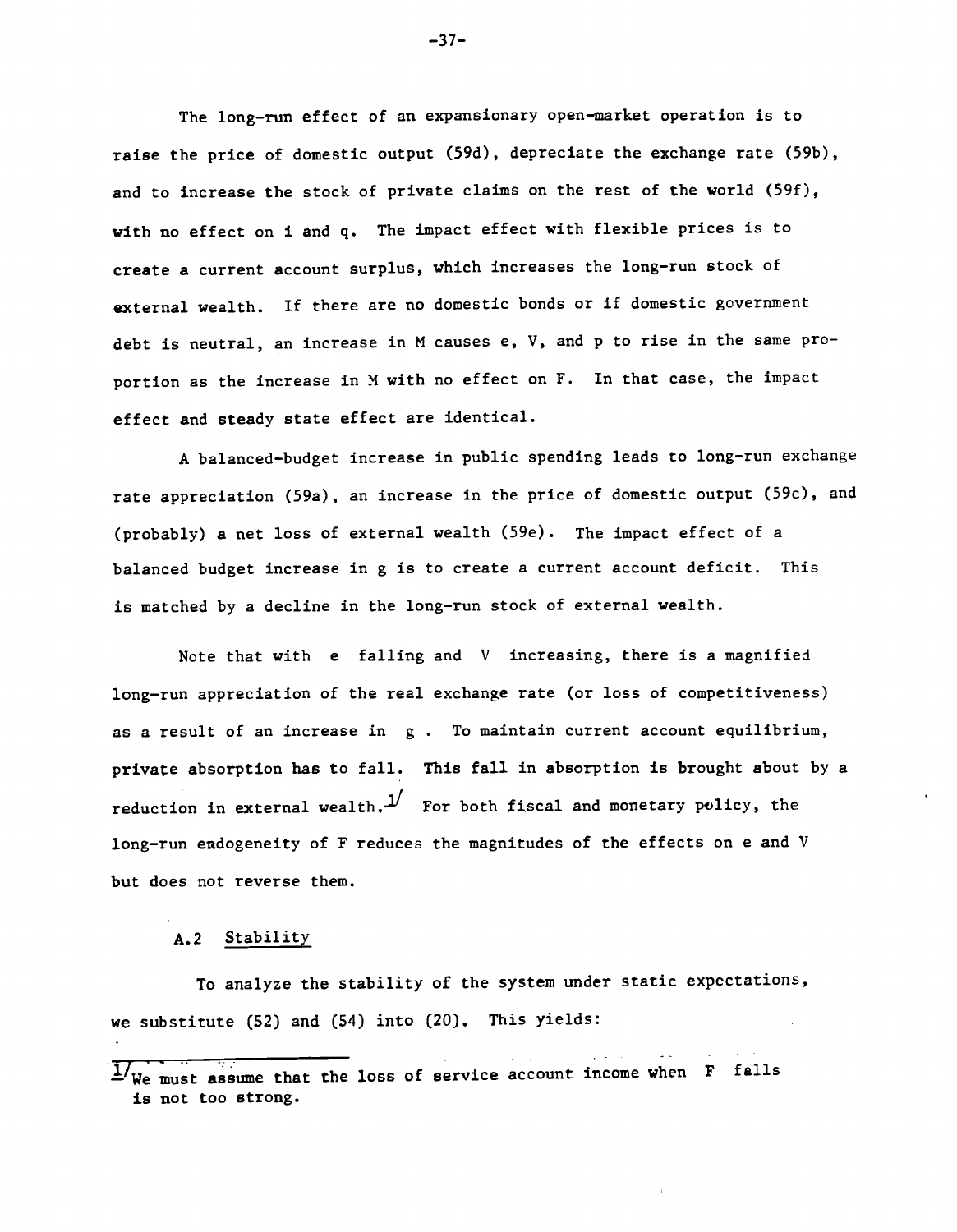The long—run effect of an expansionary open—market operation is to raise the price of domestic output (59d), depreciate the exchange rate (59b), and to increase the stock of private claims on the rest of the world (59f), with no effect on i and q. The impact effect with flexible prices is to create a current account surplus, which increases the long—run stock of external wealth. If there are no domestic bonds or if domestic government debt is neutral, an increase in M causes e, V, and p to rise in the same proportion as the increase in M with no effect on F. In that case, the impact effect and steady state effect are identical.

A balanced—budget increase in public spending leads to long—run exchange rate appreciation (59a), an increase in the price of domestic output (59c), and (probably) a net loss of external wealth (59e). The impact effect of a balanced budget increase in g is to create a current account deficit. This is matched by a decline in the long—run stock of external wealth.

Note that with e falling and V increasing, there is a magnified long—run appreciation of the real exchange rate (or loss of competitiveness) as a result of an increase in g . To maintain current account equilibrium, private absorption has to fall. This fall in absorption is brought about by a reduction in external wealth,  $1/$  For both fiscal and monetary policy, the long-run endogeneity of F reduces the magnitudes of the effects on e and V but does not reverse them.

## A.2 Stability

To analyze the stability of the system under static expectations, we substitute (52) and (54) into (20). This yields:

 $\frac{1}{k}$  we must assume that the loss of service account income when F falls is not too strong.

—37—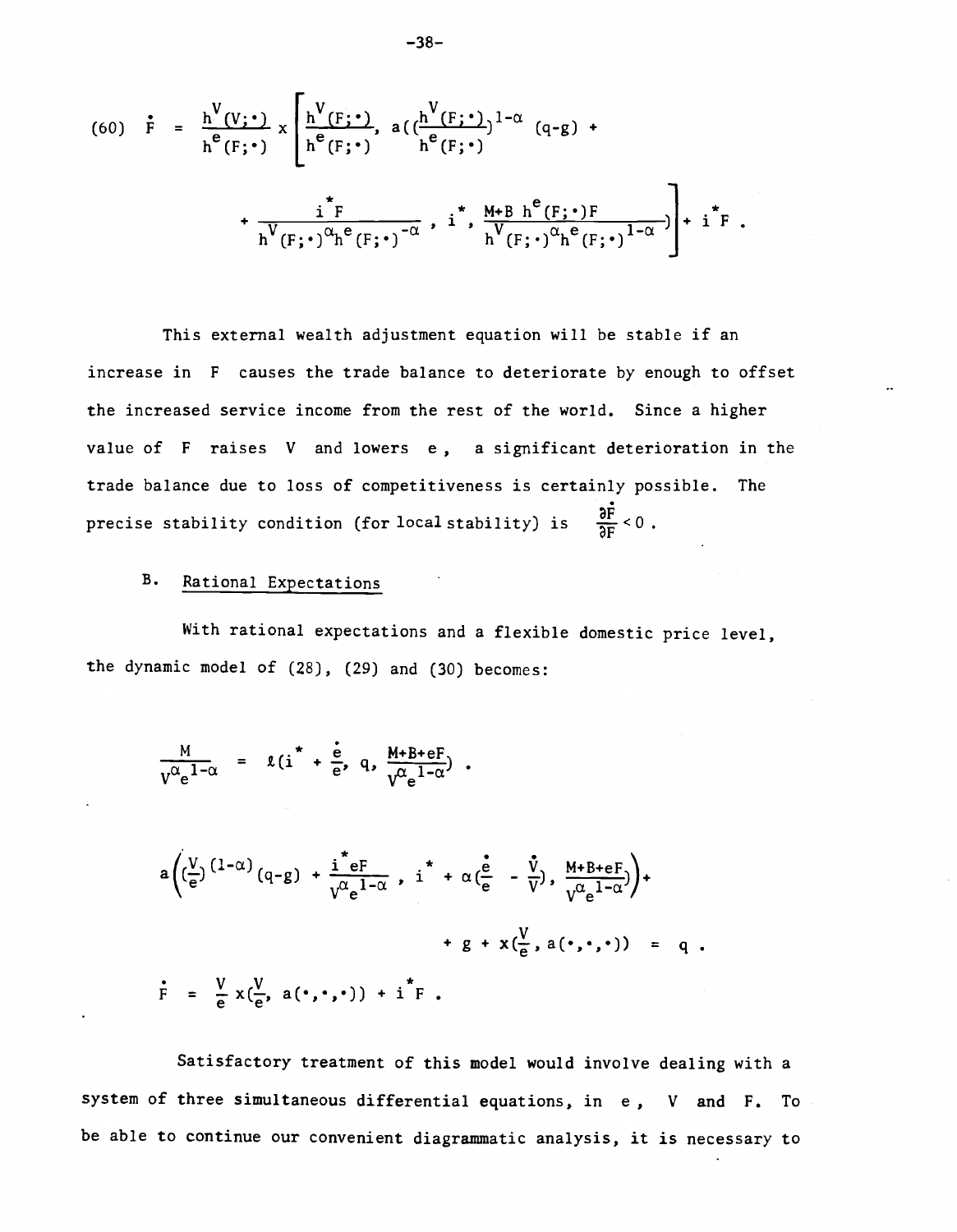(60) 
$$
\dot{F} = \frac{h^V(V; \cdot)}{h^e(F; \cdot)} \times \left[ \frac{h^V(F; \cdot)}{h^e(F; \cdot)} \right]_{a} \left( \frac{h^V(F; \cdot)}{h^e(F; \cdot)} \right)^{1-\alpha} (q-g) + \frac{\dot{i}^F}{h^V(F; \cdot)} \left( \frac{h^e(F; \cdot)}{h^e(F; \cdot)} \right)^{1-\alpha} \left( \frac{q-g}{h^V(F; \cdot)} \right)^{1-\alpha} + \frac{\dot{i}^F}{h^V(F; \cdot)^{\alpha}h^e(F; \cdot)} \left( \frac{h^e(F; \cdot)F}{h^V(F; \cdot)^{\alpha}h^e(F; \cdot)} \right)^{1-\alpha} \left( \frac{1}{h^V(F; \cdot)} \right)^{1-\alpha} \left( \frac{h^e(F; \cdot)}{h^V(F; \cdot)^{\alpha}h^e(F; \cdot)} \right)^{1-\alpha}
$$

This external wealth adjustment equation will be stable if an increase in F causes the trade balance to deteriorate by enough to offset the increased service income from the rest of the world. Since a higher value of F raises V and lowers e, a significant deterioration in the trade balance due to loss of competitiveness is certainly possible. The precise stability condition (for local stability) is  $\frac{91}{\delta F}<0$ .

## B. Rational Expectations

With rational expectations and a flexible domestic price level, the dynamic model of (28), (29) and (30) becomes:

$$
\frac{M}{v^{\alpha}e^{1-\alpha}} = \ell(i^* + \frac{e}{e}, q, \frac{M+B+eF}{v^{\alpha}e^{1-\alpha}}).
$$

$$
a\left((\frac{V}{e})(1-\alpha)(q-g) + \frac{i^*eF}{v^{\alpha}e^{1-\alpha}}, i^* + \alpha(\frac{e}{e} - \frac{v}{V}), \frac{M+B+eF}{v^{\alpha}e^{1-\alpha}})\right) + g + x(\frac{V}{e}, a(\cdot, \cdot, \cdot)) = q.
$$
  

$$
\vdots = \frac{V}{e}x(\frac{V}{e}, a(\cdot, \cdot, \cdot)) + i^*F.
$$

Satisfactory treatment of this model would involve dealing with a system of three simultaneous differential equations, in e , V and F. To be able to continue our convenient diagrammatic analysis, it is necessary to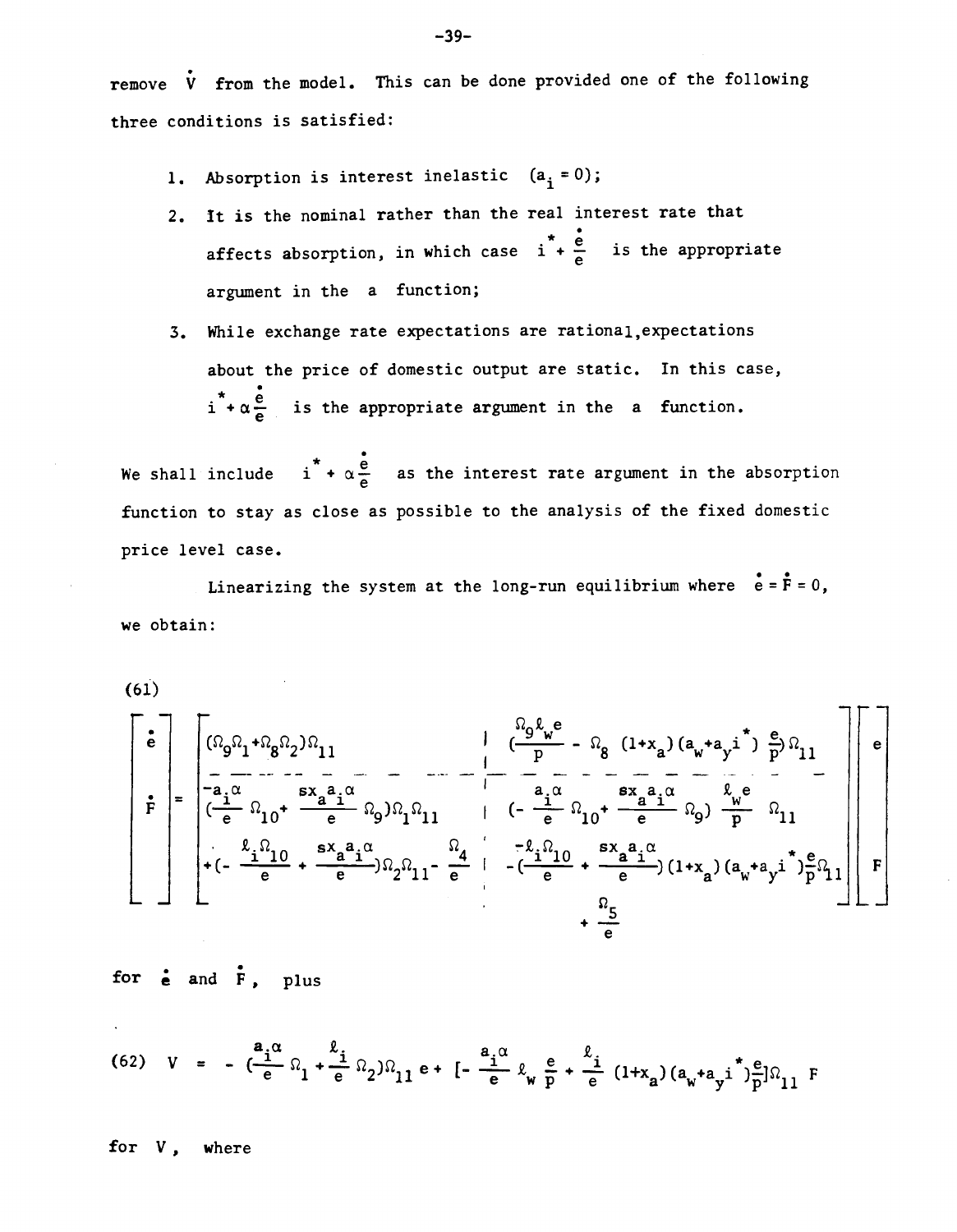remove V from the model. This can be done provided one of the following three conditions is satisfied:

- 1. Absorption is interest inelastic  $(a_i = 0)$ ;
- 2. It is the nominal rather than the real interest rate that **State Control** affects absorption, in which case  $i + \frac{1}{2}$  is the appropriate argument in the a function;
- 3. While exchange rate expectations are rational,expectations about the price of domestic output are static. In this case,  $\bullet$  such as  $\bullet$  $i + \alpha \frac{e}{\alpha}$  is the appropriate argument in the a function.

**State State** We shall include  $i + \alpha \frac{e}{\alpha}$  as the interest rate argument in the absorption function to stay as close as possible to the analysis of the fixed domestic price level case.

Linearizing the system at the long-run equilibrium where  $\dot{\mathbf{e}} = \dot{\mathbf{F}} = 0$ , we obtain:

(61)

$$
\begin{bmatrix}\n\mathbf{e} \\
\mathbf{f} \\
\mathbf{f} \\
\mathbf{f}\n\end{bmatrix} = \begin{bmatrix}\n(\Omega_9 \Omega_1 + \Omega_8 \Omega_2) \Omega_{11} & \n\mathbf{i} & \n\frac{(\Omega_9 \Omega_w e)}{p} - \Omega_8 & (1 + x_a) (a_w + a_y i^*) & \n\frac{e}{p} \Omega_{11} \\
-\frac{a_y \alpha}{e} & \n\frac{a_x \alpha_1 \alpha}{e} & \n\frac{a_y \alpha_1 \alpha}{e} & \n\frac{a_y \alpha}{e} & \n\frac{a_x \alpha_1 \alpha}{e} & \n\frac{a_y \alpha}{e} & \n\frac{e_y e}{e} & \n\frac{e}{e} \\
\mathbf{i} & \n\frac{e_x \Omega_{10}}{e} + \frac{sx_a a_y \alpha}{e} & \n\frac{a_z \Omega_{11}}{e} - \frac{a_z \Omega_{10}}{e} + \frac{sx_a a_y \alpha}{e} & \n\frac{a_z \alpha}{e} \\
\mathbf{i} & \n\frac{e_x \Omega_{10}}{e} + \frac{a_z \Omega_{11}}{e} & \n\frac{a_z \Omega_{12}}{e} & \n\frac{a_z \Omega_{13}}{e} & \n\frac{a_z \Omega_{14}}{e} & \n\frac{a_z \Omega_{15}}{e} & \n\frac{a_z \Omega_{16}}{e} & \n\frac{a_z \Omega_{17}}{e} & \n\frac{a_z \Omega_{18}}{e} & \n\frac{a_z \Omega_{19}}{e} & \n\frac{a_z \Omega_{11}}{e} & \n\frac{a_z \Omega_{11}}{e} & \n\frac{a_z \Omega_{12}}{e} & \n\frac{a_z \Omega_{13}}{e} & \n\frac{a_z \Omega_{14}}{e} & \n\frac{a_z \Omega_{15}}{e} & \n\frac{a_z \Omega_{16}}{e} & \n\frac{a_z \Omega_{17}}{e} & \n\frac{a_z \Omega_{18}}{e} & \n\frac{a_z \Omega_{19}}{e} & \n\frac{a_z \Omega_{11}}{e} & \n\frac{a_z \Omega_{11}}{e} & \n\frac{a_z \Omega_{10}}{e} & \n\frac{a_z \Omega_{10}}{e} & \n\frac{a_z
$$

for  $\dot{e}$  and  $\dot{F}$ , plus

(62) 
$$
V = -\left(\frac{a_1 \alpha}{e} \Omega_1 + \frac{\ell_1}{e} \Omega_2 \right) \Omega_{11} e + \left[ -\frac{a_1 \alpha}{e} \ell_w \frac{e}{p} + \frac{\ell_1}{e} (1 + x_a) (a_w + a_y i^*) \frac{e}{p} \right] \Omega_{11} F
$$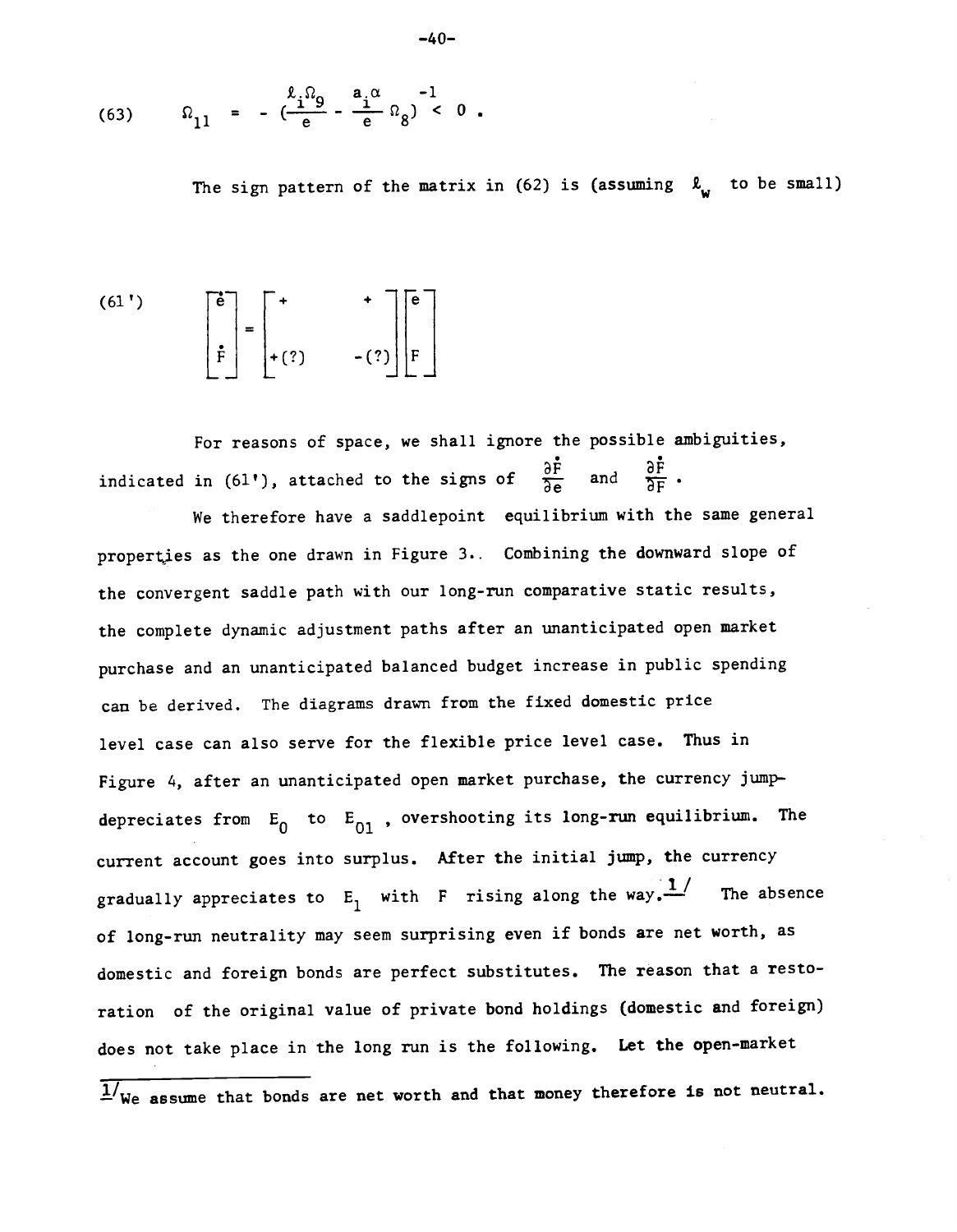(63) 
$$
\Omega_{11} = -\left(\frac{\ell_1 \Omega_9}{e} - \frac{a_1 \alpha}{e} \Omega_8\right)^{-1} < 0
$$
.

The sign pattern of the matrix in (62) is (assuming  $\ell_{w}$  to be small)

(61') + e <sup>F</sup> +(?) —(?) F

For reasons of space, we shall ignore the possible ambiguities, indicated in (61'), attached to the signs of  $\frac{\partial \dot{F}}{\partial \epsilon}$  and  $\frac{\partial \dot{F}}{\partial F}$ .

We therefore have a saddlepoint equilibrium with the same general properties as the one drawn in Figure 3.. Combining the downward slope of the convergent saddle path with our long-run comparative static results, the complete dynamic adjustment paths after an unanticipated open market purchase and an unanticipated balanced budget increase in public spending can be derived. The diagrams drawn from the fixed domestic price level case can also serve for the flexible price level case. Thus in Figure 4, after an unanticipated open market purchase, the currency jump depreciates from  $E_0$  to  $E_{01}$  , overshooting its long-run equilibrium. The current account goes into surplus. After the initial jump, the currency gradually appreciates to  $E_1$  with F rising along the way.<sup>1</sup>/ The absence of long-run neutrality may seem surprising even if bonds are net worth, as domestic and foreign bonds are perfect substitutes. The reason that a restoration of the original value of private bond holdings (domestic and foreign) does not take place in the long run is the following. Let the open-market

 $\frac{1}{w}$  assume that bonds are net worth and that money therefore is not neutral.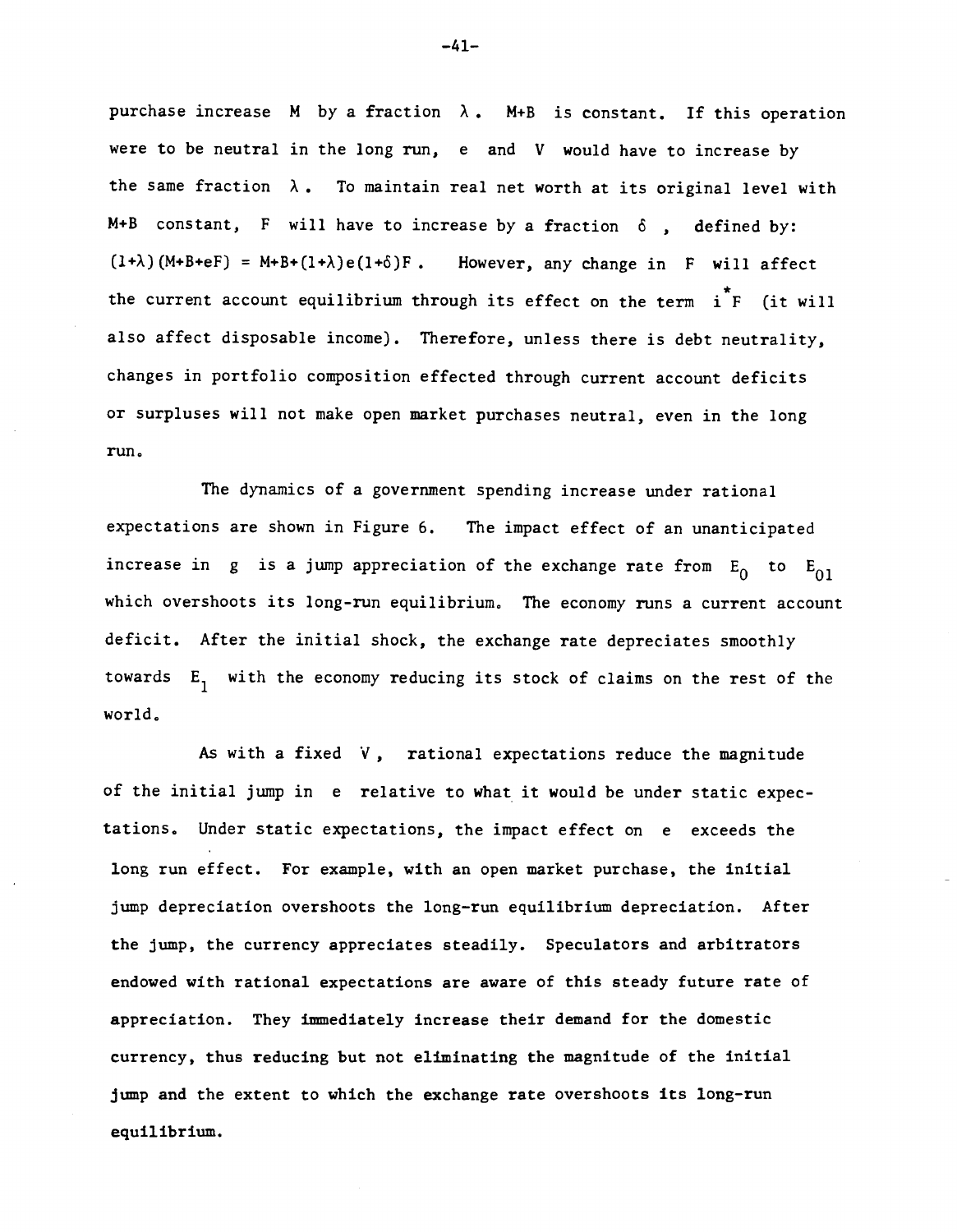purchase increase M by a fraction  $\lambda$ . M+B is constant. If this operation were to be neutral in the long run, e and V would have to increase by the same fraction  $\lambda$ . To maintain real net worth at its original level with  $M+B$  constant, F will have to increase by a fraction  $\delta$ , defined by:  $(1+\lambda)$  (M+B+eF) = M+B+(1+ $\lambda$ )e(1+ $\delta$ )F. However, any change in F will affect \* the current account equilibrium through its effect on the term i F (it will also affect disposable income). Therefore, unless there is debt neutrality, changes in portfolio composition effected through current account deficits or surpluses will not make open market purchases neutral, even in the long run.

The dynamics of a government spending increase under rational expectations are shown in Figure 6. The impact effect of an unanticipated increase in g is a jump appreciation of the exchange rate from  $E_0$  to  $E_{01}$ which overshoots its long-run equilibrium. The economy runs a current account deficit. After the initial shock, the exchange rate depreciates smoothly towards  $E_1$  with the economy reducing its stock of claims on the rest of the world.

As with a fixed  $V$ , rational expectations reduce the magnitude of the initial jump in e relative to what it would be under static expectations. Under static expectations, the impact effect on e exceeds the long run effect. For example, with an open market purchase, the initial jump depreciation overshoots the long—run equilibrium depreciation. After the jump, the currency appreciates steadily. Speculators and arbitrators endowed with rational expectations are aware of this steady future rate of appreciation. They immediately increase their demand for the domestic currency, thus reducing but not eliminating the magnitude of the initial jump and the extent to which the exchange rate overshoots its long-run equilibrium.

 $-41-$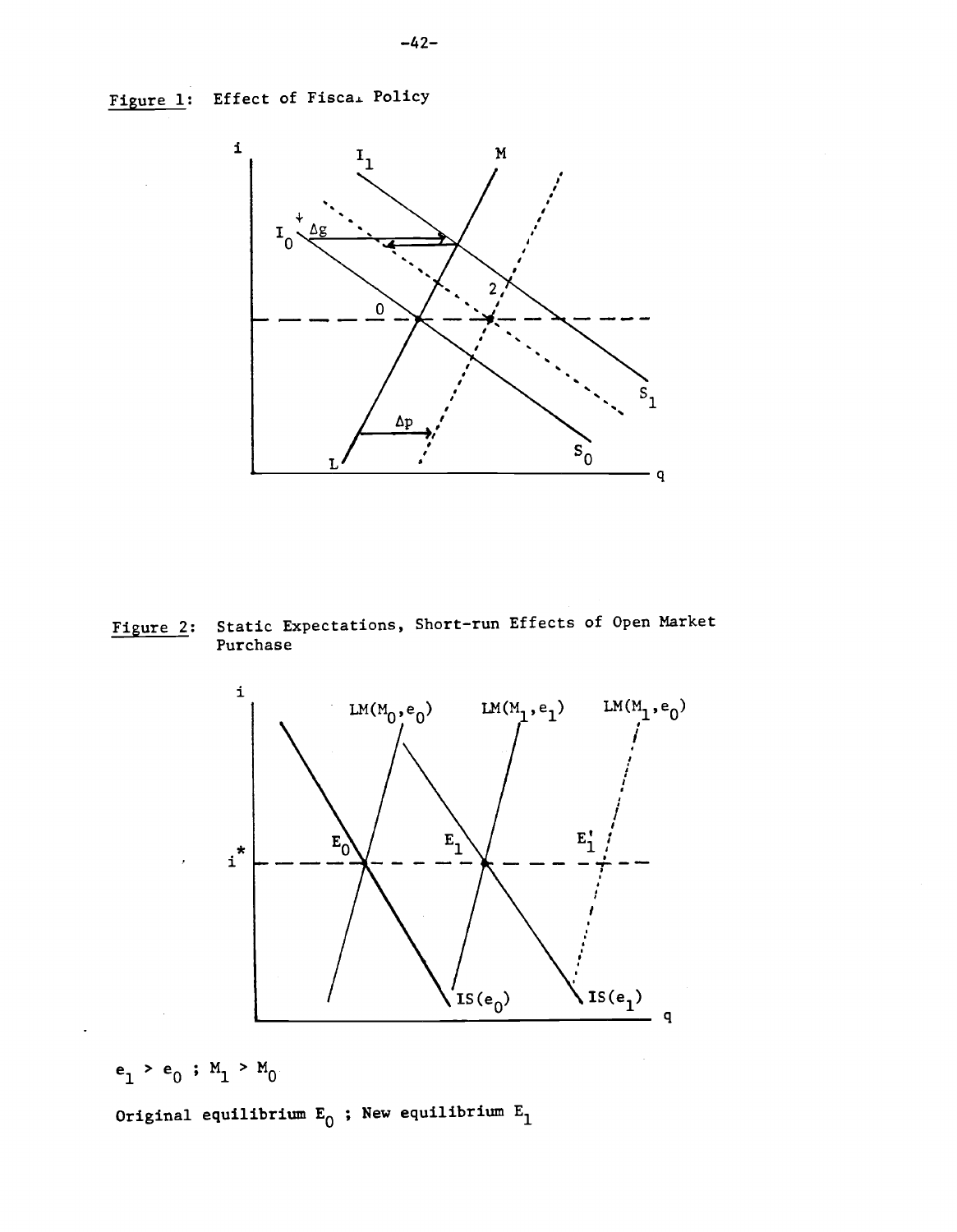



Figure 2: Static Expectations, Short—run Effects of Open Market Purchase



$$
e_1 > e_0
$$
;  $M_1 > M_0$ 

Original equilibrium  $E_0$  ; New equilibrium  $E_1$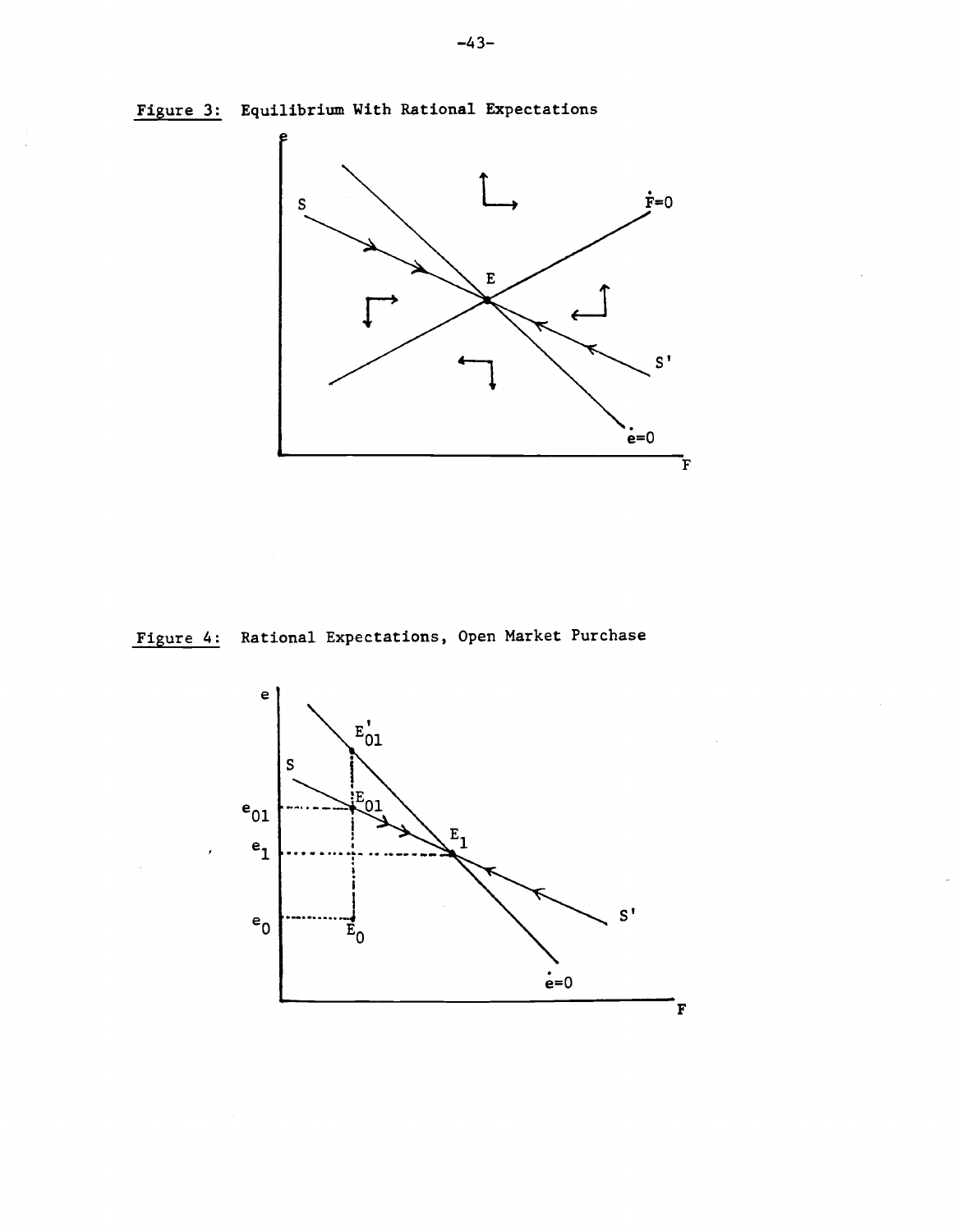



Figure 4: Rational Expectations, Open Market Purchase

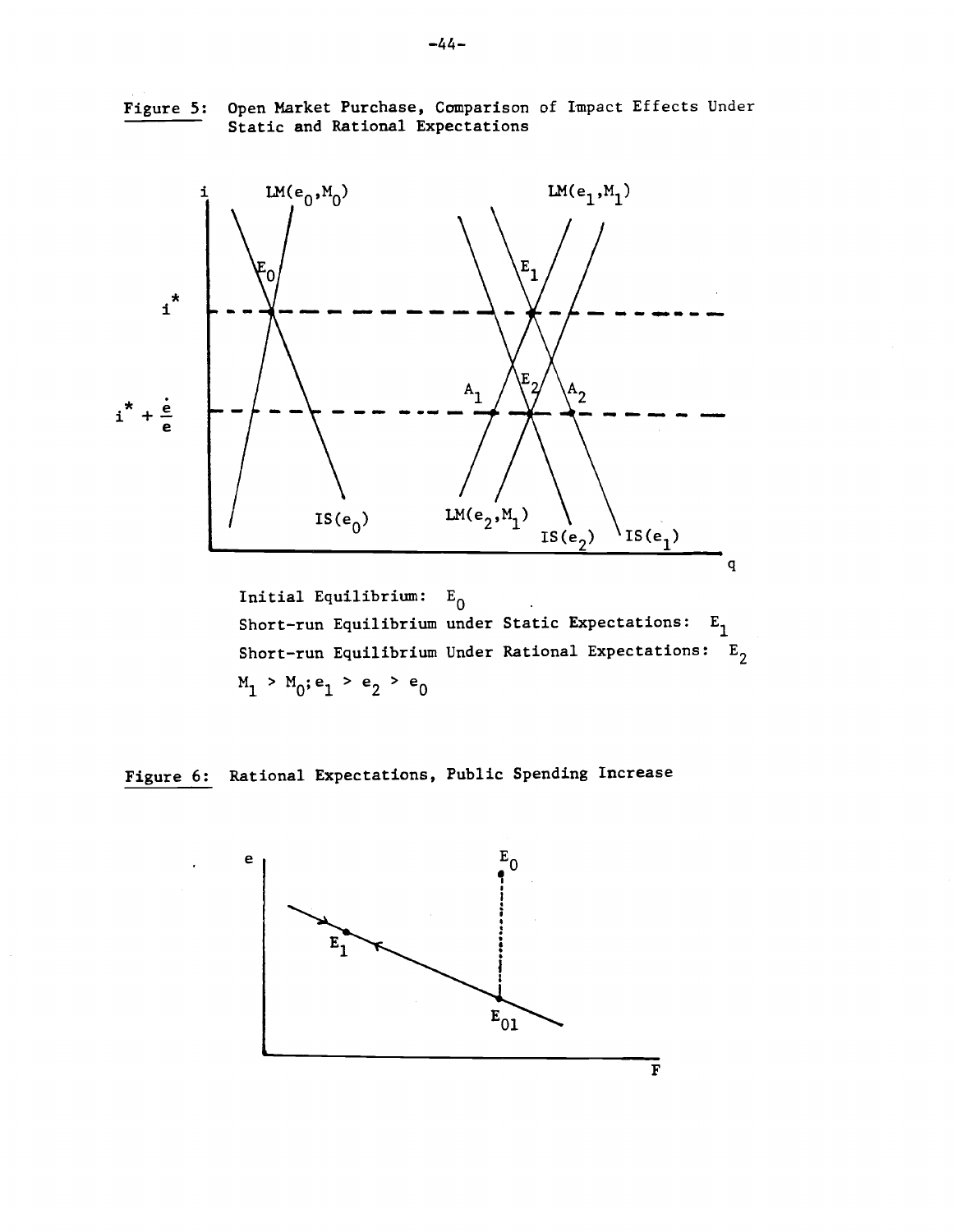Figure 5: Open Market Purchase, Comparison of Impact Effects Under Static and Rational Expectations



Short-run Equilibrium Under Rational Expectations:  $E_{\gamma}$  $M_1 > M_0; e_1 > e_2 > e_0$ 

Figure 6: Rational Expectations, Public Spending Increase

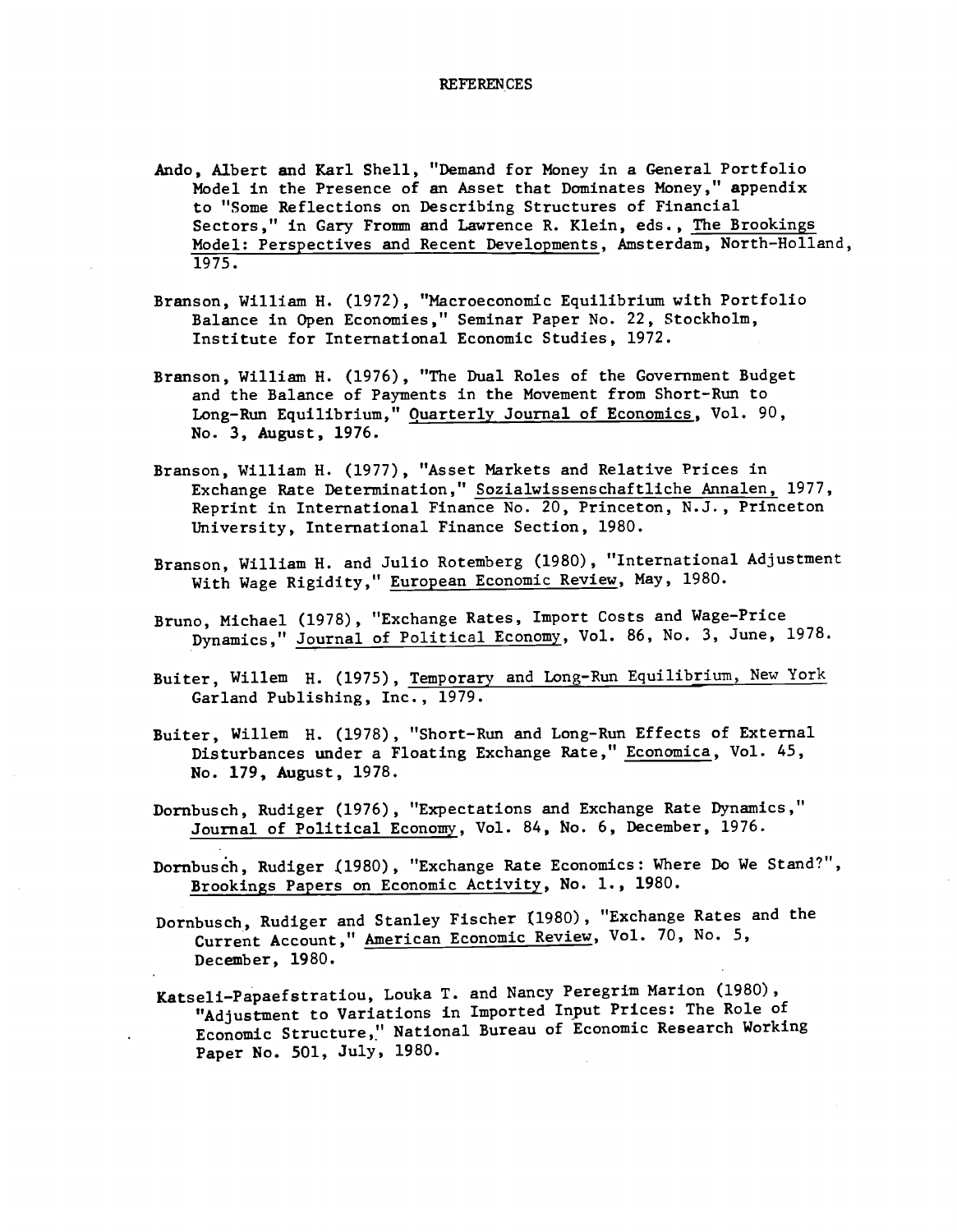#### **REFERENCES**

- Ando, Albert and Karl Shell, "Demand for Money in a General Portfolio Model in the Presence of an Asset that Dominates Money," appendix to "Some Reflections on Describing Structures of Financial Sectors." in Gary Fromm and Lawrence R. Klein, eds., The Brookings Model: Perspectives and Recent Developments, Amsterdam, North—Holland, 1975.
- Branson, William H. (1972), "Macroeconomic Equilibrium with Portfolio Balance in Open Economies," Seminar Paper No. 22, Stockholm, Institute for International Economic Studies, 1972.
- Branson, William H. (1976), "The Dual Roles of the Government Budget and the Balance of Payments in the Movement from Short-Run to Long—Run Equilibrium," Quarterly Journal of Economics, Vol. 90, No. 3, August, 1976.
- Branson, William H. (1977), "Asset Markets and Relative Prices in Exchange Rate Determination," Sozialwissenschaftliche Annalen, 1977, Reprint in International Finance No. 20, Princeton, N.J., Princeton University, International Finance Section, 1980.
- Branson, William H. and Julio Rotemberg (1980), "International Adjustment With Wage Rigidity," European Economic Review, May, 1980.
- Bruno, Michael (1978), "Exchange Rates, Import Costs and Wage—Price Dynamics," Journal of Political Economy, Vol. 86, No. 3, June, 1978.
- Buiter, Willem H. (1975), Temporary and Long-Run Equilibrium, New York Garland Publishing, Inc., 1979.
- Buiter, Willem H. (1978), "Short—Run and Long—Run Effects of External Disturbances under a Floating Exchange Rate," Economica, Vol. 45, No. 179, August, 1978.
- Dornbusch, Rudiger (1976), "Expectations and Exchange Rate Dynamics," Journal of Political Economy, Vol. 84, No. 6, December, 1976.
- Dornbusch, Rudiger (1980), "Exchange Rate Economics: Where Do We Stand?", Brookings Papers on Economic Activity, No. 1., 1980.
- Dornbusch, Rudiger and Stanley Fischer (1980), "Exchange Rates and the Current Account," American Economic Review, Vol. 70, No. 5, December, 1980.
- Katseli-Papaefstratiou, Louka T. and Nancy Peregrim Marion (1980), "Adjustment to Variations in Imported Input Prices: The Role of Economic Structure," National Bureau of Economic Research Working Paper No. 501, July, 1980.